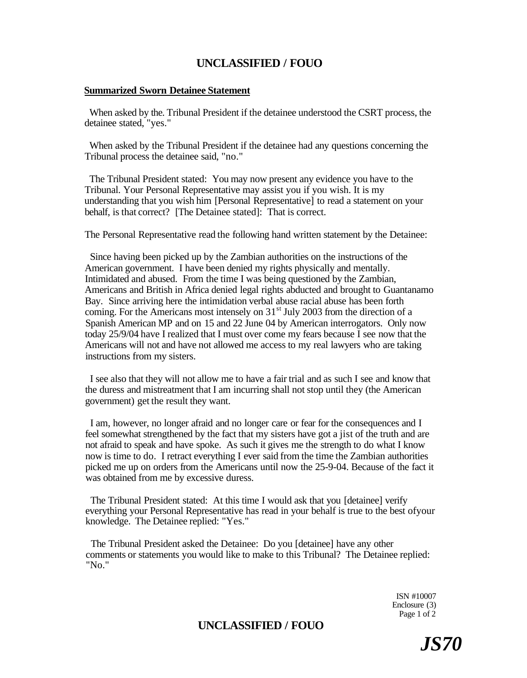#### **Summarized Sworn Detainee Statement**

When asked by the. Tribunal President if the detainee understood the CSRT process, the detainee stated, "yes."

When asked by the Tribunal President if the detainee had any questions concerning the Tribunal process the detainee said, "no."

The Tribunal President stated: You may now present any evidence you have to the Tribunal. Your Personal Representative may assist you if you wish. It is my understanding that you wish him [Personal Representative] to read a statement on your behalf, is that correct? [The Detainee stated]: That is correct.

The Personal Representative read the following hand written statement by the Detainee:

Since having been picked up by the Zambian authorities on the instructions of the American government. I have been denied my rights physically and mentally. Intimidated and abused. From the time I was being questioned by the Zambian, Americans and British in Africa denied legal rights abducted and brought to Guantanamo Bay. Since arriving here the intimidation verbal abuse racial abuse has been forth coming. For the Americans most intensely on  $31<sup>st</sup>$  July 2003 from the direction of a Spanish American MP and on 15 and 22 June 04 by American interrogators. Only now today 25/9/04 have I realized that I must over come my fears because I see now that the Americans will not and have not allowed me access to my real lawyers who are taking instructions from my sisters.

I see also that they will not allow me to have a fair trial and as such I see and know that the duress and mistreatment that I am incurring shall not stop until they (the American government) get the result they want.

I am, however, no longer afraid and no longer care or fear for the consequences and I feel somewhat strengthened by the fact that my sisters have got a jist of the truth and are not afraid to speak and have spoke. As such it gives me the strength to do what I know now is time to do. I retract everything I ever said from the time the Zambian authorities picked me up on orders from the Americans until now the 25-9-04. Because of the fact it was obtained from me by excessive duress.

The Tribunal President stated: At this time I would ask that you [detainee] verify everything your Personal Representative has read in your behalf is true to the best ofyour knowledge. The Detainee replied: "Yes."

The Tribunal President asked the Detainee: Do you [detainee] have any other comments or statements you would like to make to this Tribunal? The Detainee replied: "No."

> ISN #10007 Enclosure (3) Page 1 of 2

# **UNCLASSIFIED / FOUO**

*JS70*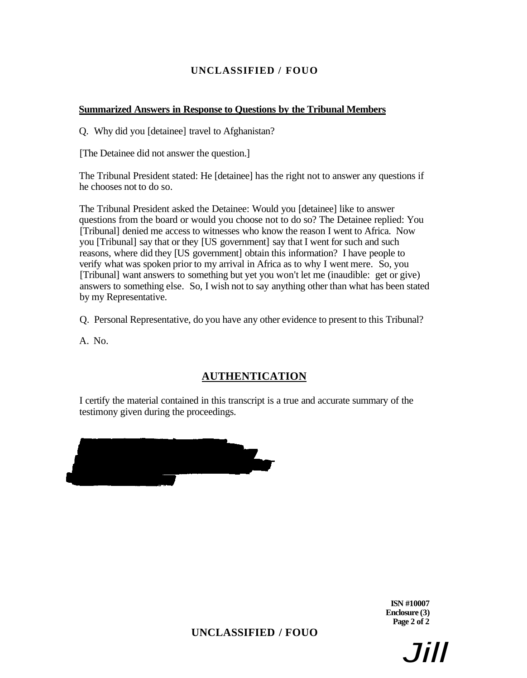# **Summarized Answers in Response to Questions by the Tribunal Members**

Q. Why did you [detainee] travel to Afghanistan?

[The Detainee did not answer the question.]

The Tribunal President stated: He [detainee] has the right not to answer any questions if he chooses not to do so.

The Tribunal President asked the Detainee: Would you [detainee] like to answer questions from the board or would you choose not to do so? The Detainee replied: You [Tribunal] denied me access to witnesses who know the reason I went to Africa. Now you [Tribunal] say that or they [US government] say that I went for such and such reasons, where did they [US government] obtain this information? I have people to verify what was spoken prior to my arrival in Africa as to why I went mere. So, you [Tribunal] want answers to something but yet you won't let me (inaudible: get or give) answers to something else. So, I wish not to say anything other than what has been stated by my Representative.

Q. Personal Representative, do you have any other evidence to present to this Tribunal?

A. No.

# **AUTHENTICATION**

I certify the material contained in this transcript is a true and accurate summary of the testimony given during the proceedings.



**ISN #10007 Enclosure (3) Page 2 of 2** 

Jill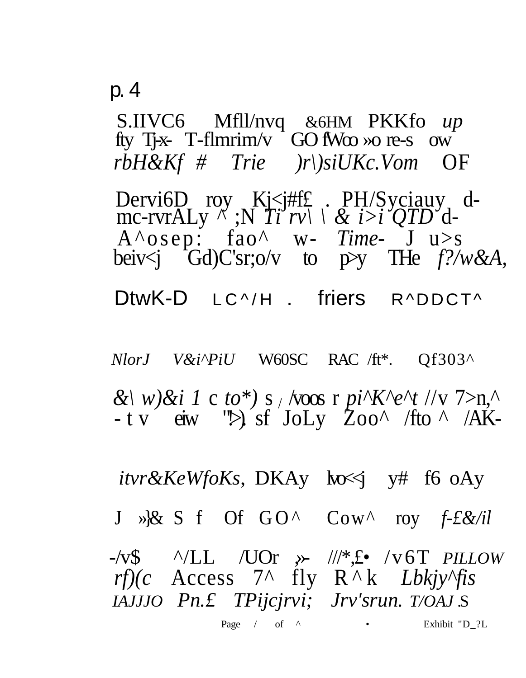p. 4

S.IIVC6 Mfll/nvq &6HM PKKfo *up*  fty T<sub>J</sub>-x- T-flmrim/v  $\overline{GO}$  fW $\overline{O}$  >  $\overline{O}$  re-s  $\overline{O}$ *rbH&Kf # Trie )r\)siUKc.Vom* OF Dervi6D roy Kj<j#f£ . PH/Syciauy dmc-rvrALy ^ ;N *Ti rv\ \ & i>i QTD* d-A^osep : fao^ w- *Time-* J u>s beiv<j Gd)C'sr;o/v to p>y THe *f?/w&A,*  DtwK-D LC^/H . friers R^DDCT^

*NlorJ V&i^PiU* W60SC RAC /ft\*. Qf303^  $\&$  *w)* $\&$ *i* 1 c *to*\*) s / /voos r *pi*^*K*^*e*^*t* //v 7>n,^  $-$  t v eiw " $\gg$  sf JoLy Zoo^ /fto ^ /AK-

*itvr&KeWfoKs*, DKAy loosel y# f6 oAy

J »}& S f Of GO ^ Cow^ roy *f-£&/il* 

 $-V\$  ^/LL /UOr  $\rightarrow$  ///\*,£• /v6T *PILLOW rf)(c* Access 7^ fly R^ k *Lbkjy^fis IAJJJO Pn.£ TPijcjrvi; Jrv'srun. T/OAJ* .S Page / of ^ • • Exhibit "D\_?L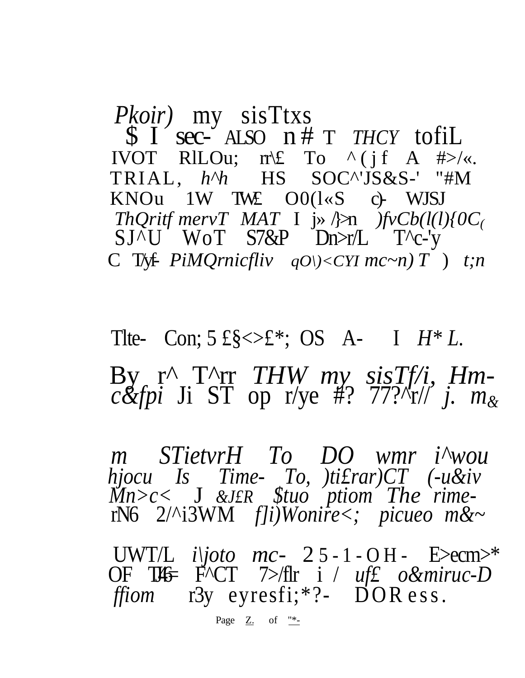*Pkoir)* my sisTtxs \$ I sec- ALSO n # T *THCY* tofiL IVOT RILOu;  $rr \n\&$  To ^(j f A #>/«. TRIAL, *h^h* HS SOC^'JS&S-' "#M KNOu 1W TW£ O0(l«S c)- WJSJ  $ThQritf$  mervT  $MAT$  I  $j\gg$   $\}$ n  $JvCb(l(l)/0C_0)$ SJ^U WoT S7&P Dn>r/L T^c-'y C The PiMQrnicfliv  $qO \le CYI$  mc~n) T ) t;n

The Con;  $5 \text{ f}\$  $5 \text{ f}\$  $5 \text{ f}\$  $5 \text{ f}\$  $5 \text{ f}\$  $5 \text{ f}\$  $6 \text{ f}\$  $8 \text{ A}$  $1 \text{ H} \text{f}\$  $1 \text{ H} \text{f}\$  $1 \text{ f}\$ By r^ T^rr *THW my sisTf/i, Hmc&fpi* Ji ST op r/ye #? 77?^r// *j. m&* 

*m STietvrH To DO wmr i^wou hjocu Is Time- To, )ti£rar)CT (-u&iv Mn>c<* J *&J£R \$tuo ptiom The rime*rN6 2/^i3WM *f]i)Wonire<; picueo m&~* 

UWT/L  $i\$ ioto  $mc-25-1-OH-$  E>ecm>\* OF  $\mathbb{U}\rightarrow$  F<sup>o</sup>CT 7>flr i / *uf£ o&miruc-D ffiom* r3y eyresfi;\*?- DOR ess.

Page  $Z$ , of  $"$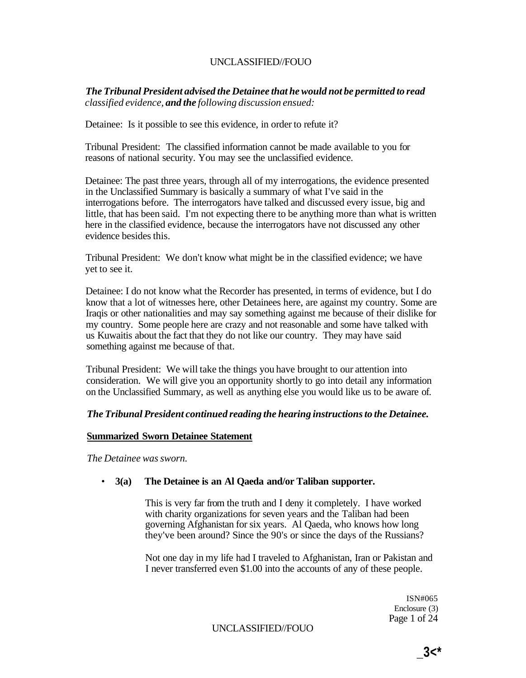# *The Tribunal President advised the Detainee that he would not be permitted to read classified evidence, and the following discussion ensued:*

Detainee: Is it possible to see this evidence, in order to refute it?

Tribunal President: The classified information cannot be made available to you for reasons of national security. You may see the unclassified evidence.

Detainee: The past three years, through all of my interrogations, the evidence presented in the Unclassified Summary is basically a summary of what I've said in the interrogations before. The interrogators have talked and discussed every issue, big and little, that has been said. I'm not expecting there to be anything more than what is written here in the classified evidence, because the interrogators have not discussed any other evidence besides this.

Tribunal President: We don't know what might be in the classified evidence; we have yet to see it.

Detainee: I do not know what the Recorder has presented, in terms of evidence, but I do know that a lot of witnesses here, other Detainees here, are against my country. Some are Iraqis or other nationalities and may say something against me because of their dislike for my country. Some people here are crazy and not reasonable and some have talked with us Kuwaitis about the fact that they do not like our country. They may have said something against me because of that.

Tribunal President: We will take the things you have brought to our attention into consideration. We will give you an opportunity shortly to go into detail any information on the Unclassified Summary, as well as anything else you would like us to be aware of.

#### *The Tribunal President continued reading the hearing instructions to the Detainee.*

#### **Summarized Sworn Detainee Statement**

*The Detainee was sworn.* 

#### • **3(a) The Detainee is an Al Qaeda and/or Taliban supporter.**

This is very far from the truth and I deny it completely. I have worked with charity organizations for seven years and the Taliban had been governing Afghanistan for six years. Al Qaeda, who knows how long they've been around? Since the 90's or since the days of the Russians?

Not one day in my life had I traveled to Afghanistan, Iran or Pakistan and I never transferred even \$1.00 into the accounts of any of these people.

> ISN#065 Enclosure (3) Page 1 of 24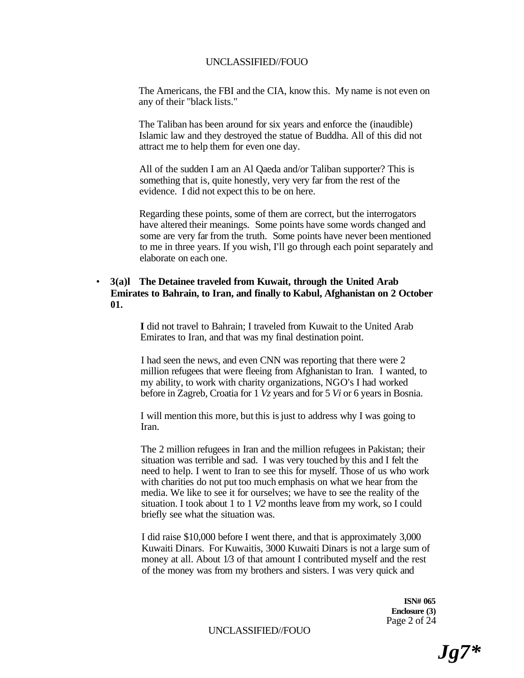The Americans, the FBI and the CIA, know this. My name is not even on any of their "black lists."

The Taliban has been around for six years and enforce the (inaudible) Islamic law and they destroyed the statue of Buddha. All of this did not attract me to help them for even one day.

All of the sudden I am an Al Qaeda and/or Taliban supporter? This is something that is, quite honestly, very very far from the rest of the evidence. I did not expect this to be on here.

Regarding these points, some of them are correct, but the interrogators have altered their meanings. Some points have some words changed and some are very far from the truth. Some points have never been mentioned to me in three years. If you wish, I'll go through each point separately and elaborate on each one.

• **3(a)l The Detainee traveled from Kuwait, through the United Arab Emirates to Bahrain, to Iran, and finally to Kabul, Afghanistan on 2 October 01.** 

> **I** did not travel to Bahrain; I traveled from Kuwait to the United Arab Emirates to Iran, and that was my final destination point.

I had seen the news, and even CNN was reporting that there were 2 million refugees that were fleeing from Afghanistan to Iran. I wanted, to my ability, to work with charity organizations, NGO's I had worked before in Zagreb, Croatia for 1 *Vz* years and for 5 *Vi* or 6 years in Bosnia.

I will mention this more, but this is just to address why I was going to Iran.

The 2 million refugees in Iran and the million refugees in Pakistan; their situation was terrible and sad. I was very touched by this and I felt the need to help. I went to Iran to see this for myself. Those of us who work with charities do not put too much emphasis on what we hear from the media. We like to see it for ourselves; we have to see the reality of the situation. I took about 1 to 1 *V2* months leave from my work, so I could briefly see what the situation was.

I did raise \$10,000 before I went there, and that is approximately 3,000 Kuwaiti Dinars. For Kuwaitis, 3000 Kuwaiti Dinars is not a large sum of money at all. About 1/3 of that amount I contributed myself and the rest of the money was from my brothers and sisters. I was very quick and

> **ISN# 065 Enclosure (3)**  Page 2 of 24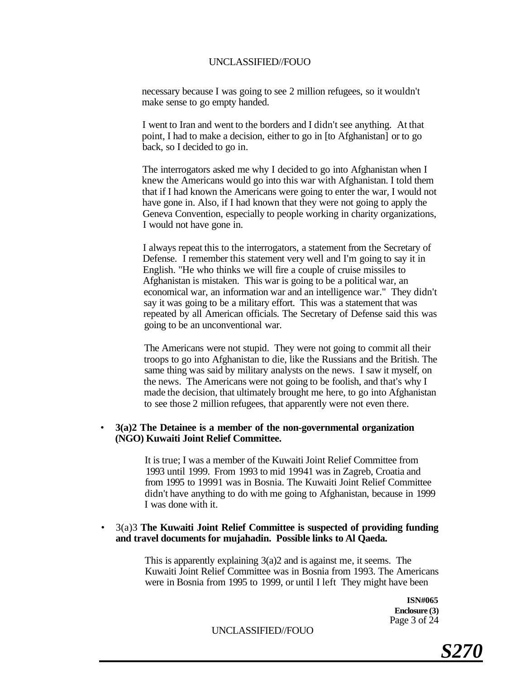necessary because I was going to see 2 million refugees, so it wouldn't make sense to go empty handed.

I went to Iran and went to the borders and I didn't see anything. At that point, I had to make a decision, either to go in [to Afghanistan] or to go back, so I decided to go in.

The interrogators asked me why I decided to go into Afghanistan when I knew the Americans would go into this war with Afghanistan. I told them that if I had known the Americans were going to enter the war, I would not have gone in. Also, if I had known that they were not going to apply the Geneva Convention, especially to people working in charity organizations, I would not have gone in.

I always repeat this to the interrogators, a statement from the Secretary of Defense. I remember this statement very well and I'm going to say it in English. "He who thinks we will fire a couple of cruise missiles to Afghanistan is mistaken. This war is going to be a political war, an economical war, an information war and an intelligence war." They didn't say it was going to be a military effort. This was a statement that was repeated by all American officials. The Secretary of Defense said this was going to be an unconventional war.

The Americans were not stupid. They were not going to commit all their troops to go into Afghanistan to die, like the Russians and the British. The same thing was said by military analysts on the news. I saw it myself, on the news. The Americans were not going to be foolish, and that's why I made the decision, that ultimately brought me here, to go into Afghanistan to see those 2 million refugees, that apparently were not even there.

#### • **3(a)2 The Detainee is a member of the non-governmental organization (NGO) Kuwaiti Joint Relief Committee.**

It is true; I was a member of the Kuwaiti Joint Relief Committee from 1993 until 1999. From 1993 to mid 19941 was in Zagreb, Croatia and from 1995 to 19991 was in Bosnia. The Kuwaiti Joint Relief Committee didn't have anything to do with me going to Afghanistan, because in 1999 I was done with it.

#### • 3(a)3 **The Kuwaiti Joint Relief Committee is suspected of providing funding and travel documents for mujahadin. Possible links to Al Qaeda.**

This is apparently explaining 3(a)2 and is against me, it seems. The Kuwaiti Joint Relief Committee was in Bosnia from 1993. The Americans were in Bosnia from 1995 to 1999, or until I left They might have been

> **ISN#065 Enclosure (3)**  Page 3 of 24

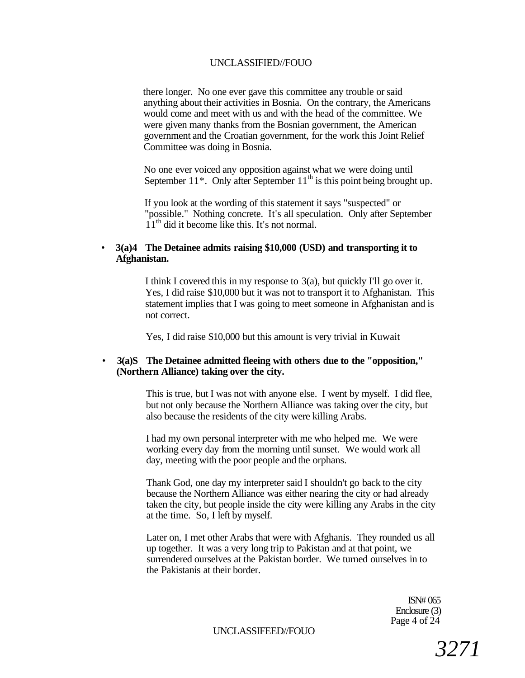there longer. No one ever gave this committee any trouble or said anything about their activities in Bosnia. On the contrary, the Americans would come and meet with us and with the head of the committee. We were given many thanks from the Bosnian government, the American government and the Croatian government, for the work this Joint Relief Committee was doing in Bosnia.

No one ever voiced any opposition against what we were doing until September  $11^*$ . Only after September  $11<sup>th</sup>$  is this point being brought up.

If you look at the wording of this statement it says "suspected" or "possible." Nothing concrete. It's all speculation. Only after September  $11<sup>th</sup>$  did it become like this. It's not normal.

## • **3(a)4 The Detainee admits raising \$10,000 (USD) and transporting it to Afghanistan.**

I think I covered this in my response to 3(a), but quickly I'll go over it. Yes, I did raise \$10,000 but it was not to transport it to Afghanistan. This statement implies that I was going to meet someone in Afghanistan and is not correct.

Yes, I did raise \$10,000 but this amount is very trivial in Kuwait

## • **3(a)S The Detainee admitted fleeing with others due to the "opposition," (Northern Alliance) taking over the city.**

This is true, but I was not with anyone else. I went by myself. I did flee, but not only because the Northern Alliance was taking over the city, but also because the residents of the city were killing Arabs.

I had my own personal interpreter with me who helped me. We were working every day from the morning until sunset. We would work all day, meeting with the poor people and the orphans.

Thank God, one day my interpreter said I shouldn't go back to the city because the Northern Alliance was either nearing the city or had already taken the city, but people inside the city were killing any Arabs in the city at the time. So, I left by myself.

Later on, I met other Arabs that were with Afghanis. They rounded us all up together. It was a very long trip to Pakistan and at that point, we surrendered ourselves at the Pakistan border. We turned ourselves in to the Pakistanis at their border.

> ISN# 065 Enclosure (3) Page 4 of 24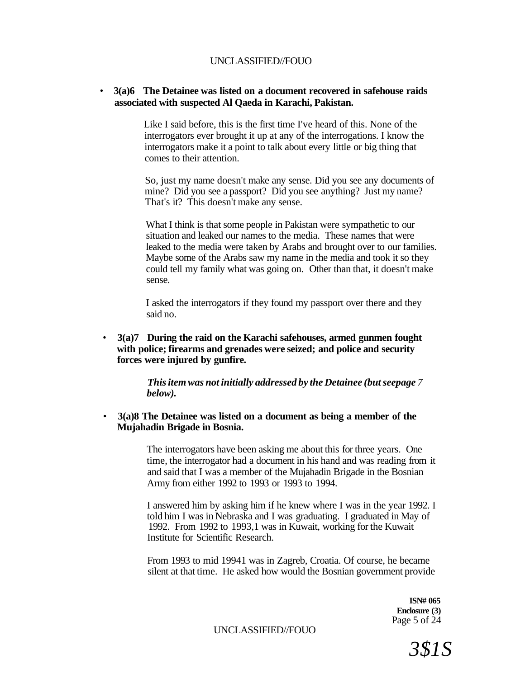# • **3(a)6 The Detainee was listed on a document recovered in safehouse raids associated with suspected Al Qaeda in Karachi, Pakistan.**

Like I said before, this is the first time I've heard of this. None of the interrogators ever brought it up at any of the interrogations. I know the interrogators make it a point to talk about every little or big thing that comes to their attention.

So, just my name doesn't make any sense. Did you see any documents of mine? Did you see a passport? Did you see anything? Just my name? That's it? This doesn't make any sense.

What I think is that some people in Pakistan were sympathetic to our situation and leaked our names to the media. These names that were leaked to the media were taken by Arabs and brought over to our families. Maybe some of the Arabs saw my name in the media and took it so they could tell my family what was going on. Other than that, it doesn't make sense.

I asked the interrogators if they found my passport over there and they said no.

• **3(a)7 During the raid on the Karachi safehouses, armed gunmen fought with police; firearms and grenades were seized; and police and security forces were injured by gunfire.** 

> *This item was not initially addressed by the Detainee (but seepage 7 below).*

• **3(a)8 The Detainee was listed on a document as being a member of the Mujahadin Brigade in Bosnia.** 

> The interrogators have been asking me about this for three years. One time, the interrogator had a document in his hand and was reading from it and said that I was a member of the Mujahadin Brigade in the Bosnian Army from either 1992 to 1993 or 1993 to 1994.

> I answered him by asking him if he knew where I was in the year 1992. I told him I was in Nebraska and I was graduating. I graduated in May of 1992. From 1992 to 1993,1 was in Kuwait, working for the Kuwait Institute for Scientific Research.

> From 1993 to mid 19941 was in Zagreb, Croatia. Of course, he became silent at that time. He asked how would the Bosnian government provide

> > **ISN# 065 Enclosure (3)**  Page 5 of 24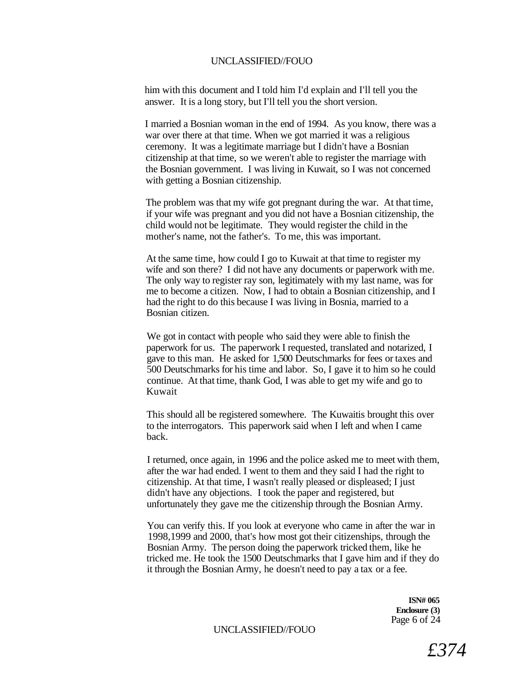him with this document and I told him I'd explain and I'll tell you the answer. It is a long story, but I'll tell you the short version.

I married a Bosnian woman in the end of 1994. As you know, there was a war over there at that time. When we got married it was a religious ceremony. It was a legitimate marriage but I didn't have a Bosnian citizenship at that time, so we weren't able to register the marriage with the Bosnian government. I was living in Kuwait, so I was not concerned with getting a Bosnian citizenship.

The problem was that my wife got pregnant during the war. At that time, if your wife was pregnant and you did not have a Bosnian citizenship, the child would not be legitimate. They would register the child in the mother's name, not the father's. To me, this was important.

At the same time, how could I go to Kuwait at that time to register my wife and son there? I did not have any documents or paperwork with me. The only way to register ray son, legitimately with my last name, was for me to become a citizen. Now, I had to obtain a Bosnian citizenship, and I had the right to do this because I was living in Bosnia, married to a Bosnian citizen.

We got in contact with people who said they were able to finish the paperwork for us. The paperwork I requested, translated and notarized, I gave to this man. He asked for 1,500 Deutschmarks for fees or taxes and 500 Deutschmarks for his time and labor. So, I gave it to him so he could continue. At that time, thank God, I was able to get my wife and go to Kuwait

This should all be registered somewhere. The Kuwaitis brought this over to the interrogators. This paperwork said when I left and when I came back.

I returned, once again, in 1996 and the police asked me to meet with them, after the war had ended. I went to them and they said I had the right to citizenship. At that time, I wasn't really pleased or displeased; I just didn't have any objections. I took the paper and registered, but unfortunately they gave me the citizenship through the Bosnian Army.

You can verify this. If you look at everyone who came in after the war in 1998,1999 and 2000, that's how most got their citizenships, through the Bosnian Army. The person doing the paperwork tricked them, like he tricked me. He took the 1500 Deutschmarks that I gave him and if they do it through the Bosnian Army, he doesn't need to pay a tax or a fee.

> **ISN# 065 Enclosure (3)**  Page 6 of 24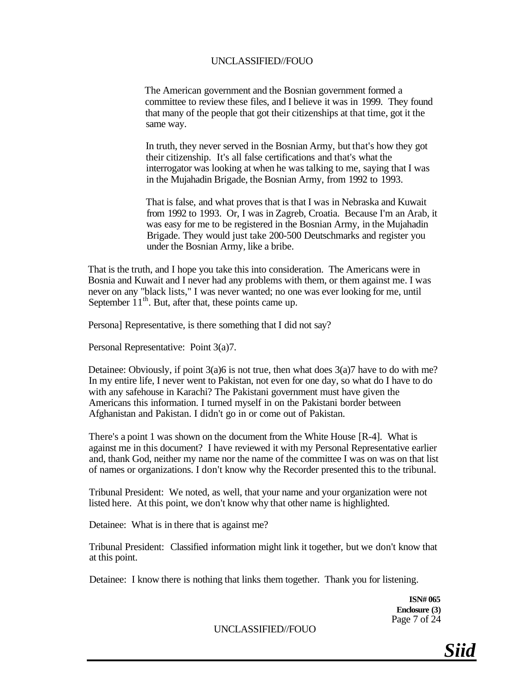The American government and the Bosnian government formed a committee to review these files, and I believe it was in 1999. They found that many of the people that got their citizenships at that time, got it the same way.

In truth, they never served in the Bosnian Army, but that's how they got their citizenship. It's all false certifications and that's what the interrogator was looking at when he was talking to me, saying that I was in the Mujahadin Brigade, the Bosnian Army, from 1992 to 1993.

That is false, and what proves that is that I was in Nebraska and Kuwait from 1992 to 1993. Or, I was in Zagreb, Croatia. Because I'm an Arab, it was easy for me to be registered in the Bosnian Army, in the Mujahadin Brigade. They would just take 200-500 Deutschmarks and register you under the Bosnian Army, like a bribe.

That is the truth, and I hope you take this into consideration. The Americans were in Bosnia and Kuwait and I never had any problems with them, or them against me. I was never on any "black lists," I was never wanted; no one was ever looking for me, until September  $11<sup>th</sup>$ . But, after that, these points came up.

Persona] Representative, is there something that I did not say?

Personal Representative: Point 3(a)7.

Detainee: Obviously, if point 3(a)6 is not true, then what does 3(a)7 have to do with me? In my entire life, I never went to Pakistan, not even for one day, so what do I have to do with any safehouse in Karachi? The Pakistani government must have given the Americans this information. I turned myself in on the Pakistani border between Afghanistan and Pakistan. I didn't go in or come out of Pakistan.

There's a point 1 was shown on the document from the White House [R-4]. What is against me in this document? I have reviewed it with my Personal Representative earlier and, thank God, neither my name nor the name of the committee I was on was on that list of names or organizations. I don't know why the Recorder presented this to the tribunal.

Tribunal President: We noted, as well, that your name and your organization were not listed here. At this point, we don't know why that other name is highlighted.

Detainee: What is in there that is against me?

Tribunal President: Classified information might link it together, but we don't know that at this point.

Detainee: I know there is nothing that links them together. Thank you for listening.

**ISN# 065 Enclosure (3)**  Page 7 of 24

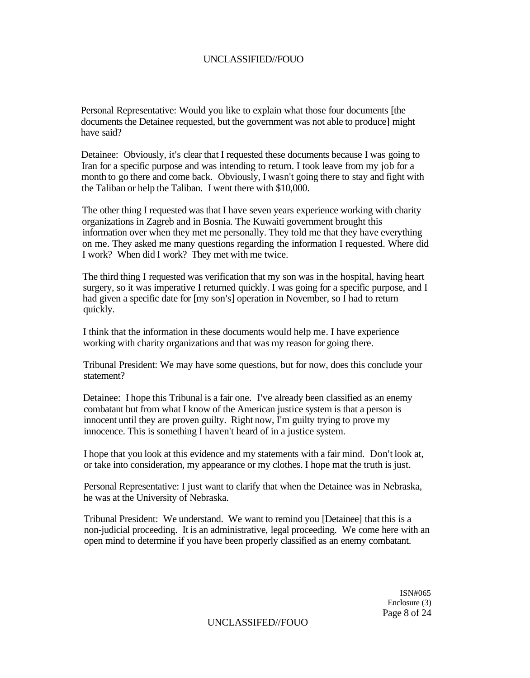Personal Representative: Would you like to explain what those four documents [the documents the Detainee requested, but the government was not able to produce] might have said?

Detainee: Obviously, it's clear that I requested these documents because I was going to Iran for a specific purpose and was intending to return. I took leave from my job for a month to go there and come back. Obviously, I wasn't going there to stay and fight with the Taliban or help the Taliban. I went there with \$10,000.

The other thing I requested was that I have seven years experience working with charity organizations in Zagreb and in Bosnia. The Kuwaiti government brought this information over when they met me personally. They told me that they have everything on me. They asked me many questions regarding the information I requested. Where did I work? When did I work? They met with me twice.

The third thing I requested was verification that my son was in the hospital, having heart surgery, so it was imperative I returned quickly. I was going for a specific purpose, and I had given a specific date for [my son's] operation in November, so I had to return quickly.

I think that the information in these documents would help me. I have experience working with charity organizations and that was my reason for going there.

Tribunal President: We may have some questions, but for now, does this conclude your statement?

Detainee: I hope this Tribunal is a fair one. I've already been classified as an enemy combatant but from what I know of the American justice system is that a person is innocent until they are proven guilty. Right now, I'm guilty trying to prove my innocence. This is something I haven't heard of in a justice system.

I hope that you look at this evidence and my statements with a fair mind. Don't look at, or take into consideration, my appearance or my clothes. I hope mat the truth is just.

Personal Representative: I just want to clarify that when the Detainee was in Nebraska, he was at the University of Nebraska.

Tribunal President: We understand. We want to remind you [Detainee] that this is a non-judicial proceeding. It is an administrative, legal proceeding. We come here with an open mind to determine if you have been properly classified as an enemy combatant.

> ISN#065 Enclosure (3) Page 8 of 24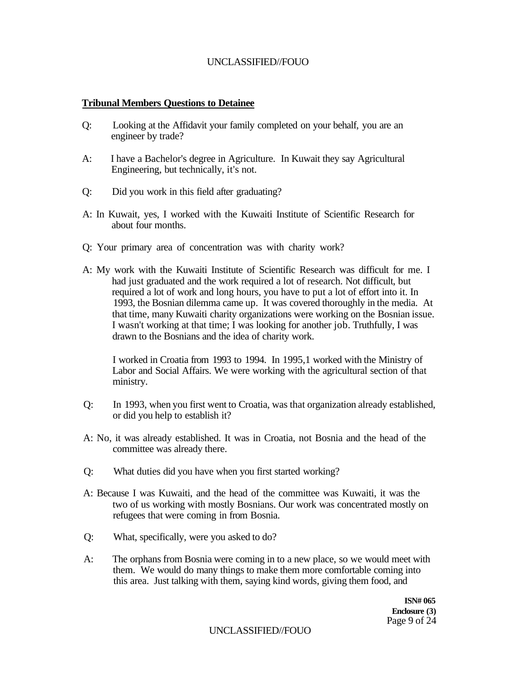### **Tribunal Members Questions to Detainee**

- Q: Looking at the Affidavit your family completed on your behalf, you are an engineer by trade?
- A: I have a Bachelor's degree in Agriculture. In Kuwait they say Agricultural Engineering, but technically, it's not.
- Q: Did you work in this field after graduating?
- A: In Kuwait, yes, I worked with the Kuwaiti Institute of Scientific Research for about four months.
- Q: Your primary area of concentration was with charity work?
- A: My work with the Kuwaiti Institute of Scientific Research was difficult for me. I had just graduated and the work required a lot of research. Not difficult, but required a lot of work and long hours, you have to put a lot of effort into it. In 1993, the Bosnian dilemma came up. It was covered thoroughly in the media. At that time, many Kuwaiti charity organizations were working on the Bosnian issue. I wasn't working at that time; I was looking for another job. Truthfully, I was drawn to the Bosnians and the idea of charity work.

I worked in Croatia from 1993 to 1994. In 1995,1 worked with the Ministry of Labor and Social Affairs. We were working with the agricultural section of that ministry.

- Q: In 1993, when you first went to Croatia, was that organization already established, or did you help to establish it?
- A: No, it was already established. It was in Croatia, not Bosnia and the head of the committee was already there.
- Q: What duties did you have when you first started working?
- A: Because I was Kuwaiti, and the head of the committee was Kuwaiti, it was the two of us working with mostly Bosnians. Our work was concentrated mostly on refugees that were coming in from Bosnia.
- Q: What, specifically, were you asked to do?
- A: The orphans from Bosnia were coming in to a new place, so we would meet with them. We would do many things to make them more comfortable coming into this area. Just talking with them, saying kind words, giving them food, and

**ISN# 065 Enclosure (3)**  Page 9 of 24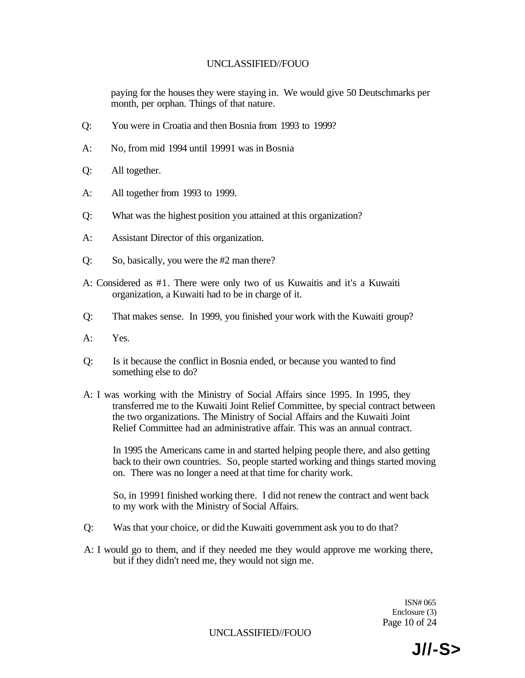paying for the houses they were staying in. We would give 50 Deutschmarks per month, per orphan. Things of that nature.

- Q: You were in Croatia and then Bosnia from 1993 to 1999?
- A: No, from mid 1994 until 19991 was in Bosnia
- Q: All together.
- A: All together from 1993 to 1999.
- Q: What was the highest position you attained at this organization?
- A: Assistant Director of this organization.
- Q: So, basically, you were the #2 man there?
- A: Considered as #1. There were only two of us Kuwaitis and it's a Kuwaiti organization, a Kuwaiti had to be in charge of it.
- Q: That makes sense. In 1999, you finished your work with the Kuwaiti group?
- A: Yes.
- Q: Is it because the conflict in Bosnia ended, or because you wanted to find something else to do?
- A: I was working with the Ministry of Social Affairs since 1995. In 1995, they transferred me to the Kuwaiti Joint Relief Committee, by special contract between the two organizations. The Ministry of Social Affairs and the Kuwaiti Joint Relief Committee had an administrative affair. This was an annual contract.

In 1995 the Americans came in and started helping people there, and also getting back to their own countries. So, people started working and things started moving on. There was no longer a need at that time for charity work.

So, in 19991 finished working there. I did not renew the contract and went back to my work with the Ministry of Social Affairs.

- Q: Was that your choice, or did the Kuwaiti government ask you to do that?
- A: I would go to them, and if they needed me they would approve me working there, but if they didn't need me, they would not sign me.

ISN# 065 Enclosure (3) Page 10 of 24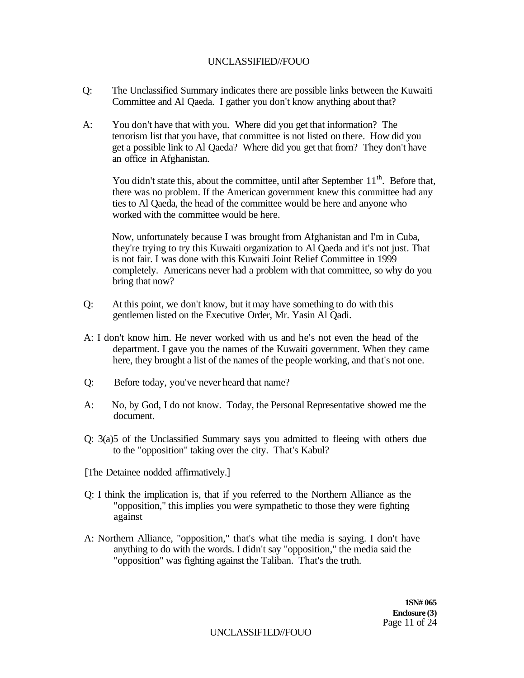- Q: The Unclassified Summary indicates there are possible links between the Kuwaiti Committee and Al Qaeda. I gather you don't know anything about that?
- A: You don't have that with you. Where did you get that information? The terrorism list that you have, that committee is not listed on there. How did you get a possible link to Al Qaeda? Where did you get that from? They don't have an office in Afghanistan.

You didn't state this, about the committee, until after September  $11<sup>th</sup>$ . Before that, there was no problem. If the American government knew this committee had any ties to Al Qaeda, the head of the committee would be here and anyone who worked with the committee would be here.

Now, unfortunately because I was brought from Afghanistan and I'm in Cuba, they're trying to try this Kuwaiti organization to Al Qaeda and it's not just. That is not fair. I was done with this Kuwaiti Joint Relief Committee in 1999 completely. Americans never had a problem with that committee, so why do you bring that now?

- Q: At this point, we don't know, but it may have something to do with this gentlemen listed on the Executive Order, Mr. Yasin Al Qadi.
- A: I don't know him. He never worked with us and he's not even the head of the department. I gave you the names of the Kuwaiti government. When they came here, they brought a list of the names of the people working, and that's not one.
- Q: Before today, you've never heard that name?
- A: No, by God, I do not know. Today, the Personal Representative showed me the document.
- Q: 3(a)5 of the Unclassified Summary says you admitted to fleeing with others due to the "opposition" taking over the city. That's Kabul?
- [The Detainee nodded affirmatively.]
- Q: I think the implication is, that if you referred to the Northern Alliance as the "opposition," this implies you were sympathetic to those they were fighting against
- A: Northern Alliance, "opposition," that's what tihe media is saying. I don't have anything to do with the words. I didn't say "opposition," the media said the "opposition" was fighting against the Taliban. That's the truth.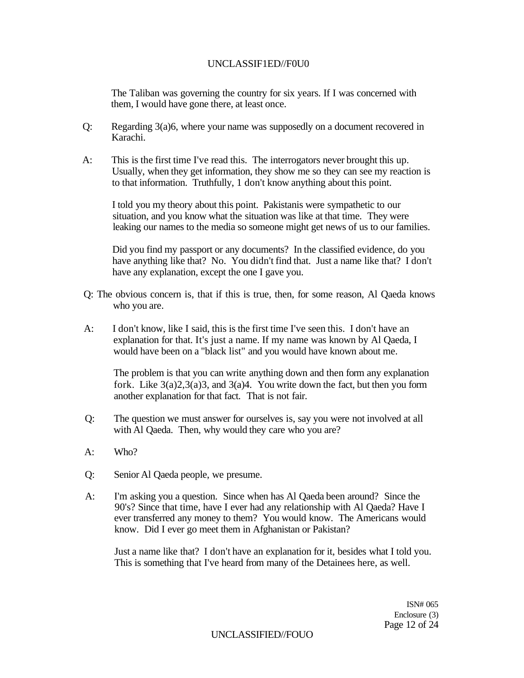# UNCLASSIF1ED//F0U0

The Taliban was governing the country for six years. If I was concerned with them, I would have gone there, at least once.

- Q: Regarding 3(a)6, where your name was supposedly on a document recovered in Karachi.
- A: This is the first time I've read this. The interrogators never brought this up. Usually, when they get information, they show me so they can see my reaction is to that information. Truthfully, 1 don't know anything about this point.

I told you my theory about this point. Pakistanis were sympathetic to our situation, and you know what the situation was like at that time. They were leaking our names to the media so someone might get news of us to our families.

Did you find my passport or any documents? In the classified evidence, do you have anything like that? No. You didn't find that. Just a name like that? I don't have any explanation, except the one I gave you.

- Q: The obvious concern is, that if this is true, then, for some reason, Al Qaeda knows who you are.
- A: I don't know, like I said, this is the first time I've seen this. I don't have an explanation for that. It's just a name. If my name was known by Al Qaeda, I would have been on a "black list" and you would have known about me.

The problem is that you can write anything down and then form any explanation fork. Like  $3(a)2,3(a)3$ , and  $3(a)4$ . You write down the fact, but then you form another explanation for that fact. That is not fair.

- Q: The question we must answer for ourselves is, say you were not involved at all with Al Qaeda. Then, why would they care who you are?
- A: Who?
- Q: Senior Al Qaeda people, we presume.
- A: I'm asking you a question. Since when has Al Qaeda been around? Since the 90's? Since that time, have I ever had any relationship with Al Qaeda? Have I ever transferred any money to them? You would know. The Americans would know. Did I ever go meet them in Afghanistan or Pakistan?

Just a name like that? I don't have an explanation for it, besides what I told you. This is something that I've heard from many of the Detainees here, as well.

> ISN# 065 Enclosure (3) Page 12 of 24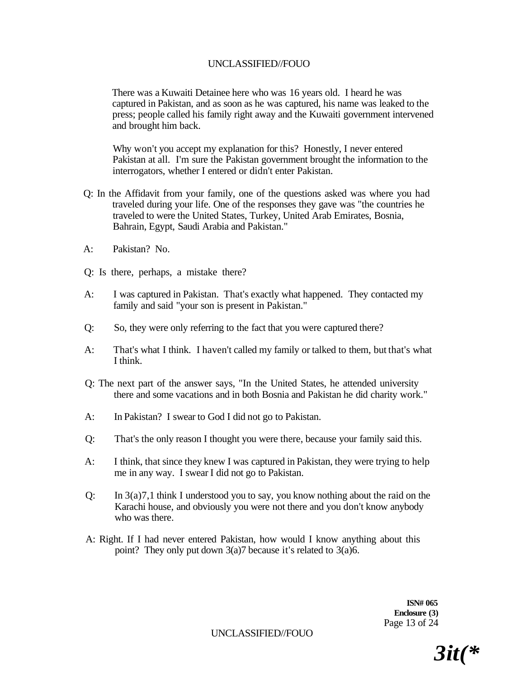There was a Kuwaiti Detainee here who was 16 years old. I heard he was captured in Pakistan, and as soon as he was captured, his name was leaked to the press; people called his family right away and the Kuwaiti government intervened and brought him back.

Why won't you accept my explanation for this? Honestly, I never entered Pakistan at all. I'm sure the Pakistan government brought the information to the interrogators, whether I entered or didn't enter Pakistan.

- Q: In the Affidavit from your family, one of the questions asked was where you had traveled during your life. One of the responses they gave was "the countries he traveled to were the United States, Turkey, United Arab Emirates, Bosnia, Bahrain, Egypt, Saudi Arabia and Pakistan."
- A: Pakistan? No.
- Q: Is there, perhaps, a mistake there?
- A: I was captured in Pakistan. That's exactly what happened. They contacted my family and said "your son is present in Pakistan."
- Q: So, they were only referring to the fact that you were captured there?
- A: That's what I think. I haven't called my family or talked to them, but that's what I think.
- Q: The next part of the answer says, "In the United States, he attended university there and some vacations and in both Bosnia and Pakistan he did charity work."
- A: In Pakistan? I swear to God I did not go to Pakistan.
- Q: That's the only reason I thought you were there, because your family said this.
- A: I think, that since they knew I was captured in Pakistan, they were trying to help me in any way. I swear I did not go to Pakistan.
- Q: In 3(a)7,1 think I understood you to say, you know nothing about the raid on the Karachi house, and obviously you were not there and you don't know anybody who was there.
- A: Right. If I had never entered Pakistan, how would I know anything about this point? They only put down 3(a)7 because it's related to 3(a)6.

**ISN# 065 Enclosure (3)**  Page 13 of 24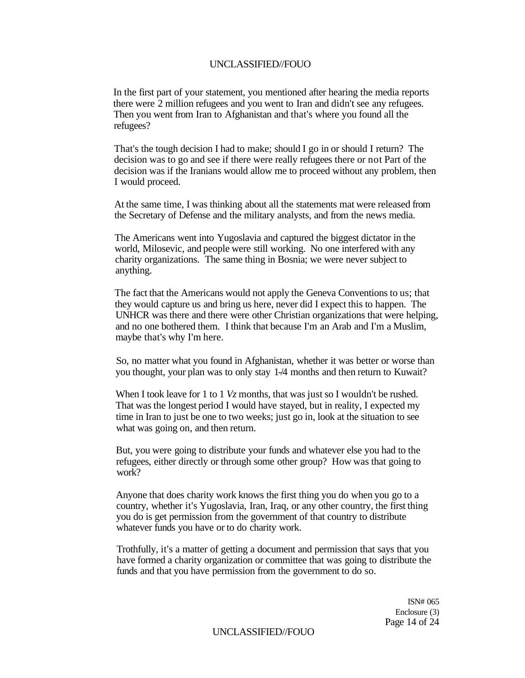In the first part of your statement, you mentioned after hearing the media reports there were 2 million refugees and you went to Iran and didn't see any refugees. Then you went from Iran to Afghanistan and that's where you found all the refugees?

That's the tough decision I had to make; should I go in or should I return? The decision was to go and see if there were really refugees there or not Part of the decision was if the Iranians would allow me to proceed without any problem, then I would proceed.

At the same time, I was thinking about all the statements mat were released from the Secretary of Defense and the military analysts, and from the news media.

The Americans went into Yugoslavia and captured the biggest dictator in the world, Milosevic, and people were still working. No one interfered with any charity organizations. The same thing in Bosnia; we were never subject to anything.

The fact that the Americans would not apply the Geneva Conventions to us; that they would capture us and bring us here, never did I expect this to happen. The UNHCR was there and there were other Christian organizations that were helping, and no one bothered them. I think that because I'm an Arab and I'm a Muslim, maybe that's why I'm here.

So, no matter what you found in Afghanistan, whether it was better or worse than you thought, your plan was to only stay 1-/4 months and then return to Kuwait?

When I took leave for 1 to 1  $V_z$  months, that was just so I wouldn't be rushed. That was the longest period I would have stayed, but in reality, I expected my time in Iran to just be one to two weeks; just go in, look at the situation to see what was going on, and then return.

But, you were going to distribute your funds and whatever else you had to the refugees, either directly or through some other group? How was that going to work?

Anyone that does charity work knows the first thing you do when you go to a country, whether it's Yugoslavia, Iran, Iraq, or any other country, the first thing you do is get permission from the government of that country to distribute whatever funds you have or to do charity work.

Trothfully, it's a matter of getting a document and permission that says that you have formed a charity organization or committee that was going to distribute the funds and that you have permission from the government to do so.

> ISN# 065 Enclosure (3) Page 14 of 24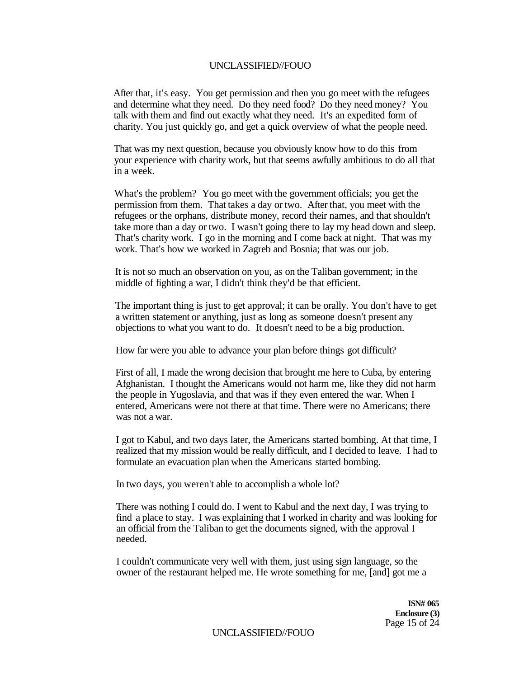After that, it's easy. You get permission and then you go meet with the refugees and determine what they need. Do they need food? Do they need money? You talk with them and find out exactly what they need. It's an expedited form of charity. You just quickly go, and get a quick overview of what the people need.

That was my next question, because you obviously know how to do this from your experience with charity work, but that seems awfully ambitious to do all that in a week.

What's the problem? You go meet with the government officials; you get the permission from them. That takes a day or two. After that, you meet with the refugees or the orphans, distribute money, record their names, and that shouldn't take more than a day or two. I wasn't going there to lay my head down and sleep. That's charity work. I go in the morning and I come back at night. That was my work. That's how we worked in Zagreb and Bosnia; that was our job.

It is not so much an observation on you, as on the Taliban government; in the middle of fighting a war, I didn't think they'd be that efficient.

The important thing is just to get approval; it can be orally. You don't have to get a written statement or anything, just as long as someone doesn't present any objections to what you want to do. It doesn't need to be a big production.

How far were you able to advance your plan before things got difficult?

First of all, I made the wrong decision that brought me here to Cuba, by entering Afghanistan. I thought the Americans would not harm me, like they did not harm the people in Yugoslavia, and that was if they even entered the war. When I entered, Americans were not there at that time. There were no Americans; there was not a war.

I got to Kabul, and two days later, the Americans started bombing. At that time, I realized that my mission would be really difficult, and I decided to leave. I had to formulate an evacuation plan when the Americans started bombing.

In two days, you weren't able to accomplish a whole lot?

There was nothing I could do. I went to Kabul and the next day, I was trying to find a place to stay. I was explaining that I worked in charity and was looking for an official from the Taliban to get the documents signed, with the approval I needed.

I couldn't communicate very well with them, just using sign language, so the owner of the restaurant helped me. He wrote something for me, [and] got me a

> **ISN# 065 Enclosure (3)**  Page 15 of 24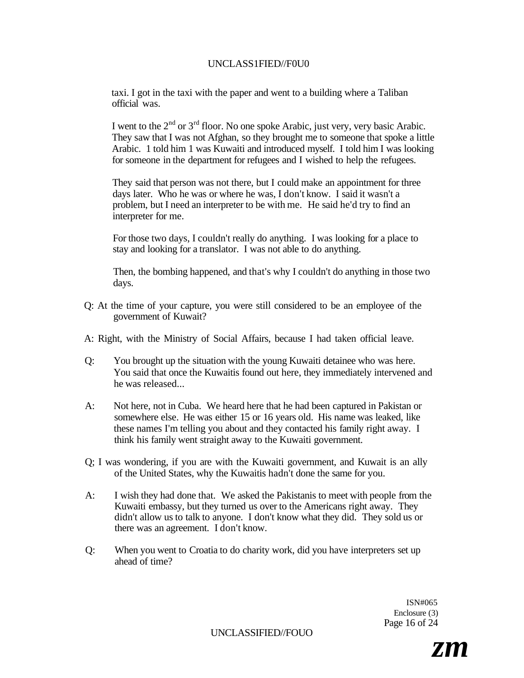## UNCLASS1FIED//F0U0

taxi. I got in the taxi with the paper and went to a building where a Taliban official was.

I went to the  $2<sup>nd</sup>$  or  $3<sup>rd</sup>$  floor. No one spoke Arabic, just very, very basic Arabic. They saw that I was not Afghan, so they brought me to someone that spoke a little Arabic. 1 told him 1 was Kuwaiti and introduced myself. I told him I was looking for someone in the department for refugees and I wished to help the refugees.

They said that person was not there, but I could make an appointment for three days later. Who he was or where he was, I don't know. I said it wasn't a problem, but I need an interpreter to be with me. He said he'd try to find an interpreter for me.

For those two days, I couldn't really do anything. I was looking for a place to stay and looking for a translator. I was not able to do anything.

Then, the bombing happened, and that's why I couldn't do anything in those two days.

- Q: At the time of your capture, you were still considered to be an employee of the government of Kuwait?
- A: Right, with the Ministry of Social Affairs, because I had taken official leave.
- Q: You brought up the situation with the young Kuwaiti detainee who was here. You said that once the Kuwaitis found out here, they immediately intervened and he was released...
- A: Not here, not in Cuba. We heard here that he had been captured in Pakistan or somewhere else. He was either 15 or 16 years old. His name was leaked, like these names I'm telling you about and they contacted his family right away. I think his family went straight away to the Kuwaiti government.
- Q; I was wondering, if you are with the Kuwaiti government, and Kuwait is an ally of the United States, why the Kuwaitis hadn't done the same for you.
- A: I wish they had done that. We asked the Pakistanis to meet with people from the Kuwaiti embassy, but they turned us over to the Americans right away. They didn't allow us to talk to anyone. I don't know what they did. They sold us or there was an agreement. I don't know.
- Q: When you went to Croatia to do charity work, did you have interpreters set up ahead of time?

ISN#065 Enclosure (3) Page 16 of 24

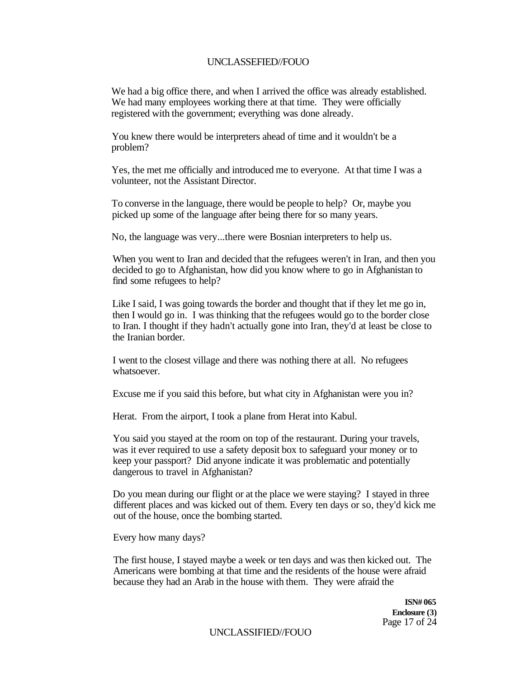We had a big office there, and when I arrived the office was already established. We had many employees working there at that time. They were officially registered with the government; everything was done already.

You knew there would be interpreters ahead of time and it wouldn't be a problem?

Yes, the met me officially and introduced me to everyone. At that time I was a volunteer, not the Assistant Director.

To converse in the language, there would be people to help? Or, maybe you picked up some of the language after being there for so many years.

No, the language was very...there were Bosnian interpreters to help us.

When you went to Iran and decided that the refugees weren't in Iran, and then you decided to go to Afghanistan, how did you know where to go in Afghanistan to find some refugees to help?

Like I said, I was going towards the border and thought that if they let me go in, then I would go in. I was thinking that the refugees would go to the border close to Iran. I thought if they hadn't actually gone into Iran, they'd at least be close to the Iranian border.

I went to the closest village and there was nothing there at all. No refugees whatsoever.

Excuse me if you said this before, but what city in Afghanistan were you in?

Herat. From the airport, I took a plane from Herat into Kabul.

You said you stayed at the room on top of the restaurant. During your travels, was it ever required to use a safety deposit box to safeguard your money or to keep your passport? Did anyone indicate it was problematic and potentially dangerous to travel in Afghanistan?

Do you mean during our flight or at the place we were staying? I stayed in three different places and was kicked out of them. Every ten days or so, they'd kick me out of the house, once the bombing started.

Every how many days?

The first house, I stayed maybe a week or ten days and was then kicked out. The Americans were bombing at that time and the residents of the house were afraid because they had an Arab in the house with them. They were afraid the

> **ISN# 065 Enclosure (3)**  Page 17 of 24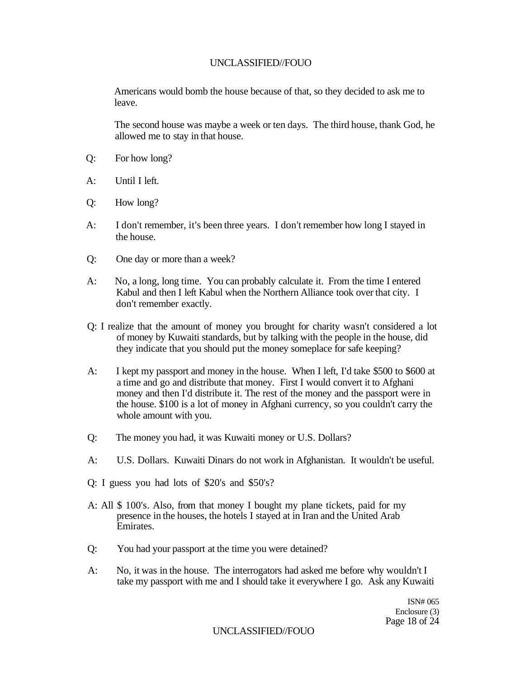Americans would bomb the house because of that, so they decided to ask me to leave.

The second house was maybe a week or ten days. The third house, thank God, he allowed me to stay in that house.

- Q: For how long?
- A: Until I left.
- Q: How long?
- A: I don't remember, it's been three years. I don't remember how long I stayed in the house.
- Q: One day or more than a week?
- A: No, a long, long time. You can probably calculate it. From the time I entered Kabul and then I left Kabul when the Northern Alliance took over that city. I don't remember exactly.
- Q: I realize that the amount of money you brought for charity wasn't considered a lot of money by Kuwaiti standards, but by talking with the people in the house, did they indicate that you should put the money someplace for safe keeping?
- A: I kept my passport and money in the house. When I left, I'd take \$500 to \$600 at a time and go and distribute that money. First I would convert it to Afghani money and then I'd distribute it. The rest of the money and the passport were in the house. \$100 is a lot of money in Afghani currency, so you couldn't carry the whole amount with you.
- Q: The money you had, it was Kuwaiti money or U.S. Dollars?
- A: U.S. Dollars. Kuwaiti Dinars do not work in Afghanistan. It wouldn't be useful.
- Q: I guess you had lots of \$20's and \$50's?
- A: All \$ 100's. Also, from that money I bought my plane tickets, paid for my presence in the houses, the hotels I stayed at in Iran and the United Arab Emirates.
- Q: You had your passport at the time you were detained?
- A: No, it was in the house. The interrogators had asked me before why wouldn't I take my passport with me and I should take it everywhere I go. Ask any Kuwaiti

ISN# 065 Enclosure (3) Page 18 of 24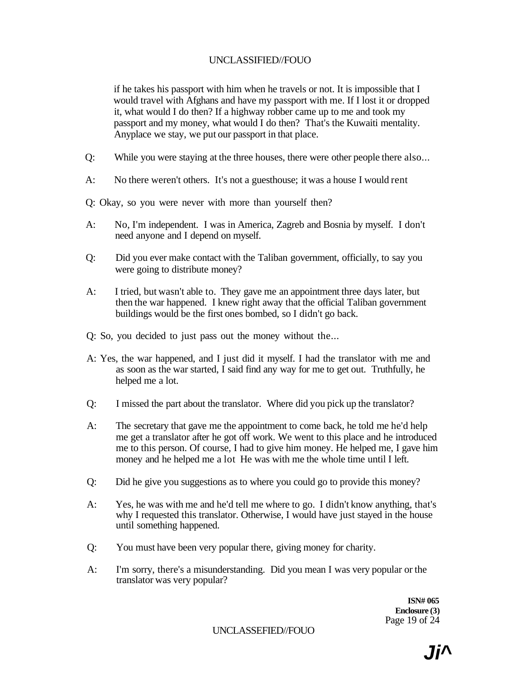if he takes his passport with him when he travels or not. It is impossible that I would travel with Afghans and have my passport with me. If I lost it or dropped it, what would I do then? If a highway robber came up to me and took my passport and my money, what would I do then? That's the Kuwaiti mentality. Anyplace we stay, we put our passport in that place.

- Q: While you were staying at the three houses, there were other people there also...
- A: No there weren't others. It's not a guesthouse; it was a house I would rent
- Q: Okay, so you were never with more than yourself then?
- A: No, I'm independent. I was in America, Zagreb and Bosnia by myself. I don't need anyone and I depend on myself.
- Q: Did you ever make contact with the Taliban government, officially, to say you were going to distribute money?
- A: I tried, but wasn't able to. They gave me an appointment three days later, but then the war happened. I knew right away that the official Taliban government buildings would be the first ones bombed, so I didn't go back.
- Q: So, you decided to just pass out the money without the...
- A: Yes, the war happened, and I just did it myself. I had the translator with me and as soon as the war started, I said find any way for me to get out. Truthfully, he helped me a lot.
- Q: I missed the part about the translator. Where did you pick up the translator?
- A: The secretary that gave me the appointment to come back, he told me he'd help me get a translator after he got off work. We went to this place and he introduced me to this person. Of course, I had to give him money. He helped me, I gave him money and he helped me a lot He was with me the whole time until I left.
- Q: Did he give you suggestions as to where you could go to provide this money?
- A: Yes, he was with me and he'd tell me where to go. I didn't know anything, that's why I requested this translator. Otherwise, I would have just stayed in the house until something happened.
- Q: You must have been very popular there, giving money for charity.
- A: I'm sorry, there's a misunderstanding. Did you mean I was very popular or the translator was very popular?

**ISN# 065 Enclosure (3)**  Page 19 of 24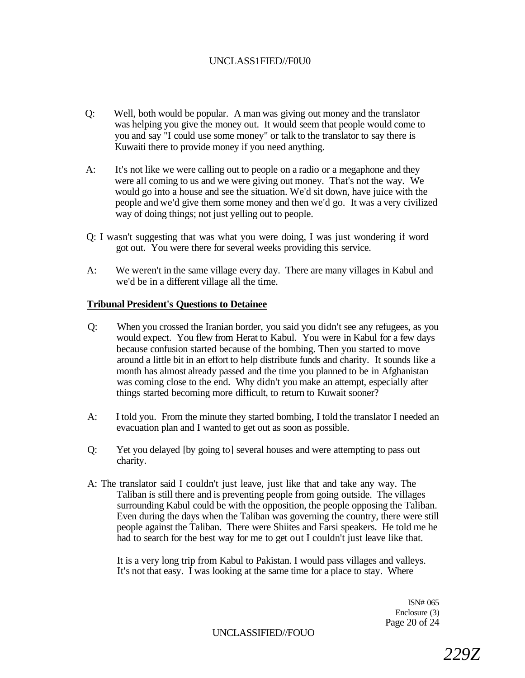# UNCLASS1FIED//F0U0

- Q: Well, both would be popular. A man was giving out money and the translator was helping you give the money out. It would seem that people would come to you and say "I could use some money" or talk to the translator to say there is Kuwaiti there to provide money if you need anything.
- A: It's not like we were calling out to people on a radio or a megaphone and they were all coming to us and we were giving out money. That's not the way. We would go into a house and see the situation. We'd sit down, have juice with the people and we'd give them some money and then we'd go. It was a very civilized way of doing things; not just yelling out to people.
- Q: I wasn't suggesting that was what you were doing, I was just wondering if word got out. You were there for several weeks providing this service.
- A: We weren't in the same village every day. There are many villages in Kabul and we'd be in a different village all the time.

#### **Tribunal President's Questions to Detainee**

- Q: When you crossed the Iranian border, you said you didn't see any refugees, as you would expect. You flew from Herat to Kabul. You were in Kabul for a few days because confusion started because of the bombing. Then you started to move around a little bit in an effort to help distribute funds and charity. It sounds like a month has almost already passed and the time you planned to be in Afghanistan was coming close to the end. Why didn't you make an attempt, especially after things started becoming more difficult, to return to Kuwait sooner?
- A: I told you. From the minute they started bombing, I told the translator I needed an evacuation plan and I wanted to get out as soon as possible.
- Q: Yet you delayed [by going to] several houses and were attempting to pass out charity.
- A: The translator said I couldn't just leave, just like that and take any way. The Taliban is still there and is preventing people from going outside. The villages surrounding Kabul could be with the opposition, the people opposing the Taliban. Even during the days when the Taliban was governing the country, there were still people against the Taliban. There were Shiites and Farsi speakers. He told me he had to search for the best way for me to get out I couldn't just leave like that.

It is a very long trip from Kabul to Pakistan. I would pass villages and valleys. It's not that easy. I was looking at the same time for a place to stay. Where

> ISN# 065 Enclosure (3) Page 20 of 24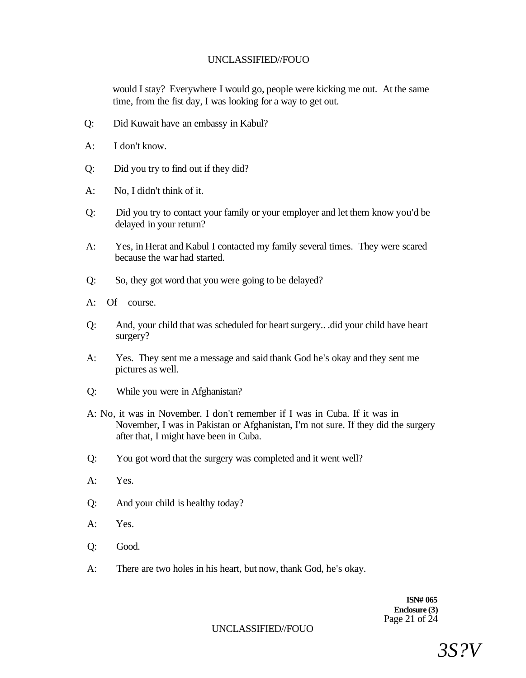would I stay? Everywhere I would go, people were kicking me out. At the same time, from the fist day, I was looking for a way to get out.

- Q: Did Kuwait have an embassy in Kabul?
- A: I don't know.
- Q: Did you try to find out if they did?
- A: No, I didn't think of it.
- Q: Did you try to contact your family or your employer and let them know you'd be delayed in your return?
- A: Yes, in Herat and Kabul I contacted my family several times. They were scared because the war had started.
- Q: So, they got word that you were going to be delayed?
- A: Of course.
- Q: And, your child that was scheduled for heart surgery.. .did your child have heart surgery?
- A: Yes. They sent me a message and said thank God he's okay and they sent me pictures as well.
- Q: While you were in Afghanistan?
- A: No, it was in November. I don't remember if I was in Cuba. If it was in November, I was in Pakistan or Afghanistan, I'm not sure. If they did the surgery after that, I might have been in Cuba.
- Q: You got word that the surgery was completed and it went well?
- A: Yes.
- Q: And your child is healthy today?
- A: Yes.
- Q: Good.
- A: There are two holes in his heart, but now, thank God, he's okay.

**ISN# 065 Enclosure (3)**  Page 21 of 24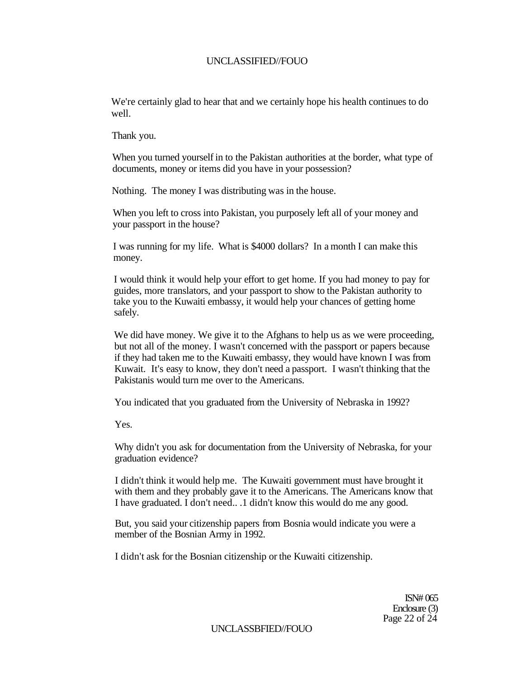We're certainly glad to hear that and we certainly hope his health continues to do well.

Thank you.

When you turned yourself in to the Pakistan authorities at the border, what type of documents, money or items did you have in your possession?

Nothing. The money I was distributing was in the house.

When you left to cross into Pakistan, you purposely left all of your money and your passport in the house?

I was running for my life. What is \$4000 dollars? In a month I can make this money.

I would think it would help your effort to get home. If you had money to pay for guides, more translators, and your passport to show to the Pakistan authority to take you to the Kuwaiti embassy, it would help your chances of getting home safely.

We did have money. We give it to the Afghans to help us as we were proceeding, but not all of the money. I wasn't concerned with the passport or papers because if they had taken me to the Kuwaiti embassy, they would have known I was from Kuwait. It's easy to know, they don't need a passport. I wasn't thinking that the Pakistanis would turn me over to the Americans.

You indicated that you graduated from the University of Nebraska in 1992?

Yes.

Why didn't you ask for documentation from the University of Nebraska, for your graduation evidence?

I didn't think it would help me. The Kuwaiti government must have brought it with them and they probably gave it to the Americans. The Americans know that I have graduated. I don't need.. .1 didn't know this would do me any good.

But, you said your citizenship papers from Bosnia would indicate you were a member of the Bosnian Army in 1992.

I didn't ask for the Bosnian citizenship or the Kuwaiti citizenship.

ISN# 065 Enclosure (3) Page 22 of 24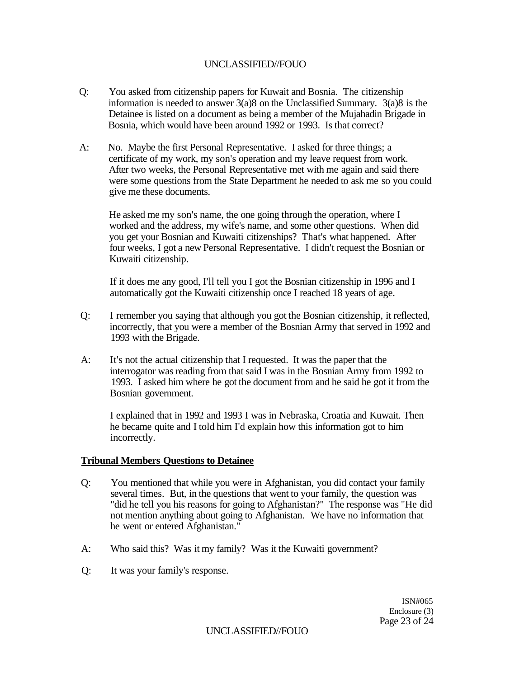- Q: You asked from citizenship papers for Kuwait and Bosnia. The citizenship information is needed to answer 3(a)8 on the Unclassified Summary. 3(a)8 is the Detainee is listed on a document as being a member of the Mujahadin Brigade in Bosnia, which would have been around 1992 or 1993. Is that correct?
- A: No. Maybe the first Personal Representative. I asked for three things; a certificate of my work, my son's operation and my leave request from work. After two weeks, the Personal Representative met with me again and said there were some questions from the State Department he needed to ask me so you could give me these documents.

He asked me my son's name, the one going through the operation, where I worked and the address, my wife's name, and some other questions. When did you get your Bosnian and Kuwaiti citizenships? That's what happened. After four weeks, I got a new Personal Representative. I didn't request the Bosnian or Kuwaiti citizenship.

If it does me any good, I'll tell you I got the Bosnian citizenship in 1996 and I automatically got the Kuwaiti citizenship once I reached 18 years of age.

- Q: I remember you saying that although you got the Bosnian citizenship, it reflected, incorrectly, that you were a member of the Bosnian Army that served in 1992 and 1993 with the Brigade.
- A: It's not the actual citizenship that I requested. It was the paper that the interrogator was reading from that said I was in the Bosnian Army from 1992 to 1993. I asked him where he got the document from and he said he got it from the Bosnian government.

I explained that in 1992 and 1993 I was in Nebraska, Croatia and Kuwait. Then he became quite and I told him I'd explain how this information got to him incorrectly.

## **Tribunal Members Questions to Detainee**

- Q: You mentioned that while you were in Afghanistan, you did contact your family several times. But, in the questions that went to your family, the question was "did he tell you his reasons for going to Afghanistan?" The response was "He did not mention anything about going to Afghanistan. We have no information that he went or entered Afghanistan."
- A: Who said this? Was it my family? Was it the Kuwaiti government?
- Q: It was your family's response.

ISN#065 Enclosure (3) Page 23 of 24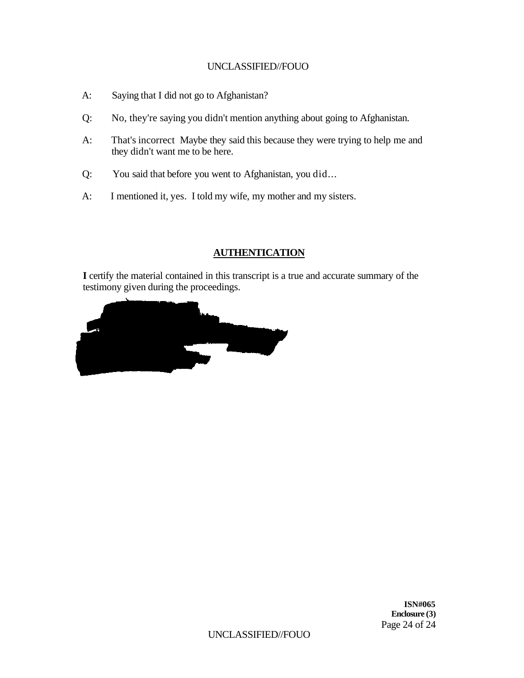- A: Saying that I did not go to Afghanistan?
- Q: No, they're saying you didn't mention anything about going to Afghanistan.
- A: That's incorrect Maybe they said this because they were trying to help me and they didn't want me to be here.
- Q: You said that before you went to Afghanistan, you did...
- A: I mentioned it, yes. I told my wife, my mother and my sisters.

# **AUTHENTICATION**

**I** certify the material contained in this transcript is a true and accurate summary of the testimony given during the proceedings.

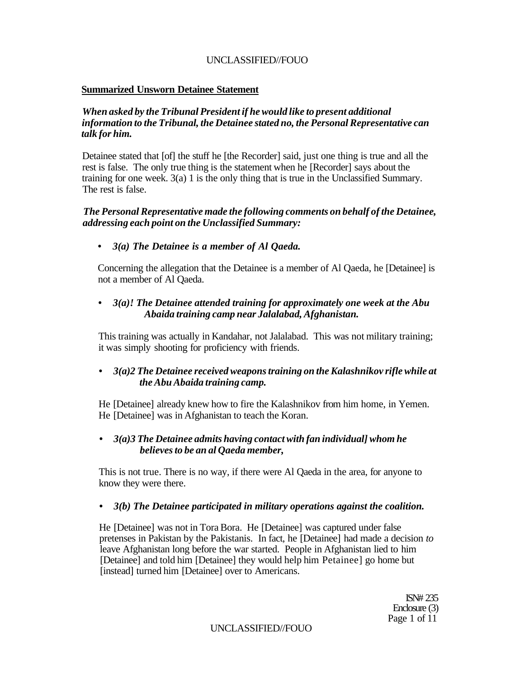# **Summarized Unsworn Detainee Statement**

### *When asked by the Tribunal President if he would like to present additional information to the Tribunal, the Detainee stated no, the Personal Representative can talk for him.*

Detainee stated that [of] the stuff he [the Recorder] said, just one thing is true and all the rest is false. The only true thing is the statement when he [Recorder] says about the training for one week. 3(a) 1 is the only thing that is true in the Unclassified Summary. The rest is false.

# *The Personal Representative made the following comments on behalf of the Detainee, addressing each point on the Unclassified Summary:*

*• 3(a) The Detainee is a member of Al Qaeda.* 

Concerning the allegation that the Detainee is a member of Al Qaeda, he [Detainee] is not a member of Al Qaeda.

# **•** *3(a)! The Detainee attended training for approximately one week at the Abu Abaida training camp near Jalalabad, Afghanistan.*

This training was actually in Kandahar, not Jalalabad. This was not military training; it was simply shooting for proficiency with friends.

# **•** *3(a)2 The Detainee received weapons training on the Kalashnikov rifle while at the Abu Abaida training camp.*

He [Detainee] already knew how to fire the Kalashnikov from him home, in Yemen. He [Detainee] was in Afghanistan to teach the Koran.

## **•** *3(a)3 The Detainee admits having contact with fan individual] whom he believes to be an al Qaeda member,*

This is not true. There is no way, if there were Al Qaeda in the area, for anyone to know they were there.

## **•** *3(b) The Detainee participated in military operations against the coalition.*

He [Detainee] was not in Tora Bora. He [Detainee] was captured under false pretenses in Pakistan by the Pakistanis. In fact, he [Detainee] had made a decision *to*  leave Afghanistan long before the war started. People in Afghanistan lied to him [Detainee] and told him [Detainee] they would help him Petainee] go home but [instead] turned him [Detainee] over to Americans.

> ISN# 235 Enclosure (3) Page 1 of 11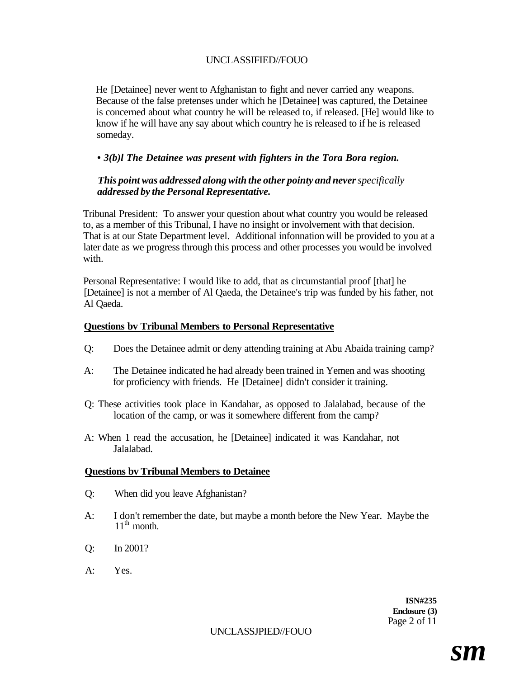He [Detainee] never went to Afghanistan to fight and never carried any weapons. Because of the false pretenses under which he [Detainee] was captured, the Detainee is concerned about what country he will be released to, if released. [He] would like to know if he will have any say about which country he is released to if he is released someday.

# **•** *3(b)l The Detainee was present with fighters in the Tora Bora region.*

# *This point was addressed along with the other pointy and never specifically addressed by the Personal Representative.*

Tribunal President: To answer your question about what country you would be released to, as a member of this Tribunal, I have no insight or involvement with that decision. That is at our State Department level. Additional infonnation will be provided to you at a later date as we progress through this process and other processes you would be involved with.

Personal Representative: I would like to add, that as circumstantial proof [that] he [Detainee] is not a member of Al Qaeda, the Detainee's trip was funded by his father, not Al Qaeda.

### **Questions bv Tribunal Members to Personal Representative**

- Q: Does the Detainee admit or deny attending training at Abu Abaida training camp?
- A: The Detainee indicated he had already been trained in Yemen and was shooting for proficiency with friends. He [Detainee] didn't consider it training.
- Q: These activities took place in Kandahar, as opposed to Jalalabad, because of the location of the camp, or was it somewhere different from the camp?
- A: When 1 read the accusation, he [Detainee] indicated it was Kandahar, not Jalalabad.

#### **Questions bv Tribunal Members to Detainee**

- Q: When did you leave Afghanistan?
- A: I don't remember the date, but maybe a month before the New Year. Maybe the  $11<sup>th</sup>$  month.
- Q: In 2001?
- A: Yes.

**ISN#235 Enclosure (3)**  Page 2 of 11

UNCLASSJPIED//FOUO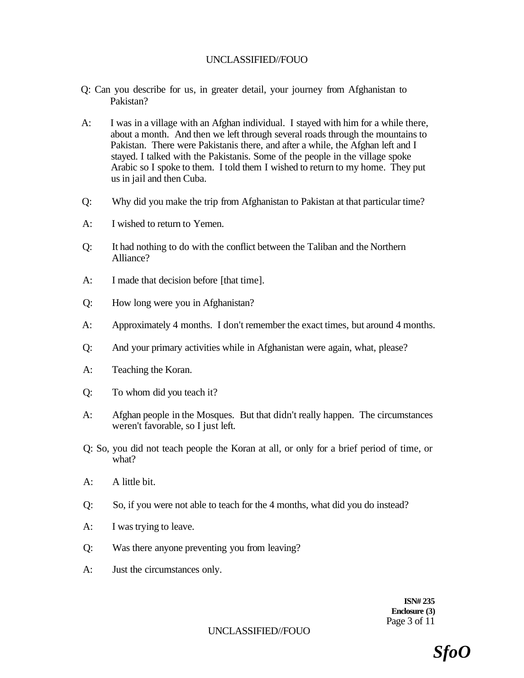- Q: Can you describe for us, in greater detail, your journey from Afghanistan to Pakistan?
- A: I was in a village with an Afghan individual. I stayed with him for a while there, about a month. And then we left through several roads through the mountains to Pakistan. There were Pakistanis there, and after a while, the Afghan left and I stayed. I talked with the Pakistanis. Some of the people in the village spoke Arabic so I spoke to them. I told them I wished to return to my home. They put us in jail and then Cuba.
- Q: Why did you make the trip from Afghanistan to Pakistan at that particular time?
- A: I wished to return to Yemen.
- Q: It had nothing to do with the conflict between the Taliban and the Northern Alliance?
- A: I made that decision before [that time].
- Q: How long were you in Afghanistan?
- A: Approximately 4 months. I don't remember the exact times, but around 4 months.
- Q: And your primary activities while in Afghanistan were again, what, please?
- A: Teaching the Koran.
- Q: To whom did you teach it?
- A: Afghan people in the Mosques. But that didn't really happen. The circumstances weren't favorable, so I just left.
- Q: So, you did not teach people the Koran at all, or only for a brief period of time, or what?
- A: A little bit.
- Q: So, if you were not able to teach for the 4 months, what did you do instead?
- A: I was trying to leave.
- Q: Was there anyone preventing you from leaving?
- A: Just the circumstances only.

**ISN# 235 Enclosure (3)**  Page 3 of 11

UNCLASSIFIED//FOUO

*SfoO*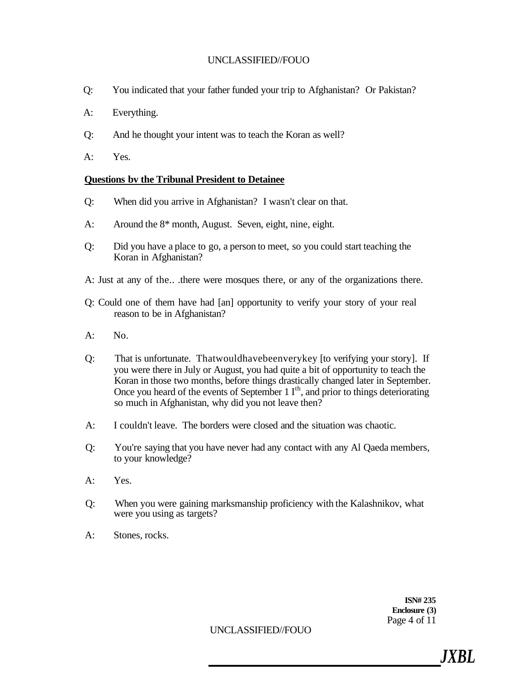- Q: You indicated that your father funded your trip to Afghanistan? Or Pakistan?
- A: Everything.
- Q: And he thought your intent was to teach the Koran as well?
- A: Yes.

### **Questions bv the Tribunal President to Detainee**

- Q: When did you arrive in Afghanistan? I wasn't clear on that.
- A: Around the 8\* month, August. Seven, eight, nine, eight.
- Q: Did you have a place to go, a person to meet, so you could start teaching the Koran in Afghanistan?
- A: Just at any of the.. .there were mosques there, or any of the organizations there.
- Q: Could one of them have had [an] opportunity to verify your story of your real reason to be in Afghanistan?
- A: No.
- Q: That is unfortunate. Thatwouldhavebeenverykey [to verifying your story]. If you were there in July or August, you had quite a bit of opportunity to teach the Koran in those two months, before things drastically changed later in September. Once you heard of the events of September 1  $I<sup>th</sup>$ , and prior to things deteriorating so much in Afghanistan, why did you not leave then?
- A: I couldn't leave. The borders were closed and the situation was chaotic.
- Q: You're saying that you have never had any contact with any Al Qaeda members, to your knowledge?
- A: Yes.
- Q: When you were gaining marksmanship proficiency with the Kalashnikov, what were you using as targets?
- A: Stones, rocks.

**ISN# 235 Enclosure (3)**  Page 4 of 11

UNCLASSIFIED//FOUO

*JXBL*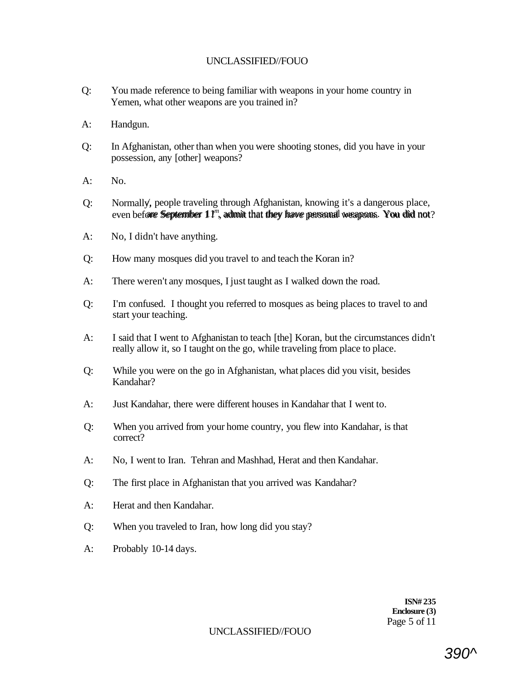- Q: You made reference to being familiar with weapons in your home country in Yemen, what other weapons are you trained in?
- A: Handgun.
- Q: In Afghanistan, other than when you were shooting stones, did you have in your possession, any [other] weapons?
- $A: N_0$ .
- Q: Normally, people traveling through Afghanistan, knowing it's a dangerous place, even before September 1<sup>*m*</sup>, admit that they have personal weapons. You did not?
- A: No, I didn't have anything.
- Q: How many mosques did you travel to and teach the Koran in?
- A: There weren't any mosques, I just taught as I walked down the road.
- Q: I'm confused. I thought you referred to mosques as being places to travel to and start your teaching.
- A: I said that I went to Afghanistan to teach [the] Koran, but the circumstances didn't really allow it, so I taught on the go, while traveling from place to place.
- Q: While you were on the go in Afghanistan, what places did you visit, besides Kandahar?
- A: Just Kandahar, there were different houses in Kandahar that I went to.
- Q: When you arrived from your home country, you flew into Kandahar, is that correct?
- A: No, I went to Iran. Tehran and Mashhad, Herat and then Kandahar.
- Q: The first place in Afghanistan that you arrived was Kandahar?
- A: Herat and then Kandahar.
- Q: When you traveled to Iran, how long did you stay?
- A: Probably 10-14 days.

**ISN# 235 Enclosure (3)**  Page 5 of 11

UNCLASSIFIED//FOUO

390^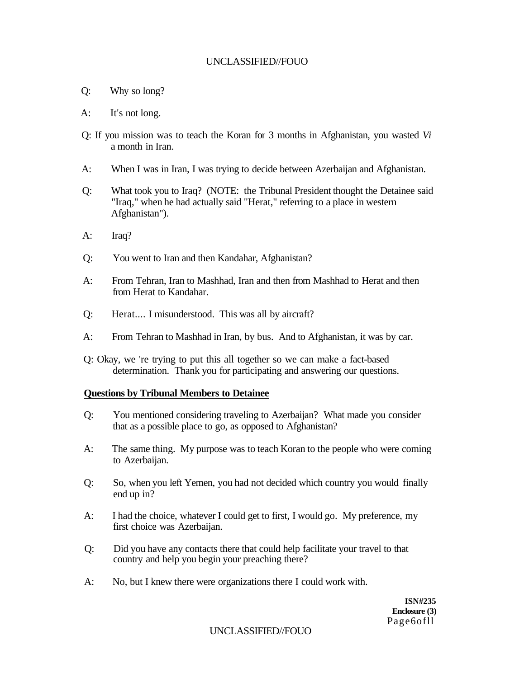- Q: Why so long?
- A: It's not long.
- Q: If you mission was to teach the Koran for 3 months in Afghanistan, you wasted *Vi*  a month in Iran.
- A: When I was in Iran, I was trying to decide between Azerbaijan and Afghanistan.
- Q: What took you to Iraq? (NOTE: the Tribunal President thought the Detainee said "Iraq," when he had actually said "Herat," referring to a place in western Afghanistan").
- A: Iraq?
- Q: You went to Iran and then Kandahar, Afghanistan?
- A: From Tehran, Iran to Mashhad, Iran and then from Mashhad to Herat and then from Herat to Kandahar.
- Q: Herat.... I misunderstood. This was all by aircraft?
- A: From Tehran to Mashhad in Iran, by bus. And to Afghanistan, it was by car.
- Q: Okay, we 're trying to put this all together so we can make a fact-based determination. Thank you for participating and answering our questions.

## **Questions by Tribunal Members to Detainee**

- Q: You mentioned considering traveling to Azerbaijan? What made you consider that as a possible place to go, as opposed to Afghanistan?
- A: The same thing. My purpose was to teach Koran to the people who were coming to Azerbaijan.
- Q: So, when you left Yemen, you had not decided which country you would finally end up in?
- A: I had the choice, whatever I could get to first, I would go. My preference, my first choice was Azerbaijan.
- Q: Did you have any contacts there that could help facilitate your travel to that country and help you begin your preaching there?
- A: No, but I knew there were organizations there I could work with.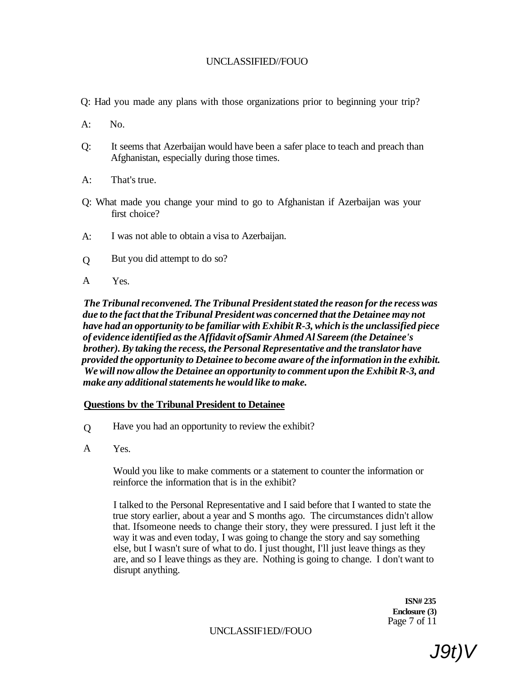Q: Had you made any plans with those organizations prior to beginning your trip?

A: No.

- Q: It seems that Azerbaijan would have been a safer place to teach and preach than Afghanistan, especially during those times.
- A: That's true.
- Q: What made you change your mind to go to Afghanistan if Azerbaijan was your first choice?
- A: I was not able to obtain a visa to Azerbaijan.
- $\overline{O}$ But you did attempt to do so?
- A Yes.

*The Tribunal reconvened. The Tribunal President stated the reason for the recess was due to the fact that the Tribunal President was concerned that the Detainee may not have had an opportunity to be familiar with Exhibit R-3, which is the unclassified piece of evidence identified as the Affidavit ofSamir Ahmed Al Sareem (the Detainee's brother). By taking the recess, the Personal Representative and the translator have provided the opportunity to Detainee to become aware of the information in the exhibit. We will now allow the Detainee an opportunity to comment upon the Exhibit R-3, and make any additional statements he would like to make.* 

#### **Questions bv the Tribunal President to Detainee**

- $\overline{O}$ Have you had an opportunity to review the exhibit?
- A Yes.

Would you like to make comments or a statement to counter the information or reinforce the information that is in the exhibit?

I talked to the Personal Representative and I said before that I wanted to state the true story earlier, about a year and S months ago. The circumstances didn't allow that. Ifsomeone needs to change their story, they were pressured. I just left it the way it was and even today, I was going to change the story and say something else, but I wasn't sure of what to do. I just thought, I'll just leave things as they are, and so I leave things as they are. Nothing is going to change. I don't want to disrupt anything.

> **ISN# 235 Enclosure (3)**  Page 7 of 11

UNCLASSIF1ED//FOUO

J9t)V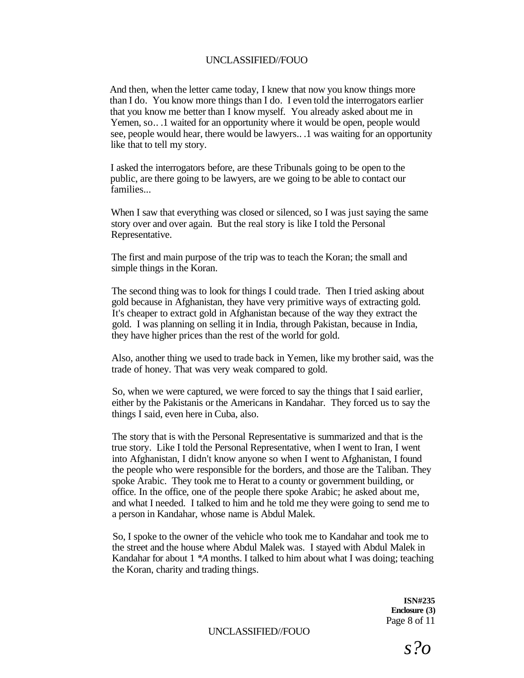And then, when the letter came today, I knew that now you know things more than I do. You know more things than I do. I even told the interrogators earlier that you know me better than I know myself. You already asked about me in Yemen, so.. .1 waited for an opportunity where it would be open, people would see, people would hear, there would be lawyers.. .1 was waiting for an opportunity like that to tell my story.

I asked the interrogators before, are these Tribunals going to be open to the public, are there going to be lawyers, are we going to be able to contact our families...

When I saw that everything was closed or silenced, so I was just saying the same story over and over again. But the real story is like I told the Personal Representative.

The first and main purpose of the trip was to teach the Koran; the small and simple things in the Koran.

The second thing was to look for things I could trade. Then I tried asking about gold because in Afghanistan, they have very primitive ways of extracting gold. It's cheaper to extract gold in Afghanistan because of the way they extract the gold. I was planning on selling it in India, through Pakistan, because in India, they have higher prices than the rest of the world for gold.

Also, another thing we used to trade back in Yemen, like my brother said, was the trade of honey. That was very weak compared to gold.

So, when we were captured, we were forced to say the things that I said earlier, either by the Pakistanis or the Americans in Kandahar. They forced us to say the things I said, even here in Cuba, also.

The story that is with the Personal Representative is summarized and that is the true story. Like I told the Personal Representative, when I went to Iran, I went into Afghanistan, I didn't know anyone so when I went to Afghanistan, I found the people who were responsible for the borders, and those are the Taliban. They spoke Arabic. They took me to Herat to a county or government building, or office. In the office, one of the people there spoke Arabic; he asked about me, and what I needed. I talked to him and he told me they were going to send me to a person in Kandahar, whose name is Abdul Malek.

So, I spoke to the owner of the vehicle who took me to Kandahar and took me to the street and the house where Abdul Malek was. I stayed with Abdul Malek in Kandahar for about 1 *\*A* months. I talked to him about what I was doing; teaching the Koran, charity and trading things.

> **ISN#235 Enclosure (3)**  Page 8 of 11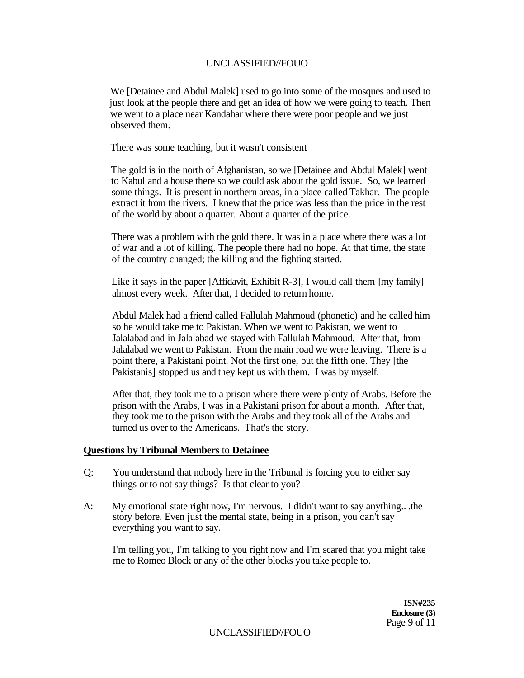We [Detainee and Abdul Malek] used to go into some of the mosques and used to just look at the people there and get an idea of how we were going to teach. Then we went to a place near Kandahar where there were poor people and we just observed them.

There was some teaching, but it wasn't consistent

The gold is in the north of Afghanistan, so we [Detainee and Abdul Malek] went to Kabul and a house there so we could ask about the gold issue. So, we learned some things. It is present in northern areas, in a place called Takhar. The people extract it from the rivers. I knew that the price was less than the price in the rest of the world by about a quarter. About a quarter of the price.

There was a problem with the gold there. It was in a place where there was a lot of war and a lot of killing. The people there had no hope. At that time, the state of the country changed; the killing and the fighting started.

Like it says in the paper [Affidavit, Exhibit R-3], I would call them [my family] almost every week. After that, I decided to return home.

Abdul Malek had a friend called Fallulah Mahmoud (phonetic) and he called him so he would take me to Pakistan. When we went to Pakistan, we went to Jalalabad and in Jalalabad we stayed with Fallulah Mahmoud. After that, from Jalalabad we went to Pakistan. From the main road we were leaving. There is a point there, a Pakistani point. Not the first one, but the fifth one. They [the Pakistanis] stopped us and they kept us with them. I was by myself.

After that, they took me to a prison where there were plenty of Arabs. Before the prison with the Arabs, I was in a Pakistani prison for about a month. After that, they took me to the prison with the Arabs and they took all of the Arabs and turned us over to the Americans. That's the story.

### **Questions by Tribunal Members** to **Detainee**

- Q: You understand that nobody here in the Tribunal is forcing you to either say things or to not say things? Is that clear to you?
- A: My emotional state right now, I'm nervous. I didn't want to say anything.. .the story before. Even just the mental state, being in a prison, you can't say everything you want to say.

I'm telling you, I'm talking to you right now and I'm scared that you might take me to Romeo Block or any of the other blocks you take people to.

> **ISN#235 Enclosure (3)**  Page 9 of 11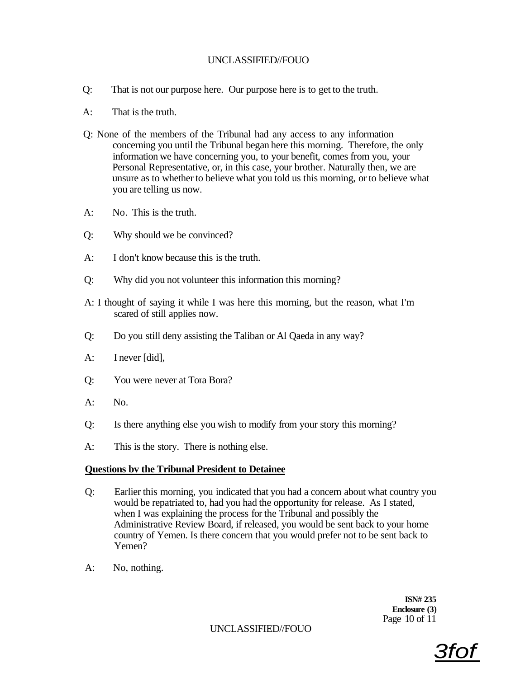- Q: That is not our purpose here. Our purpose here is to get to the truth.
- A: That is the truth.
- Q: None of the members of the Tribunal had any access to any information concerning you until the Tribunal began here this morning. Therefore, the only information we have concerning you, to your benefit, comes from you, your Personal Representative, or, in this case, your brother. Naturally then, we are unsure as to whether to believe what you told us this morning, or to believe what you are telling us now.
- A: No. This is the truth.
- Q: Why should we be convinced?
- A: I don't know because this is the truth.
- Q: Why did you not volunteer this information this morning?
- A: I thought of saying it while I was here this morning, but the reason, what I'm scared of still applies now.
- Q: Do you still deny assisting the Taliban or Al Qaeda in any way?
- A: I never [did],
- Q: You were never at Tora Bora?
- A: No.
- Q: Is there anything else you wish to modify from your story this morning?
- A: This is the story. There is nothing else.

#### **Questions bv the Tribunal President to Detainee**

- Q: Earlier this morning, you indicated that you had a concern about what country you would be repatriated to, had you had the opportunity for release. As I stated, when I was explaining the process for the Tribunal and possibly the Administrative Review Board, if released, you would be sent back to your home country of Yemen. Is there concern that you would prefer not to be sent back to Yemen?
- A: No, nothing.

**ISN# 235 Enclosure (3)**  Page 10 of 11

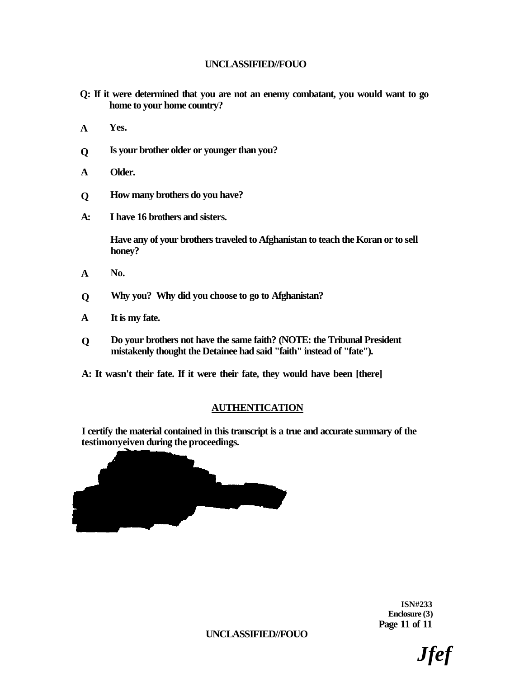- **Q: If it were determined that you are not an enemy combatant, you would want to go home to your home country?**
- **A Yes.**
- **Q Is your brother older or younger than you?**
- **A Older.**
- **Q How many brothers do you have?**
- **A: I have 16 brothers and sisters.**

**Have any of your brothers traveled to Afghanistan to teach the Koran or to sell honey?** 

- **A No.**
- **Q Why you? Why did you choose to go to Afghanistan?**
- **A It is my fate.**
- **Q Do your brothers not have the same faith? (NOTE: the Tribunal President mistakenly thought the Detainee had said "faith" instead of "fate").**
- **A: It wasn't their fate. If it were their fate, they would have been [there]**

### **AUTHENTICATION**

**I certify the material contained in this transcript is a true and accurate summary of the testimonyeiven during the proceedings.** 



**ISN#233 Enclosure (3) Page 11 of 11** 

*Jfef*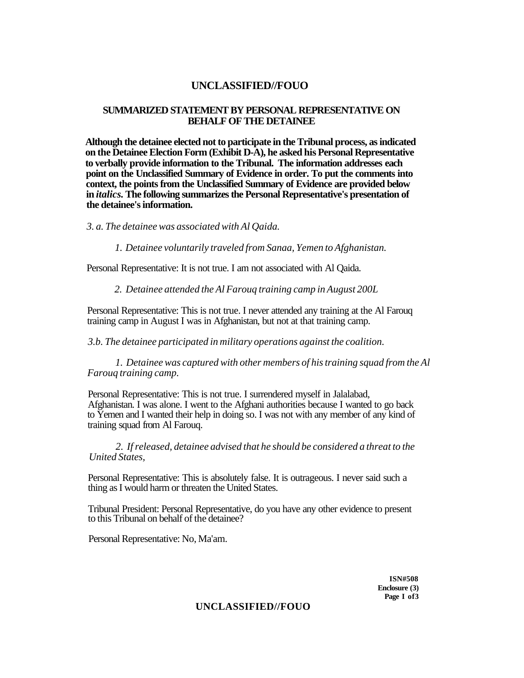#### **SUMMARIZED STATEMENT BY PERSONAL REPRESENTATIVE ON BEHALF OF THE DETAINEE**

**Although the detainee elected not to participate in the Tribunal process, as indicated on the Detainee Election Form (Exhibit D-A), he asked his Personal Representative to verbally provide information to the Tribunal. The information addresses each point on the Unclassified Summary of Evidence in order. To put the comments into context, the points from the Unclassified Summary of Evidence are provided below in** *italics.* **The following summarizes the Personal Representative's presentation of the detainee's information.** 

*3. a. The detainee was associated with Al Qaida.* 

*1. Detainee voluntarily traveled from Sanaa, Yemen to Afghanistan.* 

Personal Representative: It is not true. I am not associated with Al Qaida.

*2. Detainee attended the Al Farouq training camp in August 200L* 

Personal Representative: This is not true. I never attended any training at the Al Farouq training camp in August I was in Afghanistan, but not at that training camp.

*3.b. The detainee participated in military operations against the coalition.* 

*1. Detainee was captured with other members of his training squad from the Al Farouq training camp.* 

Personal Representative: This is not true. I surrendered myself in Jalalabad, Afghanistan. I was alone. I went to the Afghani authorities because I wanted to go back to Yemen and I wanted their help in doing so. I was not with any member of any kind of training squad from Al Farouq.

*2. If released, detainee advised that he should be considered a threat to the United States,* 

Personal Representative: This is absolutely false. It is outrageous. I never said such a thing as I would harm or threaten the United States.

Tribunal President: Personal Representative, do you have any other evidence to present to this Tribunal on behalf of the detainee?

Personal Representative: No, Ma'am.

**ISN#508 Enclosure (3) Page I of3**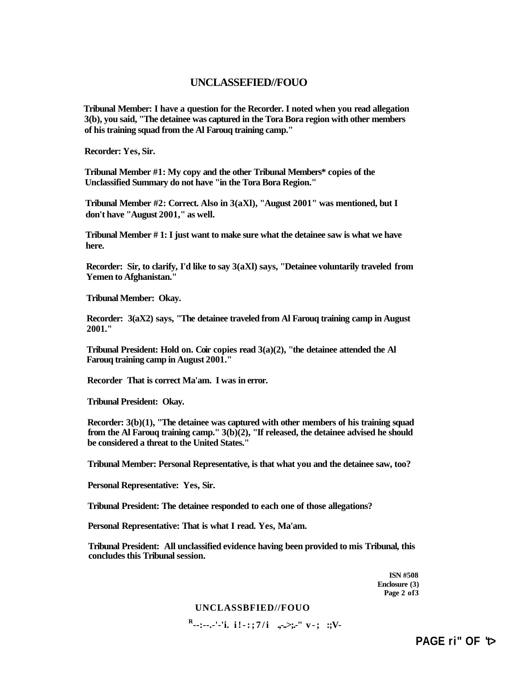**Tribunal Member: I have a question for the Recorder. I noted when you read allegation 3(b), you said, "The detainee was captured in the Tora Bora region with other members of his training squad from the Al Farouq training camp."** 

**Recorder: Yes, Sir.** 

**Tribunal Member #1: My copy and the other Tribunal Members\* copies of the Unclassified Summary do not have "in the Tora Bora Region."** 

**Tribunal Member #2: Correct. Also in 3(aXl), "August 2001" was mentioned, but I don't have "August 2001," as well.** 

**Tribunal Member # 1: I just want to make sure what the detainee saw is what we have here.** 

**Recorder: Sir, to clarify, I'd like to say 3(aXl) says, "Detainee voluntarily traveled from Yemen to Afghanistan."** 

**Tribunal Member: Okay.** 

**Recorder: 3(aX2) says, "The detainee traveled from Al Farouq training camp in August 2001."** 

**Tribunal President: Hold on. Coir copies read 3(a)(2), "the detainee attended the Al Farouq training camp in August 2001."** 

**Recorder That is correct Ma'am. I was in error.** 

**Tribunal President: Okay.** 

**Recorder: 3(b)(1), "The detainee was captured with other members of his training squad from the Al Farouq training camp." 3(b)(2), "If released, the detainee advised he should be considered a threat to the United States."** 

**Tribunal Member: Personal Representative, is that what you and the detainee saw, too?** 

**Personal Representative: Yes, Sir.** 

**Tribunal President: The detainee responded to each one of those allegations?** 

**Personal Representative: That is what I read. Yes, Ma'am.** 

**Tribunal President: All unclassified evidence having been provided to mis Tribunal, this concludes this Tribunal session.** 

> **ISN #508 Enclosure (3) Page 2 of3**

#### **UNCLASSBFIED//FOUO**

**R --:--.-'-'i. i!-:;7/ i .,-..>;.-" v-; :;V-**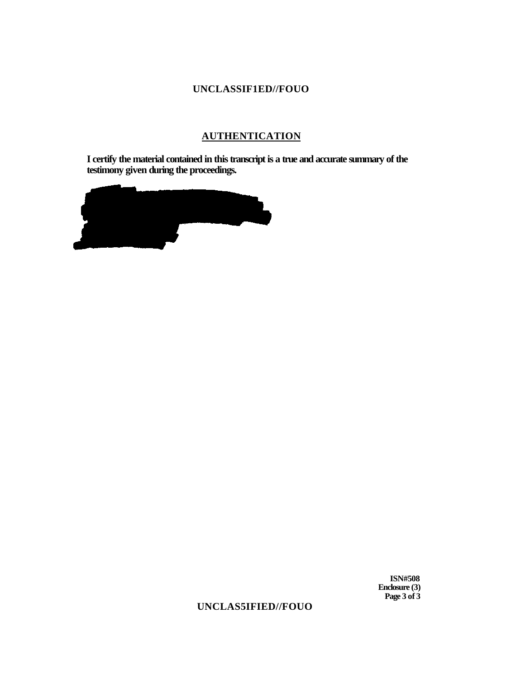### **AUTHENTICATION**

**I certify the material contained in this transcript is a true and accurate summary of the testimony given during the proceedings.** 



**ISN#508 Enclosure (3) Page 3 of 3**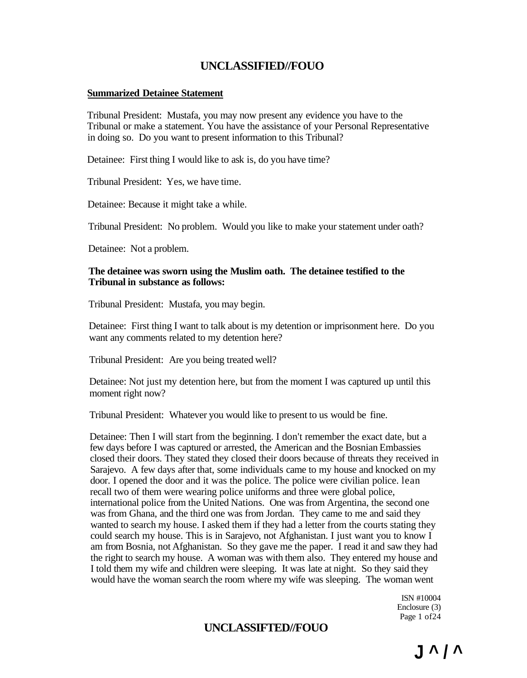#### **Summarized Detainee Statement**

Tribunal President: Mustafa, you may now present any evidence you have to the Tribunal or make a statement. You have the assistance of your Personal Representative in doing so. Do you want to present information to this Tribunal?

Detainee: First thing I would like to ask is, do you have time?

Tribunal President: Yes, we have time.

Detainee: Because it might take a while.

Tribunal President: No problem. Would you like to make your statement under oath?

Detainee: Not a problem.

#### **The detainee was sworn using the Muslim oath. The detainee testified to the Tribunal in substance as follows:**

Tribunal President: Mustafa, you may begin.

Detainee: First thing I want to talk about is my detention or imprisonment here. Do you want any comments related to my detention here?

Tribunal President: Are you being treated well?

Detainee: Not just my detention here, but from the moment I was captured up until this moment right now?

Tribunal President: Whatever you would like to present to us would be fine.

Detainee: Then I will start from the beginning. I don't remember the exact date, but a few days before I was captured or arrested, the American and the Bosnian Embassies closed their doors. They stated they closed their doors because of threats they received in Sarajevo. A few days after that, some individuals came to my house and knocked on my door. I opened the door and it was the police. The police were civilian police. lean recall two of them were wearing police uniforms and three were global police, international police from the United Nations. One was from Argentina, the second one was from Ghana, and the third one was from Jordan. They came to me and said they wanted to search my house. I asked them if they had a letter from the courts stating they could search my house. This is in Sarajevo, not Afghanistan. I just want you to know I am from Bosnia, not Afghanistan. So they gave me the paper. I read it and saw they had the right to search my house. A woman was with them also. They entered my house and I told them my wife and children were sleeping. It was late at night. So they said they would have the woman search the room where my wife was sleeping. The woman went

> ISN #10004 Enclosure (3) Page 1 of 24

## **UNCLASSIFTED//FOUO**

**J^/ ^**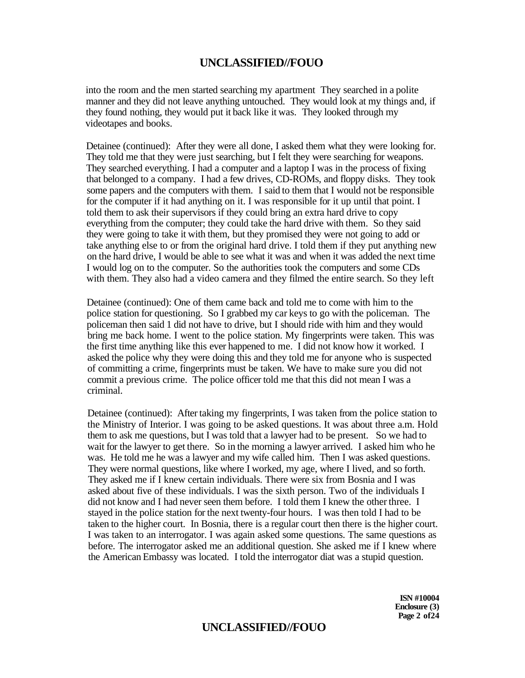into the room and the men started searching my apartment They searched in a polite manner and they did not leave anything untouched. They would look at my things and, if they found nothing, they would put it back like it was. They looked through my videotapes and books.

Detainee (continued): After they were all done, I asked them what they were looking for. They told me that they were just searching, but I felt they were searching for weapons. They searched everything. I had a computer and a laptop I was in the process of fixing that belonged to a company. I had a few drives, CD-ROMs, and floppy disks. They took some papers and the computers with them. I said to them that I would not be responsible for the computer if it had anything on it. I was responsible for it up until that point. I told them to ask their supervisors if they could bring an extra hard drive to copy everything from the computer; they could take the hard drive with them. So they said they were going to take it with them, but they promised they were not going to add or take anything else to or from the original hard drive. I told them if they put anything new on the hard drive, I would be able to see what it was and when it was added the next time I would log on to the computer. So the authorities took the computers and some CDs with them. They also had a video camera and they filmed the entire search. So they left

Detainee (continued): One of them came back and told me to come with him to the police station for questioning. So I grabbed my car keys to go with the policeman. The policeman then said 1 did not have to drive, but I should ride with him and they would bring me back home. I went to the police station. My fingerprints were taken. This was the first time anything like this ever happened to me. I did not know how it worked. I asked the police why they were doing this and they told me for anyone who is suspected of committing a crime, fingerprints must be taken. We have to make sure you did not commit a previous crime. The police officer told me that this did not mean I was a criminal.

Detainee (continued): After taking my fingerprints, I was taken from the police station to the Ministry of Interior. I was going to be asked questions. It was about three a.m. Hold them to ask me questions, but I was told that a lawyer had to be present. So we had to wait for the lawyer to get there. So in the morning a lawyer arrived. I asked him who he was. He told me he was a lawyer and my wife called him. Then I was asked questions. They were normal questions, like where I worked, my age, where I lived, and so forth. They asked me if I knew certain individuals. There were six from Bosnia and I was asked about five of these individuals. I was the sixth person. Two of the individuals I did not know and I had never seen them before. I told them I knew the other three. I stayed in the police station for the next twenty-four hours. I was then told I had to be taken to the higher court. In Bosnia, there is a regular court then there is the higher court. I was taken to an interrogator. I was again asked some questions. The same questions as before. The interrogator asked me an additional question. She asked me if I knew where the American Embassy was located. I told the interrogator diat was a stupid question.

> **ISN #10004 Enclosure (3) Page 2 of24**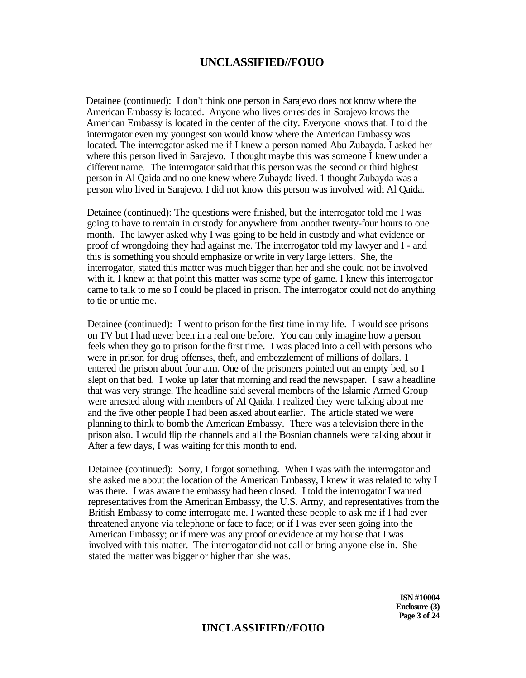Detainee (continued): I don't think one person in Sarajevo does not know where the American Embassy is located. Anyone who lives or resides in Sarajevo knows the American Embassy is located in the center of the city. Everyone knows that. I told the interrogator even my youngest son would know where the American Embassy was located. The interrogator asked me if I knew a person named Abu Zubayda. I asked her where this person lived in Sarajevo. I thought maybe this was someone I knew under a different name. The interrogator said that this person was the second or third highest person in Al Qaida and no one knew where Zubayda lived. 1 thought Zubayda was a person who lived in Sarajevo. I did not know this person was involved with Al Qaida.

Detainee (continued): The questions were finished, but the interrogator told me I was going to have to remain in custody for anywhere from another twenty-four hours to one month. The lawyer asked why I was going to be held in custody and what evidence or proof of wrongdoing they had against me. The interrogator told my lawyer and I - and this is something you should emphasize or write in very large letters. She, the interrogator, stated this matter was much bigger than her and she could not be involved with it. I knew at that point this matter was some type of game. I knew this interrogator came to talk to me so I could be placed in prison. The interrogator could not do anything to tie or untie me.

Detainee (continued): I went to prison for the first time in my life. I would see prisons on TV but I had never been in a real one before. You can only imagine how a person feels when they go to prison for the first time. I was placed into a cell with persons who were in prison for drug offenses, theft, and embezzlement of millions of dollars. 1 entered the prison about four a.m. One of the prisoners pointed out an empty bed, so I slept on that bed. I woke up later that morning and read the newspaper. I saw a headline that was very strange. The headline said several members of the Islamic Armed Group were arrested along with members of Al Qaida. I realized they were talking about me and the five other people I had been asked about earlier. The article stated we were planning to think to bomb the American Embassy. There was a television there in the prison also. I would flip the channels and all the Bosnian channels were talking about it After a few days, I was waiting for this month to end.

Detainee (continued): Sorry, I forgot something. When I was with the interrogator and she asked me about the location of the American Embassy, I knew it was related to why I was there. I was aware the embassy had been closed. I told the interrogator I wanted representatives from the American Embassy, the U.S. Army, and representatives from the British Embassy to come interrogate me. I wanted these people to ask me if I had ever threatened anyone via telephone or face to face; or if I was ever seen going into the American Embassy; or if mere was any proof or evidence at my house that I was involved with this matter. The interrogator did not call or bring anyone else in. She stated the matter was bigger or higher than she was.

> **ISN #10004 Enclosure (3) Page 3 of 24**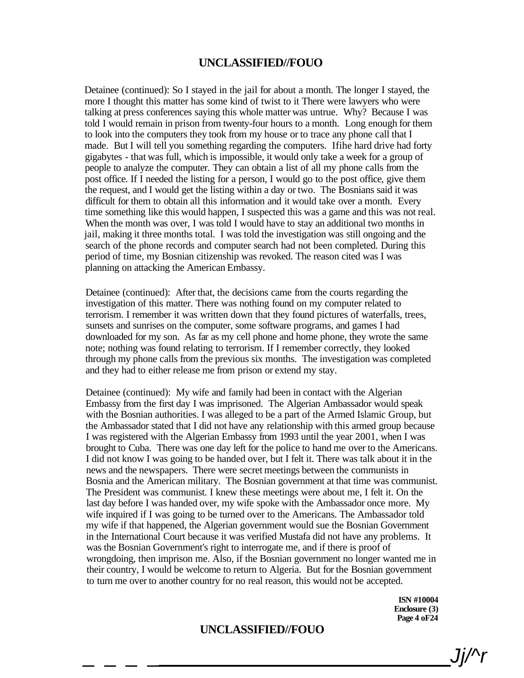Detainee (continued): So I stayed in the jail for about a month. The longer I stayed, the more I thought this matter has some kind of twist to it There were lawyers who were talking at press conferences saying this whole matter was untrue. Why? Because I was told I would remain in prison from twenty-four hours to a month. Long enough for them to look into the computers they took from my house or to trace any phone call that I made. But I will tell you something regarding the computers. Ifihe hard drive had forty gigabytes - that was full, which is impossible, it would only take a week for a group of people to analyze the computer. They can obtain a list of all my phone calls from the post office. If I needed the listing for a person, I would go to the post office, give them the request, and I would get the listing within a day or two. The Bosnians said it was difficult for them to obtain all this information and it would take over a month. Every time something like this would happen, I suspected this was a game and this was not real. When the month was over. I was told I would have to stay an additional two months in jail, making it three months total. I was told the investigation was still ongoing and the search of the phone records and computer search had not been completed. During this period of time, my Bosnian citizenship was revoked. The reason cited was I was planning on attacking the American Embassy.

Detainee (continued): After that, the decisions came from the courts regarding the investigation of this matter. There was nothing found on my computer related to terrorism. I remember it was written down that they found pictures of waterfalls, trees, sunsets and sunrises on the computer, some software programs, and games I had downloaded for my son. As far as my cell phone and home phone, they wrote the same note; nothing was found relating to terrorism. If I remember correctly, they looked through my phone calls from the previous six months. The investigation was completed and they had to either release me from prison or extend my stay.

Detainee (continued): My wife and family had been in contact with the Algerian Embassy from the first day I was imprisoned. The Algerian Ambassador would speak with the Bosnian authorities. I was alleged to be a part of the Armed Islamic Group, but the Ambassador stated that I did not have any relationship with this armed group because I was registered with the Algerian Embassy from 1993 until the year 2001, when I was brought to Cuba. There was one day left for the police to hand me over to the Americans. I did not know I was going to be handed over, but I felt it. There was talk about it in the news and the newspapers. There were secret meetings between the communists in Bosnia and the American military. The Bosnian government at that time was communist. The President was communist. I knew these meetings were about me, I felt it. On the last day before I was handed over, my wife spoke with the Ambassador once more. My wife inquired if I was going to be turned over to the Americans. The Ambassador told my wife if that happened, the Algerian government would sue the Bosnian Government in the International Court because it was verified Mustafa did not have any problems. It was the Bosnian Government's right to interrogate me, and if there is proof of wrongdoing, then imprison me. Also, if the Bosnian government no longer wanted me in their country, I would be welcome to return to Algeria. But for the Bosnian government to turn me over to another country for no real reason, this would not be accepted.

> **ISN #10004 Enclosure (3) Page 4 oF24**

\_\_\_ \_ Jj/^r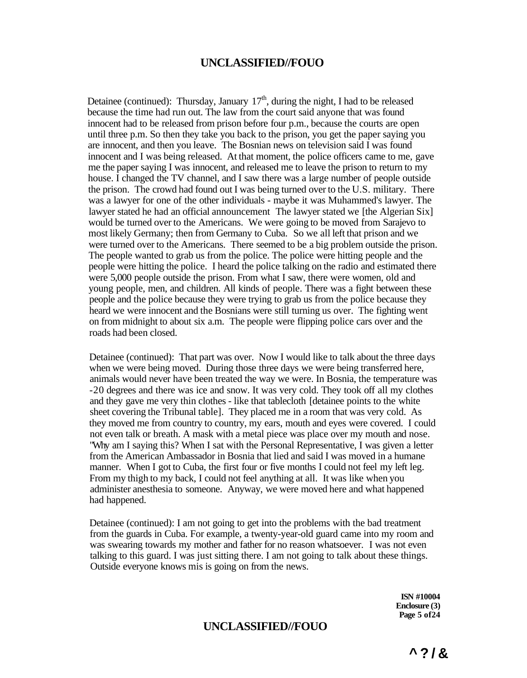Detainee (continued): Thursday, January  $17<sup>th</sup>$ , during the night, I had to be released because the time had run out. The law from the court said anyone that was found innocent had to be released from prison before four p.m., because the courts are open until three p.m. So then they take you back to the prison, you get the paper saying you are innocent, and then you leave. The Bosnian news on television said I was found innocent and I was being released. At that moment, the police officers came to me, gave me the paper saying I was innocent, and released me to leave the prison to return to my house. I changed the TV channel, and I saw there was a large number of people outside the prison. The crowd had found out I was being turned over to the U.S. military. There was a lawyer for one of the other individuals - maybe it was Muhammed's lawyer. The lawyer stated he had an official announcement The lawyer stated we [the Algerian Six] would be turned over to the Americans. We were going to be moved from Sarajevo to most likely Germany; then from Germany to Cuba. So we all left that prison and we were turned over to the Americans. There seemed to be a big problem outside the prison. The people wanted to grab us from the police. The police were hitting people and the people were hitting the police. I heard the police talking on the radio and estimated there were 5,000 people outside the prison. From what I saw, there were women, old and young people, men, and children. All kinds of people. There was a fight between these people and the police because they were trying to grab us from the police because they heard we were innocent and the Bosnians were still turning us over. The fighting went on from midnight to about six a.m. The people were flipping police cars over and the roads had been closed.

Detainee (continued): That part was over. Now I would like to talk about the three days when we were being moved. During those three days we were being transferred here, animals would never have been treated the way we were. In Bosnia, the temperature was -20 degrees and there was ice and snow. It was very cold. They took off all my clothes and they gave me very thin clothes - like that tablecloth [detainee points to the white sheet covering the Tribunal table]. They placed me in a room that was very cold. As they moved me from country to country, my ears, mouth and eyes were covered. I could not even talk or breath. A mask with a metal piece was place over my mouth and nose. "Why am I saying this? When I sat with the Personal Representative, I was given a letter from the American Ambassador in Bosnia that lied and said I was moved in a humane manner. When I got to Cuba, the first four or five months I could not feel my left leg. From my thigh to my back, I could not feel anything at all. It was like when you administer anesthesia to someone. Anyway, we were moved here and what happened had happened.

Detainee (continued): I am not going to get into the problems with the bad treatment from the guards in Cuba. For example, a twenty-year-old guard came into my room and was swearing towards my mother and father for no reason whatsoever. I was not even talking to this guard. I was just sitting there. I am not going to talk about these things. Outside everyone knows mis is going on from the news.

> **ISN #10004 Enclosure (3) Page 5 of24**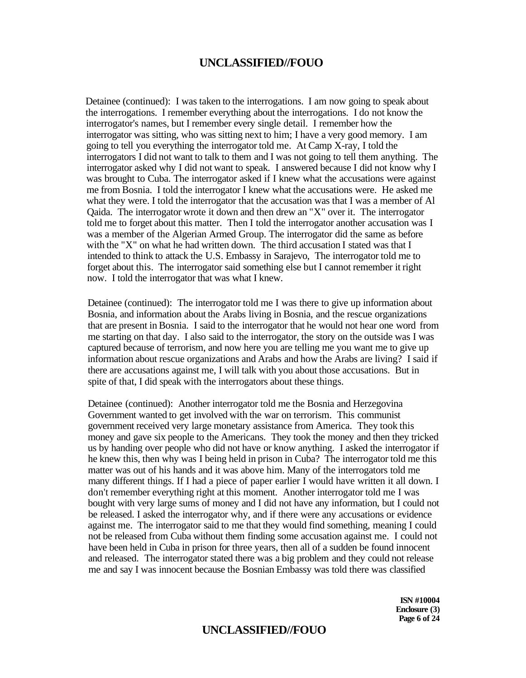Detainee (continued): I was taken to the interrogations. I am now going to speak about the interrogations. I remember everything about the interrogations. I do not know the interrogator's names, but I remember every single detail. I remember how the interrogator was sitting, who was sitting next to him; I have a very good memory. I am going to tell you everything the interrogator told me. At Camp X-ray, I told the interrogators I did not want to talk to them and I was not going to tell them anything. The interrogator asked why I did not want to speak. I answered because I did not know why I was brought to Cuba. The interrogator asked if I knew what the accusations were against me from Bosnia. I told the interrogator I knew what the accusations were. He asked me what they were. I told the interrogator that the accusation was that I was a member of Al Qaida. The interrogator wrote it down and then drew an "X" over it. The interrogator told me to forget about this matter. Then I told the interrogator another accusation was I was a member of the Algerian Armed Group. The interrogator did the same as before with the "X" on what he had written down. The third accusation I stated was that I intended to think to attack the U.S. Embassy in Sarajevo, The interrogator told me to forget about this. The interrogator said something else but I cannot remember it right now. I told the interrogator that was what I knew.

Detainee (continued): The interrogator told me I was there to give up information about Bosnia, and information about the Arabs living in Bosnia, and the rescue organizations that are present in Bosnia. I said to the interrogator that he would not hear one word from me starting on that day. I also said to the interrogator, the story on the outside was I was captured because of terrorism, and now here you are telling me you want me to give up information about rescue organizations and Arabs and how the Arabs are living? I said if there are accusations against me, I will talk with you about those accusations. But in spite of that, I did speak with the interrogators about these things.

Detainee (continued): Another interrogator told me the Bosnia and Herzegovina Government wanted to get involved with the war on terrorism. This communist government received very large monetary assistance from America. They took this money and gave six people to the Americans. They took the money and then they tricked us by handing over people who did not have or know anything. I asked the interrogator if he knew this, then why was I being held in prison in Cuba? The interrogator told me this matter was out of his hands and it was above him. Many of the interrogators told me many different things. If I had a piece of paper earlier I would have written it all down. I don't remember everything right at this moment. Another interrogator told me I was bought with very large sums of money and I did not have any information, but I could not be released. I asked the interrogator why, and if there were any accusations or evidence against me. The interrogator said to me that they would find something, meaning I could not be released from Cuba without them finding some accusation against me. I could not have been held in Cuba in prison for three years, then all of a sudden be found innocent and released. The interrogator stated there was a big problem and they could not release me and say I was innocent because the Bosnian Embassy was told there was classified

> **ISN #10004 Enclosure (3) Page 6 of 24**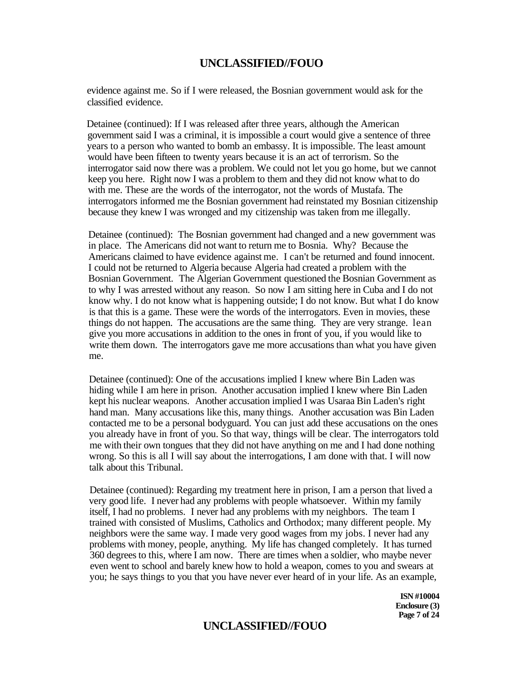evidence against me. So if I were released, the Bosnian government would ask for the classified evidence.

Detainee (continued): If I was released after three years, although the American government said I was a criminal, it is impossible a court would give a sentence of three years to a person who wanted to bomb an embassy. It is impossible. The least amount would have been fifteen to twenty years because it is an act of terrorism. So the interrogator said now there was a problem. We could not let you go home, but we cannot keep you here. Right now I was a problem to them and they did not know what to do with me. These are the words of the interrogator, not the words of Mustafa. The interrogators informed me the Bosnian government had reinstated my Bosnian citizenship because they knew I was wronged and my citizenship was taken from me illegally.

Detainee (continued): The Bosnian government had changed and a new government was in place. The Americans did not want to return me to Bosnia. Why? Because the Americans claimed to have evidence against me. I can't be returned and found innocent. I could not be returned to Algeria because Algeria had created a problem with the Bosnian Government. The Algerian Government questioned the Bosnian Government as to why I was arrested without any reason. So now I am sitting here in Cuba and I do not know why. I do not know what is happening outside; I do not know. But what I do know is that this is a game. These were the words of the interrogators. Even in movies, these things do not happen. The accusations are the same thing. They are very strange. lean give you more accusations in addition to the ones in front of you, if you would like to write them down. The interrogators gave me more accusations than what you have given me.

Detainee (continued): One of the accusations implied I knew where Bin Laden was hiding while I am here in prison. Another accusation implied I knew where Bin Laden kept his nuclear weapons. Another accusation implied I was Usaraa Bin Laden's right hand man. Many accusations like this, many things. Another accusation was Bin Laden contacted me to be a personal bodyguard. You can just add these accusations on the ones you already have in front of you. So that way, things will be clear. The interrogators told me with their own tongues that they did not have anything on me and I had done nothing wrong. So this is all I will say about the interrogations, I am done with that. I will now talk about this Tribunal.

Detainee (continued): Regarding my treatment here in prison, I am a person that lived a very good life. I never had any problems with people whatsoever. Within my family itself, I had no problems. I never had any problems with my neighbors. The team I trained with consisted of Muslims, Catholics and Orthodox; many different people. My neighbors were the same way. I made very good wages from my jobs. I never had any problems with money, people, anything. My life has changed completely. It has turned 360 degrees to this, where I am now. There are times when a soldier, who maybe never even went to school and barely knew how to hold a weapon, comes to you and swears at you; he says things to you that you have never ever heard of in your life. As an example,

> **ISN #10004 Enclosure (3) Page 7 of 24**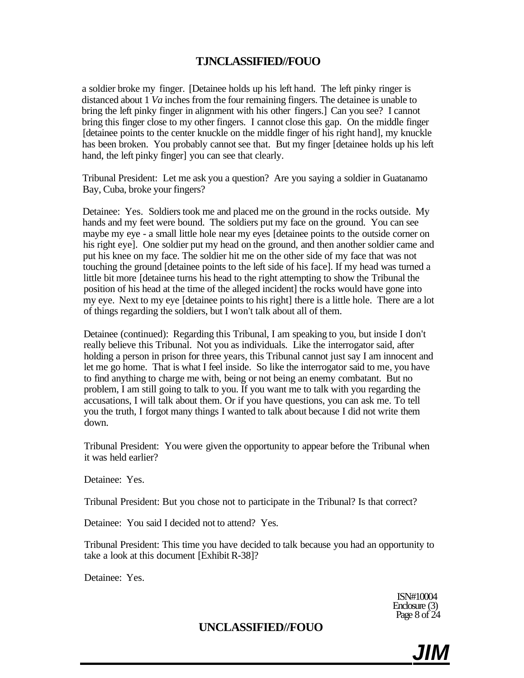a soldier broke my finger. [Detainee holds up his left hand. The left pinky ringer is distanced about 1 *Va* inches from the four remaining fingers. The detainee is unable to bring the left pinky finger in alignment with his other fingers.] Can you see? I cannot bring this finger close to my other fingers. I cannot close this gap. On the middle finger [detainee points to the center knuckle on the middle finger of his right hand], my knuckle has been broken. You probably cannot see that. But my finger [detainee holds up his left hand, the left pinky finger] you can see that clearly.

Tribunal President: Let me ask you a question? Are you saying a soldier in Guatanamo Bay, Cuba, broke your fingers?

Detainee: Yes. Soldiers took me and placed me on the ground in the rocks outside. My hands and my feet were bound. The soldiers put my face on the ground. You can see maybe my eye - a small little hole near my eyes [detainee points to the outside corner on his right eye]. One soldier put my head on the ground, and then another soldier came and put his knee on my face. The soldier hit me on the other side of my face that was not touching the ground [detainee points to the left side of his face]. If my head was turned a little bit more [detainee turns his head to the right attempting to show the Tribunal the position of his head at the time of the alleged incident] the rocks would have gone into my eye. Next to my eye [detainee points to his right] there is a little hole. There are a lot of things regarding the soldiers, but I won't talk about all of them.

Detainee (continued): Regarding this Tribunal, I am speaking to you, but inside I don't really believe this Tribunal. Not you as individuals. Like the interrogator said, after holding a person in prison for three years, this Tribunal cannot just say I am innocent and let me go home. That is what I feel inside. So like the interrogator said to me, you have to find anything to charge me with, being or not being an enemy combatant. But no problem, I am still going to talk to you. If you want me to talk with you regarding the accusations, I will talk about them. Or if you have questions, you can ask me. To tell you the truth, I forgot many things I wanted to talk about because I did not write them down.

Tribunal President: You were given the opportunity to appear before the Tribunal when it was held earlier?

Detainee: Yes.

Tribunal President: But you chose not to participate in the Tribunal? Is that correct?

Detainee: You said I decided not to attend? Yes.

Tribunal President: This time you have decided to talk because you had an opportunity to take a look at this document [Exhibit R-38]?

Detainee: Yes.

ISN#10004 Enclosure (3) Page 8 of 24

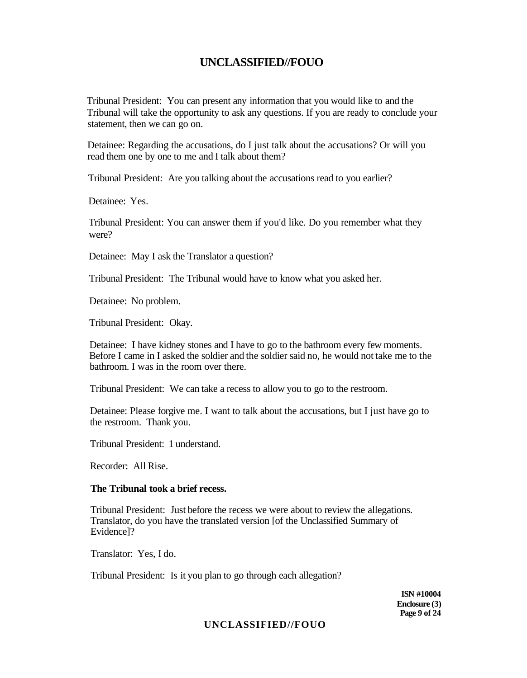Tribunal President: You can present any information that you would like to and the Tribunal will take the opportunity to ask any questions. If you are ready to conclude your statement, then we can go on.

Detainee: Regarding the accusations, do I just talk about the accusations? Or will you read them one by one to me and I talk about them?

Tribunal President: Are you talking about the accusations read to you earlier?

Detainee: Yes.

Tribunal President: You can answer them if you'd like. Do you remember what they were?

Detainee: May I ask the Translator a question?

Tribunal President: The Tribunal would have to know what you asked her.

Detainee: No problem.

Tribunal President: Okay.

Detainee: I have kidney stones and I have to go to the bathroom every few moments. Before I came in I asked the soldier and the soldier said no, he would not take me to the bathroom. I was in the room over there.

Tribunal President: We can take a recess to allow you to go to the restroom.

Detainee: Please forgive me. I want to talk about the accusations, but I just have go to the restroom. Thank you.

Tribunal President: 1 understand.

Recorder: All Rise.

#### **The Tribunal took a brief recess.**

Tribunal President: Just before the recess we were about to review the allegations. Translator, do you have the translated version [of the Unclassified Summary of Evidence]?

Translator: Yes, I do.

Tribunal President: Is it you plan to go through each allegation?

**ISN #10004 Enclosure (3) Page 9 of 24**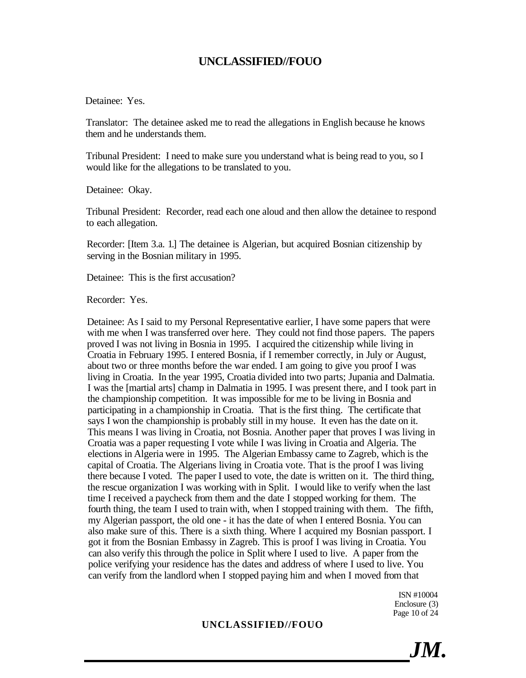Detainee: Yes.

Translator: The detainee asked me to read the allegations in English because he knows them and he understands them.

Tribunal President: I need to make sure you understand what is being read to you, so I would like for the allegations to be translated to you.

Detainee: Okay.

Tribunal President: Recorder, read each one aloud and then allow the detainee to respond to each allegation.

Recorder: [Item 3.a. 1.] The detainee is Algerian, but acquired Bosnian citizenship by serving in the Bosnian military in 1995.

Detainee: This is the first accusation?

Recorder: Yes.

Detainee: As I said to my Personal Representative earlier, I have some papers that were with me when I was transferred over here. They could not find those papers. The papers proved I was not living in Bosnia in 1995. I acquired the citizenship while living in Croatia in February 1995. I entered Bosnia, if I remember correctly, in July or August, about two or three months before the war ended. I am going to give you proof I was living in Croatia. In the year 1995, Croatia divided into two parts; Jupania and Dalmatia. I was the [martial arts] champ in Dalmatia in 1995. I was present there, and I took part in the championship competition. It was impossible for me to be living in Bosnia and participating in a championship in Croatia. That is the first thing. The certificate that says I won the championship is probably still in my house. It even has the date on it. This means I was living in Croatia, not Bosnia. Another paper that proves I was living in Croatia was a paper requesting I vote while I was living in Croatia and Algeria. The elections in Algeria were in 1995. The Algerian Embassy came to Zagreb, which is the capital of Croatia. The Algerians living in Croatia vote. That is the proof I was living there because I voted. The paper I used to vote, the date is written on it. The third thing, the rescue organization I was working with in Split. I would like to verify when the last time I received a paycheck from them and the date I stopped working for them. The fourth thing, the team I used to train with, when I stopped training with them. The fifth, my Algerian passport, the old one - it has the date of when I entered Bosnia. You can also make sure of this. There is a sixth thing. Where I acquired my Bosnian passport. I got it from the Bosnian Embassy in Zagreb. This is proof I was living in Croatia. You can also verify this through the police in Split where I used to live. A paper from the police verifying your residence has the dates and address of where I used to live. You can verify from the landlord when I stopped paying him and when I moved from that

> ISN #10004 Enclosure (3) Page 10 of 24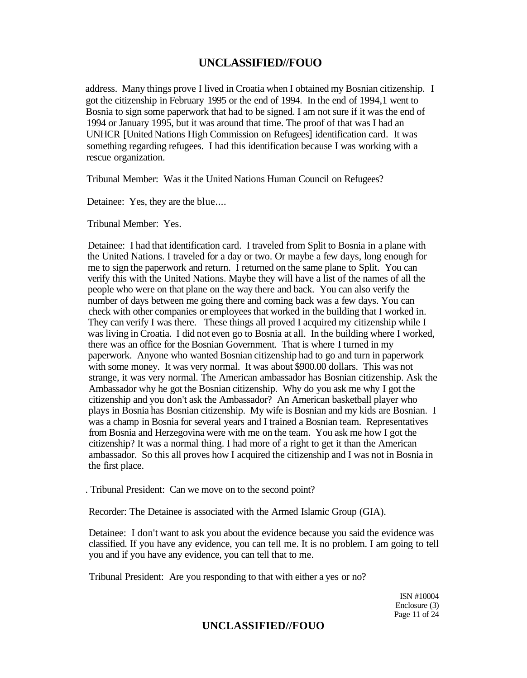address. Many things prove I lived in Croatia when I obtained my Bosnian citizenship. I got the citizenship in February 1995 or the end of 1994. In the end of 1994,1 went to Bosnia to sign some paperwork that had to be signed. I am not sure if it was the end of 1994 or January 1995, but it was around that time. The proof of that was I had an UNHCR [United Nations High Commission on Refugees] identification card. It was something regarding refugees. I had this identification because I was working with a rescue organization.

Tribunal Member: Was it the United Nations Human Council on Refugees?

Detainee: Yes, they are the blue....

Tribunal Member: Yes.

Detainee: I had that identification card. I traveled from Split to Bosnia in a plane with the United Nations. I traveled for a day or two. Or maybe a few days, long enough for me to sign the paperwork and return. I returned on the same plane to Split. You can verify this with the United Nations. Maybe they will have a list of the names of all the people who were on that plane on the way there and back. You can also verify the number of days between me going there and coming back was a few days. You can check with other companies or employees that worked in the building that I worked in. They can verify I was there. These things all proved I acquired my citizenship while I was living in Croatia. I did not even go to Bosnia at all. In the building where I worked, there was an office for the Bosnian Government. That is where I turned in my paperwork. Anyone who wanted Bosnian citizenship had to go and turn in paperwork with some money. It was very normal. It was about \$900.00 dollars. This was not strange, it was very normal. The American ambassador has Bosnian citizenship. Ask the Ambassador why he got the Bosnian citizenship. Why do you ask me why I got the citizenship and you don't ask the Ambassador? An American basketball player who plays in Bosnia has Bosnian citizenship. My wife is Bosnian and my kids are Bosnian. I was a champ in Bosnia for several years and I trained a Bosnian team. Representatives from Bosnia and Herzegovina were with me on the team. You ask me how I got the citizenship? It was a normal thing. I had more of a right to get it than the American ambassador. So this all proves how I acquired the citizenship and I was not in Bosnia in the first place.

. Tribunal President: Can we move on to the second point?

Recorder: The Detainee is associated with the Armed Islamic Group (GIA).

Detainee: I don't want to ask you about the evidence because you said the evidence was classified. If you have any evidence, you can tell me. It is no problem. I am going to tell you and if you have any evidence, you can tell that to me.

Tribunal President: Are you responding to that with either a yes or no?

ISN #10004 Enclosure (3) Page 11 of 24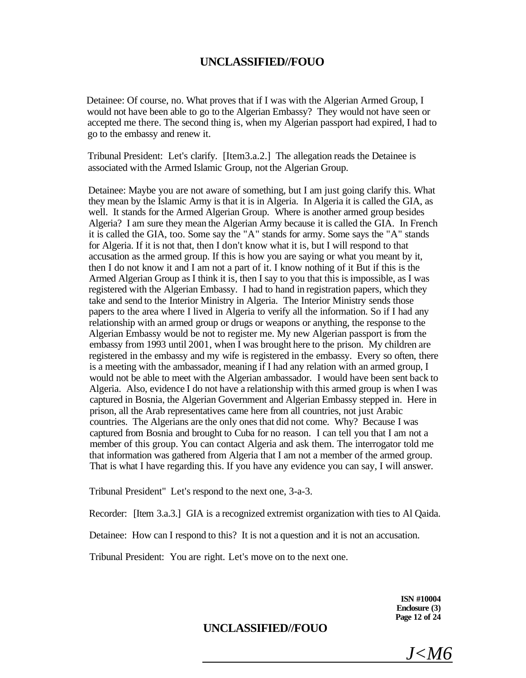Detainee: Of course, no. What proves that if I was with the Algerian Armed Group, I would not have been able to go to the Algerian Embassy? They would not have seen or accepted me there. The second thing is, when my Algerian passport had expired, I had to go to the embassy and renew it.

Tribunal President: Let's clarify. [Item3.a.2.] The allegation reads the Detainee is associated with the Armed Islamic Group, not the Algerian Group.

Detainee: Maybe you are not aware of something, but I am just going clarify this. What they mean by the Islamic Army is that it is in Algeria. In Algeria it is called the GIA, as well. It stands for the Armed Algerian Group. Where is another armed group besides Algeria? I am sure they mean the Algerian Army because it is called the GIA. In French it is called the GIA, too. Some say the "A" stands for army. Some says the "A" stands for Algeria. If it is not that, then I don't know what it is, but I will respond to that accusation as the armed group. If this is how you are saying or what you meant by it, then I do not know it and I am not a part of it. I know nothing of it But if this is the Armed Algerian Group as I think it is, then I say to you that this is impossible, as I was registered with the Algerian Embassy. I had to hand in registration papers, which they take and send to the Interior Ministry in Algeria. The Interior Ministry sends those papers to the area where I lived in Algeria to verify all the information. So if I had any relationship with an armed group or drugs or weapons or anything, the response to the Algerian Embassy would be not to register me. My new Algerian passport is from the embassy from 1993 until 2001, when I was brought here to the prison. My children are registered in the embassy and my wife is registered in the embassy. Every so often, there is a meeting with the ambassador, meaning if I had any relation with an armed group, I would not be able to meet with the Algerian ambassador. I would have been sent back to Algeria. Also, evidence I do not have a relationship with this armed group is when I was captured in Bosnia, the Algerian Government and Algerian Embassy stepped in. Here in prison, all the Arab representatives came here from all countries, not just Arabic countries. The Algerians are the only ones that did not come. Why? Because I was captured from Bosnia and brought to Cuba for no reason. I can tell you that I am not a member of this group. You can contact Algeria and ask them. The interrogator told me that information was gathered from Algeria that I am not a member of the armed group. That is what I have regarding this. If you have any evidence you can say, I will answer.

Tribunal President" Let's respond to the next one, 3-a-3.

Recorder: [Item 3.a.3.] GIA is a recognized extremist organization with ties to Al Qaida.

Detainee: How can I respond to this? It is not a question and it is not an accusation.

Tribunal President: You are right. Let's move on to the next one.

**ISN #10004 Enclosure (3) Page 12 of 24** 

*J<M6*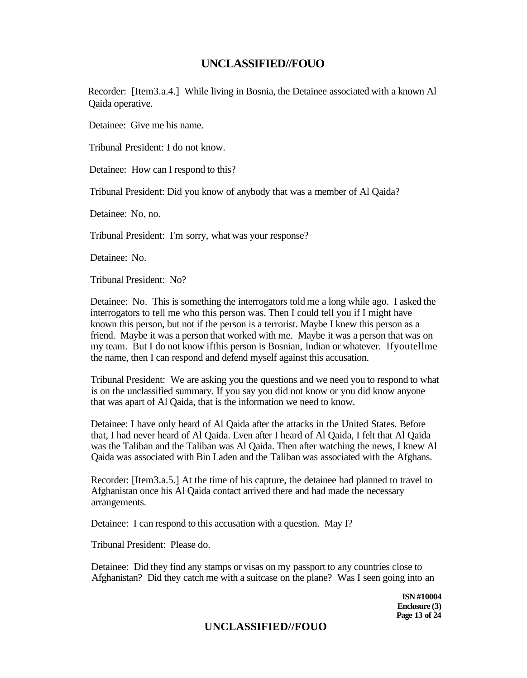Recorder: [Item3.a.4.] While living in Bosnia, the Detainee associated with a known Al Qaida operative.

Detainee: Give me his name.

Tribunal President: I do not know.

Detainee: How can I respond to this?

Tribunal President: Did you know of anybody that was a member of Al Qaida?

Detainee: No, no.

Tribunal President: I'm sorry, what was your response?

Detainee: No.

Tribunal President: No?

Detainee: No. This is something the interrogators told me a long while ago. I asked the interrogators to tell me who this person was. Then I could tell you if I might have known this person, but not if the person is a terrorist. Maybe I knew this person as a friend. Maybe it was a person that worked with me. Maybe it was a person that was on my team. But I do not know ifthis person is Bosnian, Indian or whatever. Ifyoutellme the name, then I can respond and defend myself against this accusation.

Tribunal President: We are asking you the questions and we need you to respond to what is on the unclassified summary. If you say you did not know or you did know anyone that was apart of Al Qaida, that is the information we need to know.

Detainee: I have only heard of Al Qaida after the attacks in the United States. Before that, I had never heard of Al Qaida. Even after I heard of Al Qaida, I felt that Al Qaida was the Taliban and the Taliban was Al Qaida. Then after watching the news, I knew Al Qaida was associated with Bin Laden and the Taliban was associated with the Afghans.

Recorder: [Item3.a.5.] At the time of his capture, the detainee had planned to travel to Afghanistan once his Al Qaida contact arrived there and had made the necessary arrangements.

Detainee: I can respond to this accusation with a question. May I?

Tribunal President: Please do.

Detainee: Did they find any stamps or visas on my passport to any countries close to Afghanistan? Did they catch me with a suitcase on the plane? Was I seen going into an

> **ISN #10004 Enclosure (3) Page 13 of 24**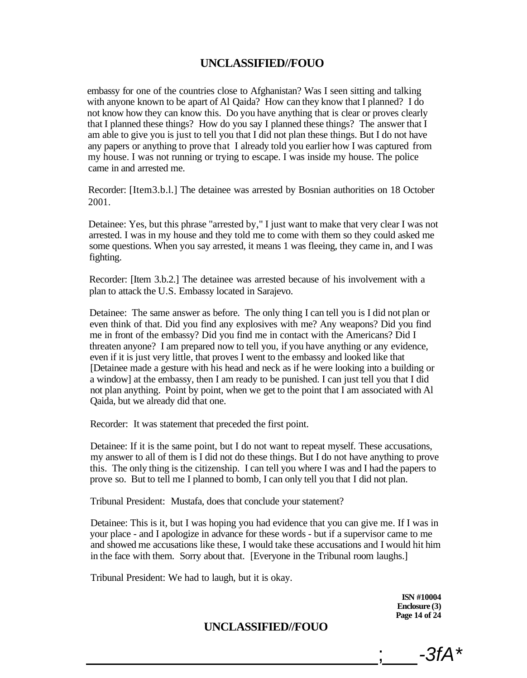embassy for one of the countries close to Afghanistan? Was I seen sitting and talking with anyone known to be apart of Al Qaida? How can they know that I planned? I do not know how they can know this. Do you have anything that is clear or proves clearly that I planned these things? How do you say I planned these things? The answer that I am able to give you is just to tell you that I did not plan these things. But I do not have any papers or anything to prove that I already told you earlier how I was captured from my house. I was not running or trying to escape. I was inside my house. The police came in and arrested me.

Recorder: [Item3.b.l.] The detainee was arrested by Bosnian authorities on 18 October 2001.

Detainee: Yes, but this phrase "arrested by," I just want to make that very clear I was not arrested. I was in my house and they told me to come with them so they could asked me some questions. When you say arrested, it means 1 was fleeing, they came in, and I was fighting.

Recorder: [Item 3.b.2.] The detainee was arrested because of his involvement with a plan to attack the U.S. Embassy located in Sarajevo.

Detainee: The same answer as before. The only thing I can tell you is I did not plan or even think of that. Did you find any explosives with me? Any weapons? Did you find me in front of the embassy? Did you find me in contact with the Americans? Did I threaten anyone? I am prepared now to tell you, if you have anything or any evidence, even if it is just very little, that proves I went to the embassy and looked like that [Detainee made a gesture with his head and neck as if he were looking into a building or a window] at the embassy, then I am ready to be punished. I can just tell you that I did not plan anything. Point by point, when we get to the point that I am associated with Al Qaida, but we already did that one.

Recorder: It was statement that preceded the first point.

Detainee: If it is the same point, but I do not want to repeat myself. These accusations, my answer to all of them is I did not do these things. But I do not have anything to prove this. The only thing is the citizenship. I can tell you where I was and I had the papers to prove so. But to tell me I planned to bomb, I can only tell you that I did not plan.

Tribunal President: Mustafa, does that conclude your statement?

Detainee: This is it, but I was hoping you had evidence that you can give me. If I was in your place - and I apologize in advance for these words - but if a supervisor came to me and showed me accusations like these, I would take these accusations and I would hit him in the face with them. Sorry about that. [Everyone in the Tribunal room laughs.]

Tribunal President: We had to laugh, but it is okay.

**ISN #10004 Enclosure (3) Page 14 of 24** 

 $\frac{1}{2}$  -3fA\*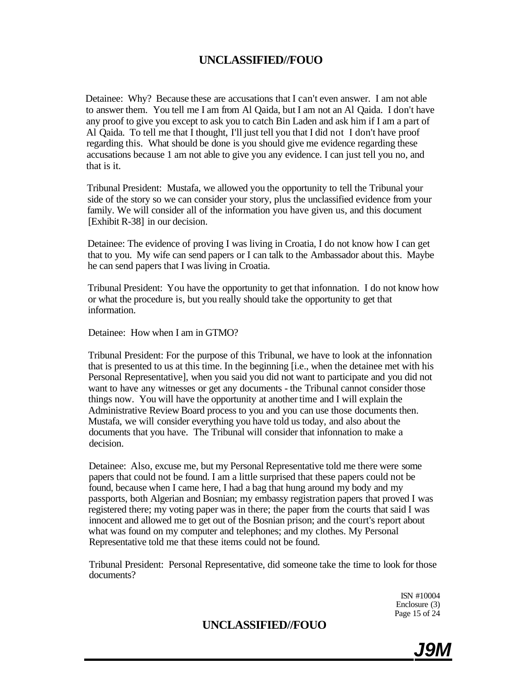Detainee: Why? Because these are accusations that I can't even answer. I am not able to answer them. You tell me I am from Al Qaida, but I am not an Al Qaida. I don't have any proof to give you except to ask you to catch Bin Laden and ask him if I am a part of Al Qaida. To tell me that I thought, I'll just tell you that I did not I don't have proof regarding this. What should be done is you should give me evidence regarding these accusations because 1 am not able to give you any evidence. I can just tell you no, and that is it.

Tribunal President: Mustafa, we allowed you the opportunity to tell the Tribunal your side of the story so we can consider your story, plus the unclassified evidence from your family. We will consider all of the information you have given us, and this document [Exhibit R-38] in our decision.

Detainee: The evidence of proving I was living in Croatia, I do not know how I can get that to you. My wife can send papers or I can talk to the Ambassador about this. Maybe he can send papers that I was living in Croatia.

Tribunal President: You have the opportunity to get that infonnation. I do not know how or what the procedure is, but you really should take the opportunity to get that information.

Detainee: How when I am in GTMO?

Tribunal President: For the purpose of this Tribunal, we have to look at the infonnation that is presented to us at this time. In the beginning [i.e., when the detainee met with his Personal Representative], when you said you did not want to participate and you did not want to have any witnesses or get any documents - the Tribunal cannot consider those things now. You will have the opportunity at another time and I will explain the Administrative Review Board process to you and you can use those documents then. Mustafa, we will consider everything you have told us today, and also about the documents that you have. The Tribunal will consider that infonnation to make a decision.

Detainee: Also, excuse me, but my Personal Representative told me there were some papers that could not be found. I am a little surprised that these papers could not be found, because when I came here, I had a bag that hung around my body and my passports, both Algerian and Bosnian; my embassy registration papers that proved I was registered there; my voting paper was in there; the paper from the courts that said I was innocent and allowed me to get out of the Bosnian prison; and the court's report about what was found on my computer and telephones; and my clothes. My Personal Representative told me that these items could not be found.

Tribunal President: Personal Representative, did someone take the time to look for those documents?

> ISN #10004 Enclosure (3) Page 15 of 24

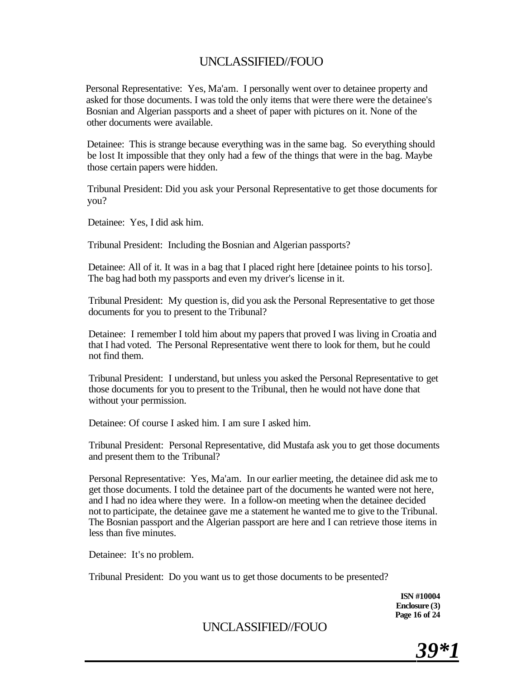Personal Representative: Yes, Ma'am. I personally went over to detainee property and asked for those documents. I was told the only items that were there were the detainee's Bosnian and Algerian passports and a sheet of paper with pictures on it. None of the other documents were available.

Detainee: This is strange because everything was in the same bag. So everything should be lost It impossible that they only had a few of the things that were in the bag. Maybe those certain papers were hidden.

Tribunal President: Did you ask your Personal Representative to get those documents for you?

Detainee: Yes, I did ask him.

Tribunal President: Including the Bosnian and Algerian passports?

Detainee: All of it. It was in a bag that I placed right here [detainee points to his torso]. The bag had both my passports and even my driver's license in it.

Tribunal President: My question is, did you ask the Personal Representative to get those documents for you to present to the Tribunal?

Detainee: I remember I told him about my papers that proved I was living in Croatia and that I had voted. The Personal Representative went there to look for them, but he could not find them.

Tribunal President: I understand, but unless you asked the Personal Representative to get those documents for you to present to the Tribunal, then he would not have done that without your permission.

Detainee: Of course I asked him. I am sure I asked him.

Tribunal President: Personal Representative, did Mustafa ask you to get those documents and present them to the Tribunal?

Personal Representative: Yes, Ma'am. In our earlier meeting, the detainee did ask me to get those documents. I told the detainee part of the documents he wanted were not here, and I had no idea where they were. In a follow-on meeting when the detainee decided not to participate, the detainee gave me a statement he wanted me to give to the Tribunal. The Bosnian passport and the Algerian passport are here and I can retrieve those items in less than five minutes.

Detainee: It's no problem.

Tribunal President: Do you want us to get those documents to be presented?

**ISN #10004 Enclosure (3) Page 16 of 24**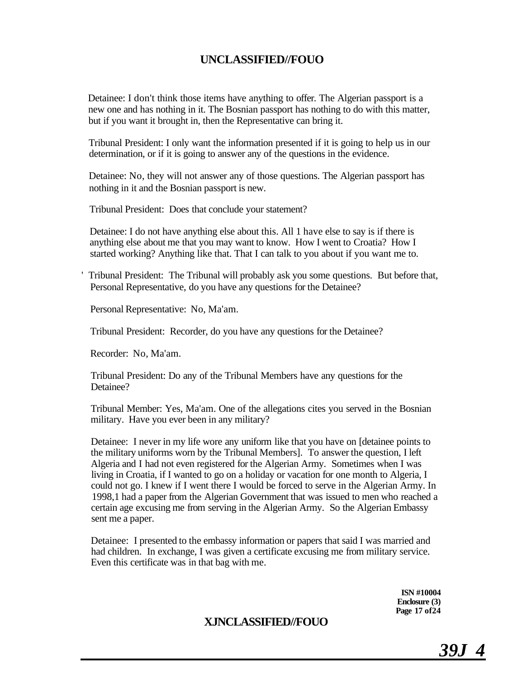Detainee: I don't think those items have anything to offer. The Algerian passport is a new one and has nothing in it. The Bosnian passport has nothing to do with this matter, but if you want it brought in, then the Representative can bring it.

Tribunal President: I only want the information presented if it is going to help us in our determination, or if it is going to answer any of the questions in the evidence.

Detainee: No, they will not answer any of those questions. The Algerian passport has nothing in it and the Bosnian passport is new.

Tribunal President: Does that conclude your statement?

Detainee: I do not have anything else about this. All 1 have else to say is if there is anything else about me that you may want to know. How I went to Croatia? How I started working? Anything like that. That I can talk to you about if you want me to.

' Tribunal President: The Tribunal will probably ask you some questions. But before that, Personal Representative, do you have any questions for the Detainee?

Personal Representative: No, Ma'am.

Tribunal President: Recorder, do you have any questions for the Detainee?

Recorder: No, Ma'am.

Tribunal President: Do any of the Tribunal Members have any questions for the Detainee?

Tribunal Member: Yes, Ma'am. One of the allegations cites you served in the Bosnian military. Have you ever been in any military?

Detainee: I never in my life wore any uniform like that you have on [detainee points to the military uniforms worn by the Tribunal Members]. To answer the question, I left Algeria and I had not even registered for the Algerian Army. Sometimes when I was living in Croatia, if I wanted to go on a holiday or vacation for one month to Algeria, I could not go. I knew if I went there I would be forced to serve in the Algerian Army. In 1998,1 had a paper from the Algerian Government that was issued to men who reached a certain age excusing me from serving in the Algerian Army. So the Algerian Embassy sent me a paper.

Detainee: I presented to the embassy information or papers that said I was married and had children. In exchange, I was given a certificate excusing me from military service. Even this certificate was in that bag with me.

> **ISN #10004 Enclosure (3) Page 17 of24**

### **XJNCLASSIFIED//FOUO**

*39J 4*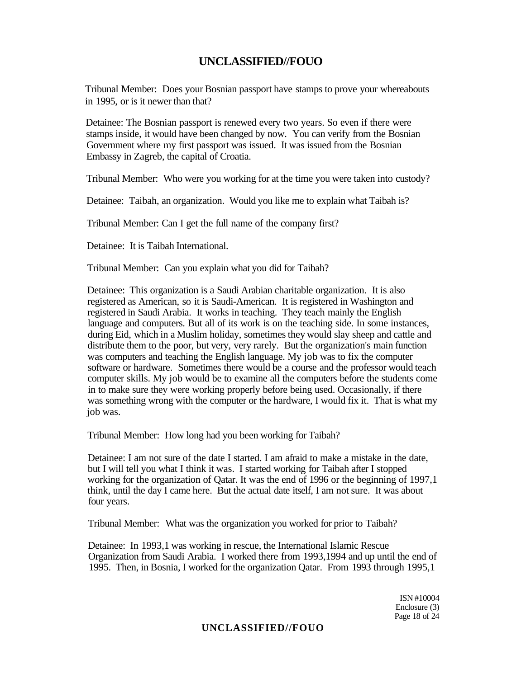Tribunal Member: Does your Bosnian passport have stamps to prove your whereabouts in 1995, or is it newer than that?

Detainee: The Bosnian passport is renewed every two years. So even if there were stamps inside, it would have been changed by now. You can verify from the Bosnian Government where my first passport was issued. It was issued from the Bosnian Embassy in Zagreb, the capital of Croatia.

Tribunal Member: Who were you working for at the time you were taken into custody?

Detainee: Taibah, an organization. Would you like me to explain what Taibah is?

Tribunal Member: Can I get the full name of the company first?

Detainee: It is Taibah International.

Tribunal Member: Can you explain what you did for Taibah?

Detainee: This organization is a Saudi Arabian charitable organization. It is also registered as American, so it is Saudi-American. It is registered in Washington and registered in Saudi Arabia. It works in teaching. They teach mainly the English language and computers. But all of its work is on the teaching side. In some instances, during Eid, which in a Muslim holiday, sometimes they would slay sheep and cattle and distribute them to the poor, but very, very rarely. But the organization's main function was computers and teaching the English language. My job was to fix the computer software or hardware. Sometimes there would be a course and the professor would teach computer skills. My job would be to examine all the computers before the students come in to make sure they were working properly before being used. Occasionally, if there was something wrong with the computer or the hardware, I would fix it. That is what my job was.

Tribunal Member: How long had you been working for Taibah?

Detainee: I am not sure of the date I started. I am afraid to make a mistake in the date, but I will tell you what I think it was. I started working for Taibah after I stopped working for the organization of Qatar. It was the end of 1996 or the beginning of 1997,1 think, until the day I came here. But the actual date itself, I am not sure. It was about four years.

Tribunal Member: What was the organization you worked for prior to Taibah?

Detainee: In 1993,1 was working in rescue, the International Islamic Rescue Organization from Saudi Arabia. I worked there from 1993,1994 and up until the end of 1995. Then, in Bosnia, I worked for the organization Qatar. From 1993 through 1995,1

> ISN #10004 Enclosure (3) Page 18 of 24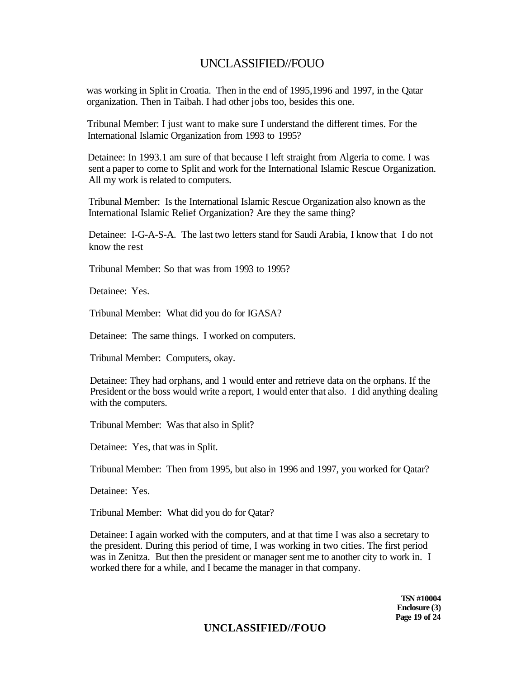was working in Split in Croatia. Then in the end of 1995,1996 and 1997, in the Qatar organization. Then in Taibah. I had other jobs too, besides this one.

Tribunal Member: I just want to make sure I understand the different times. For the International Islamic Organization from 1993 to 1995?

Detainee: In 1993.1 am sure of that because I left straight from Algeria to come. I was sent a paper to come to Split and work for the International Islamic Rescue Organization. All my work is related to computers.

Tribunal Member: Is the International Islamic Rescue Organization also known as the International Islamic Relief Organization? Are they the same thing?

Detainee: I-G-A-S-A. The last two letters stand for Saudi Arabia, I know that I do not know the rest

Tribunal Member: So that was from 1993 to 1995?

Detainee: Yes.

Tribunal Member: What did you do for IGASA?

Detainee: The same things. I worked on computers.

Tribunal Member: Computers, okay.

Detainee: They had orphans, and 1 would enter and retrieve data on the orphans. If the President or the boss would write a report, I would enter that also. I did anything dealing with the computers.

Tribunal Member: Was that also in Split?

Detainee: Yes, that was in Split.

Tribunal Member: Then from 1995, but also in 1996 and 1997, you worked for Qatar?

Detainee: Yes.

Tribunal Member: What did you do for Qatar?

Detainee: I again worked with the computers, and at that time I was also a secretary to the president. During this period of time, I was working in two cities. The first period was in Zenitza. But then the president or manager sent me to another city to work in. I worked there for a while, and I became the manager in that company.

> **TSN #10004 Enclosure (3) Page 19 of 24**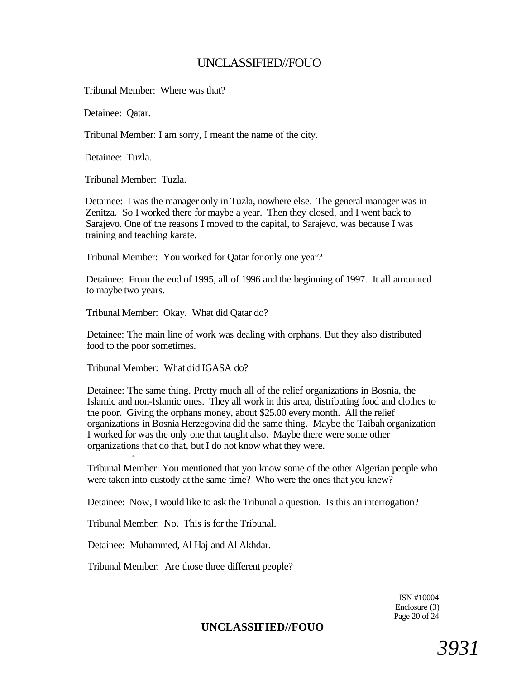Tribunal Member: Where was that?

Detainee: Qatar.

Tribunal Member: I am sorry, I meant the name of the city.

Detainee: Tuzla.

Tribunal Member: Tuzla.

Detainee: I was the manager only in Tuzla, nowhere else. The general manager was in Zenitza. So I worked there for maybe a year. Then they closed, and I went back to Sarajevo. One of the reasons I moved to the capital, to Sarajevo, was because I was training and teaching karate.

Tribunal Member: You worked for Qatar for only one year?

Detainee: From the end of 1995, all of 1996 and the beginning of 1997. It all amounted to maybe two years.

Tribunal Member: Okay. What did Qatar do?

Detainee: The main line of work was dealing with orphans. But they also distributed food to the poor sometimes.

Tribunal Member: What did IGASA do?

*m* 

Detainee: The same thing. Pretty much all of the relief organizations in Bosnia, the Islamic and non-Islamic ones. They all work in this area, distributing food and clothes to the poor. Giving the orphans money, about \$25.00 every month. All the relief organizations in Bosnia Herzegovina did the same thing. Maybe the Taibah organization I worked for was the only one that taught also. Maybe there were some other organizations that do that, but I do not know what they were.

Tribunal Member: You mentioned that you know some of the other Algerian people who were taken into custody at the same time? Who were the ones that you knew?

Detainee: Now, I would like to ask the Tribunal a question. Is this an interrogation?

Tribunal Member: No. This is for the Tribunal.

Detainee: Muhammed, Al Haj and Al Akhdar.

Tribunal Member: Are those three different people?

ISN #10004 Enclosure (3) Page 20 of 24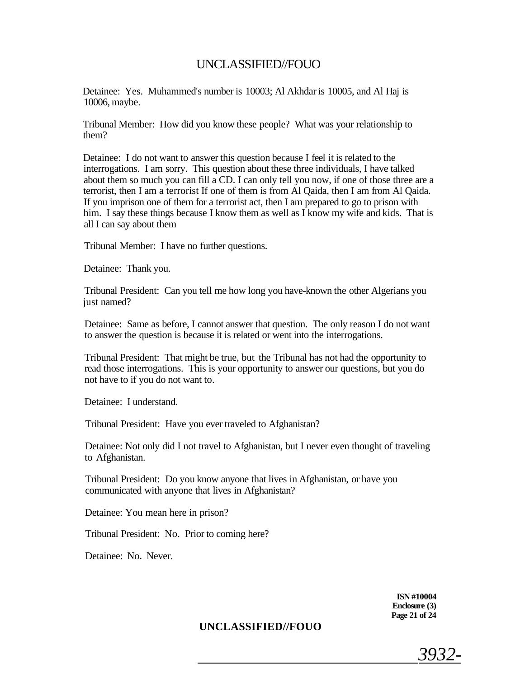Detainee: Yes. Muhammed's number is 10003; Al Akhdar is 10005, and Al Haj is 10006, maybe.

Tribunal Member: How did you know these people? What was your relationship to them?

Detainee: I do not want to answer this question because I feel it is related to the interrogations. I am sorry. This question about these three individuals, I have talked about them so much you can fill a CD. I can only tell you now, if one of those three are a terrorist, then I am a terrorist If one of them is from Al Qaida, then I am from Al Qaida. If you imprison one of them for a terrorist act, then I am prepared to go to prison with him. I say these things because I know them as well as I know my wife and kids. That is all I can say about them

Tribunal Member: I have no further questions.

Detainee: Thank you.

Tribunal President: Can you tell me how long you have-known the other Algerians you just named?

Detainee: Same as before, I cannot answer that question. The only reason I do not want to answer the question is because it is related or went into the interrogations.

Tribunal President: That might be true, but the Tribunal has not had the opportunity to read those interrogations. This is your opportunity to answer our questions, but you do not have to if you do not want to.

Detainee: I understand.

Tribunal President: Have you ever traveled to Afghanistan?

Detainee: Not only did I not travel to Afghanistan, but I never even thought of traveling to Afghanistan.

Tribunal President: Do you know anyone that lives in Afghanistan, or have you communicated with anyone that lives in Afghanistan?

Detainee: You mean here in prison?

Tribunal President: No. Prior to coming here?

Detainee: No. Never.

**ISN #10004 Enclosure (3) Page 21 of 24**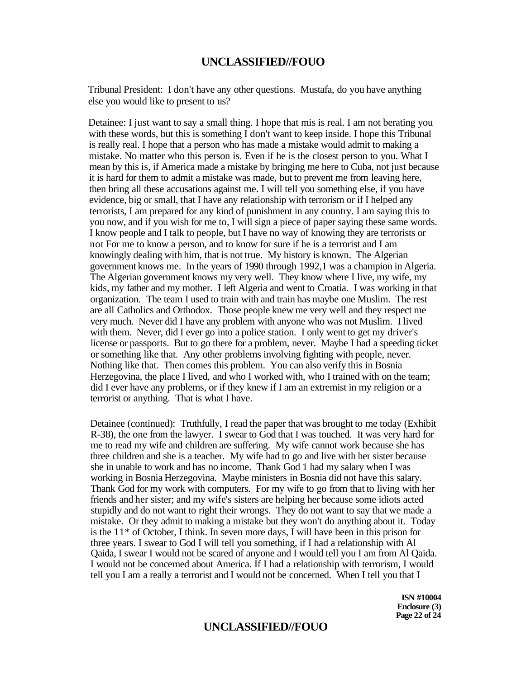Tribunal President: I don't have any other questions. Mustafa, do you have anything else you would like to present to us?

Detainee: I just want to say a small thing. I hope that mis is real. I am not berating you with these words, but this is something I don't want to keep inside. I hope this Tribunal is really real. I hope that a person who has made a mistake would admit to making a mistake. No matter who this person is. Even if he is the closest person to you. What I mean by this is, if America made a mistake by bringing me here to Cuba, not just because it is hard for them to admit a mistake was made, but to prevent me from leaving here, then bring all these accusations against me. I will tell you something else, if you have evidence, big or small, that I have any relationship with terrorism or if I helped any terrorists, I am prepared for any kind of punishment in any country. I am saying this to you now, and if you wish for me to, I will sign a piece of paper saying these same words. I know people and I talk to people, but I have no way of knowing they are terrorists or not For me to know a person, and to know for sure if he is a terrorist and I am knowingly dealing with him, that is not true. My history is known. The Algerian government knows me. In the years of 1990 through 1992,1 was a champion in Algeria. The Algerian government knows my very well. They know where I live, my wife, my kids, my father and my mother. I left Algeria and went to Croatia. I was working in that organization. The team I used to train with and train has maybe one Muslim. The rest are all Catholics and Orthodox. Those people knew me very well and they respect me very much. Never did I have any problem with anyone who was not Muslim. I lived with them. Never, did I ever go into a police station. I only went to get my driver's license or passports. But to go there for a problem, never. Maybe I had a speeding ticket or something like that. Any other problems involving fighting with people, never. Nothing like that. Then comes this problem. You can also verify this in Bosnia Herzegovina, the place I lived, and who I worked with, who I trained with on the team; did I ever have any problems, or if they knew if I am an extremist in my religion or a terrorist or anything. That is what I have.

Detainee (continued): Truthfully, I read the paper that was brought to me today (Exhibit R-38), the one from the lawyer. I swear to God that I was touched. It was very hard for me to read my wife and children are suffering. My wife cannot work because she has three children and she is a teacher. My wife had to go and live with her sister because she in unable to work and has no income. Thank God 1 had my salary when I was working in Bosnia Herzegovina. Maybe ministers in Bosnia did not have this salary. Thank God for my work with computers. For my wife to go from that to living with her friends and her sister; and my wife's sisters are helping her because some idiots acted stupidly and do not want to right their wrongs. They do not want to say that we made a mistake. Or they admit to making a mistake but they won't do anything about it. Today is the 11\* of October, I think. In seven more days, I will have been in this prison for three years. I swear to God I will tell you something, if I had a relationship with Al Qaida, I swear I would not be scared of anyone and I would tell you I am from Al Qaida. I would not be concerned about America. If I had a relationship with terrorism, I would tell you I am a really a terrorist and I would not be concerned. When I tell you that I

> **ISN #10004 Enclosure (3) Page 22 of 24**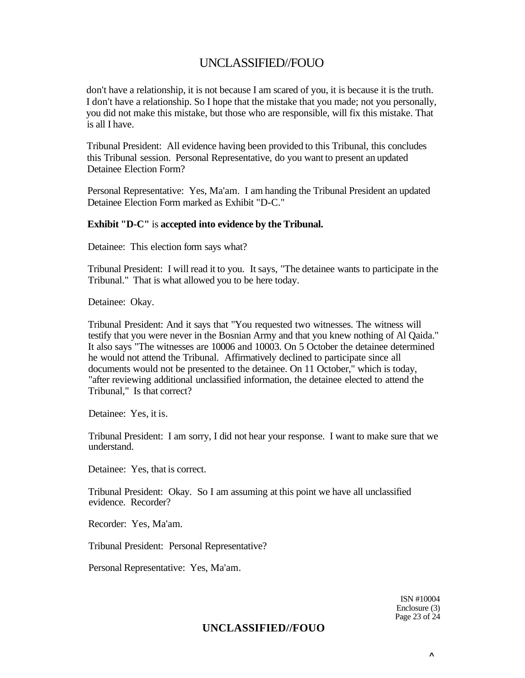don't have a relationship, it is not because I am scared of you, it is because it is the truth. I don't have a relationship. So I hope that the mistake that you made; not you personally, you did not make this mistake, but those who are responsible, will fix this mistake. That is all I have.

Tribunal President: All evidence having been provided to this Tribunal, this concludes this Tribunal session. Personal Representative, do you want to present an updated Detainee Election Form?

Personal Representative: Yes, Ma'am. I am handing the Tribunal President an updated Detainee Election Form marked as Exhibit "D-C."

#### **Exhibit "D-C"** is **accepted into evidence by the Tribunal.**

Detainee: This election form says what?

Tribunal President: I will read it to you. It says, "The detainee wants to participate in the Tribunal." That is what allowed you to be here today.

Detainee: Okay.

Tribunal President: And it says that "You requested two witnesses. The witness will testify that you were never in the Bosnian Army and that you knew nothing of Al Qaida." It also says "The witnesses are 10006 and 10003. On 5 October the detainee determined he would not attend the Tribunal. Affirmatively declined to participate since all documents would not be presented to the detainee. On 11 October," which is today, "after reviewing additional unclassified information, the detainee elected to attend the Tribunal," Is that correct?

Detainee: Yes, it is.

Tribunal President: I am sorry, I did not hear your response. I want to make sure that we understand.

Detainee: Yes, that is correct.

Tribunal President: Okay. So I am assuming at this point we have all unclassified evidence. Recorder?

Recorder: Yes, Ma'am.

Tribunal President: Personal Representative?

Personal Representative: Yes, Ma'am.

ISN #10004 Enclosure (3) Page 23 of 24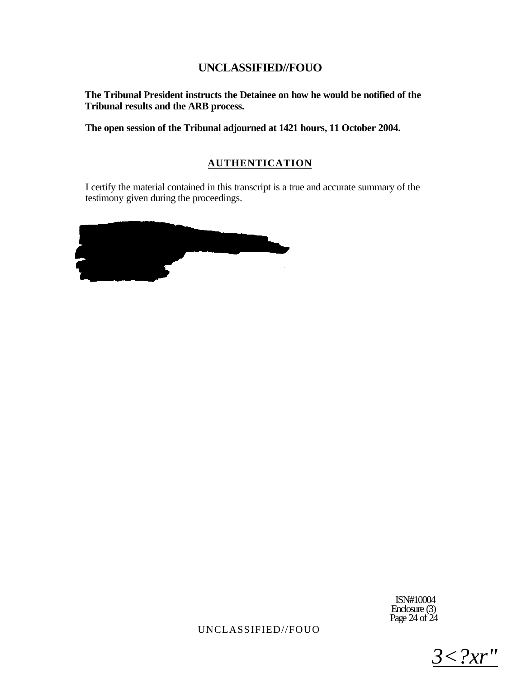**The Tribunal President instructs the Detainee on how he would be notified of the Tribunal results and the ARB process.** 

**The open session of the Tribunal adjourned at 1421 hours, 11 October 2004.** 

## **AUTHENTICATION**

I certify the material contained in this transcript is a true and accurate summary of the testimony given during the proceedings.



ISN#10004 Enclosure (3) Page 24 of 24

*3<?xr"*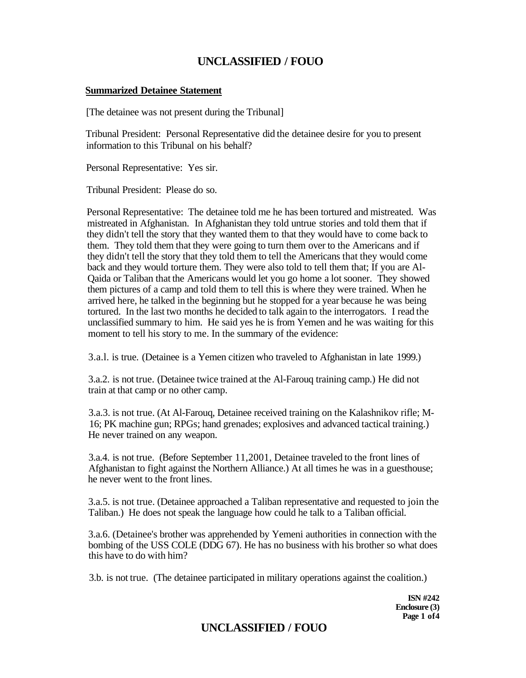#### **Summarized Detainee Statement**

[The detainee was not present during the Tribunal]

Tribunal President: Personal Representative did the detainee desire for you to present information to this Tribunal on his behalf?

Personal Representative: Yes sir.

Tribunal President: Please do so.

Personal Representative: The detainee told me he has been tortured and mistreated. Was mistreated in Afghanistan. In Afghanistan they told untrue stories and told them that if they didn't tell the story that they wanted them to that they would have to come back to them. They told them that they were going to turn them over to the Americans and if they didn't tell the story that they told them to tell the Americans that they would come back and they would torture them. They were also told to tell them that; If you are Al-Qaida or Taliban that the Americans would let you go home a lot sooner. They showed them pictures of a camp and told them to tell this is where they were trained. When he arrived here, he talked in the beginning but he stopped for a year because he was being tortured. In the last two months he decided to talk again to the interrogators. I read the unclassified summary to him. He said yes he is from Yemen and he was waiting for this moment to tell his story to me. In the summary of the evidence:

3.a.l. is true. (Detainee is a Yemen citizen who traveled to Afghanistan in late 1999.)

3.a.2. is not true. (Detainee twice trained at the Al-Farouq training camp.) He did not train at that camp or no other camp.

3.a.3. is not true. (At Al-Farouq, Detainee received training on the Kalashnikov rifle; M-16; PK machine gun; RPGs; hand grenades; explosives and advanced tactical training.) He never trained on any weapon.

3.a.4. is not true. (Before September 11,2001, Detainee traveled to the front lines of Afghanistan to fight against the Northern Alliance.) At all times he was in a guesthouse; he never went to the front lines.

3.a.5. is not true. (Detainee approached a Taliban representative and requested to join the Taliban.) He does not speak the language how could he talk to a Taliban official.

3.a.6. (Detainee's brother was apprehended by Yemeni authorities in connection with the bombing of the USS COLE (DDG 67). He has no business with his brother so what does this have to do with him?

3.b. is not true. (The detainee participated in military operations against the coalition.)

**ISN #242 Enclosure (3) Page 1 of4**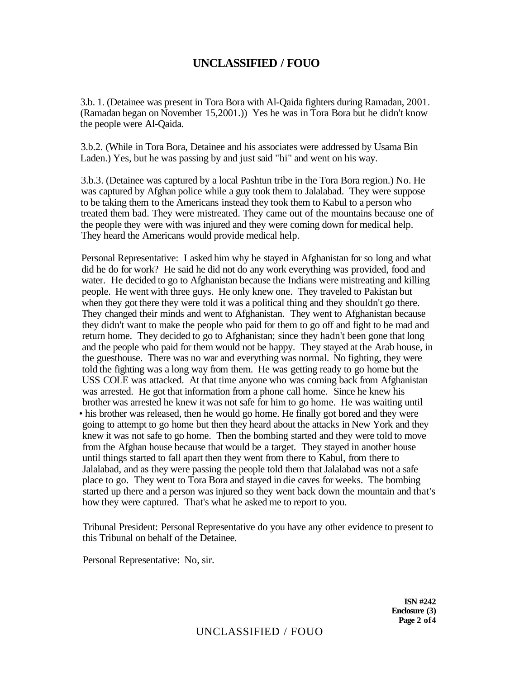3.b. 1. (Detainee was present in Tora Bora with Al-Qaida fighters during Ramadan, 2001. (Ramadan began on November 15,2001.)) Yes he was in Tora Bora but he didn't know the people were Al-Qaida.

3.b.2. (While in Tora Bora, Detainee and his associates were addressed by Usama Bin Laden.) Yes, but he was passing by and just said "hi" and went on his way.

3.b.3. (Detainee was captured by a local Pashtun tribe in the Tora Bora region.) No. He was captured by Afghan police while a guy took them to Jalalabad. They were suppose to be taking them to the Americans instead they took them to Kabul to a person who treated them bad. They were mistreated. They came out of the mountains because one of the people they were with was injured and they were coming down for medical help. They heard the Americans would provide medical help.

Personal Representative: I asked him why he stayed in Afghanistan for so long and what did he do for work? He said he did not do any work everything was provided, food and water. He decided to go to Afghanistan because the Indians were mistreating and killing people. He went with three guys. He only knew one. They traveled to Pakistan but when they got there they were told it was a political thing and they shouldn't go there. They changed their minds and went to Afghanistan. They went to Afghanistan because they didn't want to make the people who paid for them to go off and fight to be mad and return home. They decided to go to Afghanistan; since they hadn't been gone that long and the people who paid for them would not be happy. They stayed at the Arab house, in the guesthouse. There was no war and everything was normal. No fighting, they were told the fighting was a long way from them. He was getting ready to go home but the USS COLE was attacked. At that time anyone who was coming back from Afghanistan was arrested. He got that information from a phone call home. Since he knew his brother was arrested he knew it was not safe for him to go home. He was waiting until • his brother was released, then he would go home. He finally got bored and they were going to attempt to go home but then they heard about the attacks in New York and they knew it was not safe to go home. Then the bombing started and they were told to move from the Afghan house because that would be a target. They stayed in another house until things started to fall apart then they went from there to Kabul, from there to Jalalabad, and as they were passing the people told them that Jalalabad was not a safe place to go. They went to Tora Bora and stayed in die caves for weeks. The bombing started up there and a person was injured so they went back down the mountain and that's how they were captured. That's what he asked me to report to you.

Tribunal President: Personal Representative do you have any other evidence to present to this Tribunal on behalf of the Detainee.

Personal Representative: No, sir.

**ISN #242 Enclosure (3) Page 2 of4**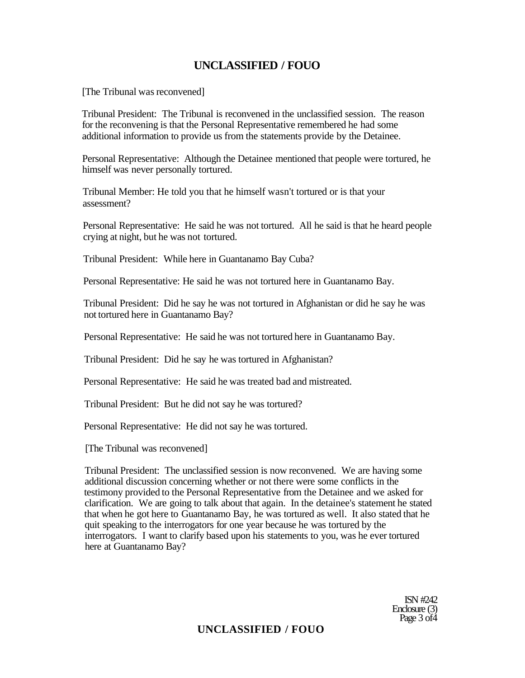[The Tribunal was reconvened]

Tribunal President: The Tribunal is reconvened in the unclassified session. The reason for the reconvening is that the Personal Representative remembered he had some additional information to provide us from the statements provide by the Detainee.

Personal Representative: Although the Detainee mentioned that people were tortured, he himself was never personally tortured.

Tribunal Member: He told you that he himself wasn't tortured or is that your assessment?

Personal Representative: He said he was not tortured. All he said is that he heard people crying at night, but he was not tortured.

Tribunal President: While here in Guantanamo Bay Cuba?

Personal Representative: He said he was not tortured here in Guantanamo Bay.

Tribunal President: Did he say he was not tortured in Afghanistan or did he say he was not tortured here in Guantanamo Bay?

Personal Representative: He said he was not tortured here in Guantanamo Bay.

Tribunal President: Did he say he was tortured in Afghanistan?

Personal Representative: He said he was treated bad and mistreated.

Tribunal President: But he did not say he was tortured?

Personal Representative: He did not say he was tortured.

[The Tribunal was reconvened]

Tribunal President: The unclassified session is now reconvened. We are having some additional discussion concerning whether or not there were some conflicts in the testimony provided to the Personal Representative from the Detainee and we asked for clarification. We are going to talk about that again. In the detainee's statement he stated that when he got here to Guantanamo Bay, he was tortured as well. It also stated that he quit speaking to the interrogators for one year because he was tortured by the interrogators. I want to clarify based upon his statements to you, was he ever tortured here at Guantanamo Bay?

> ISN #242 Enclosure (3) Page 3 of 4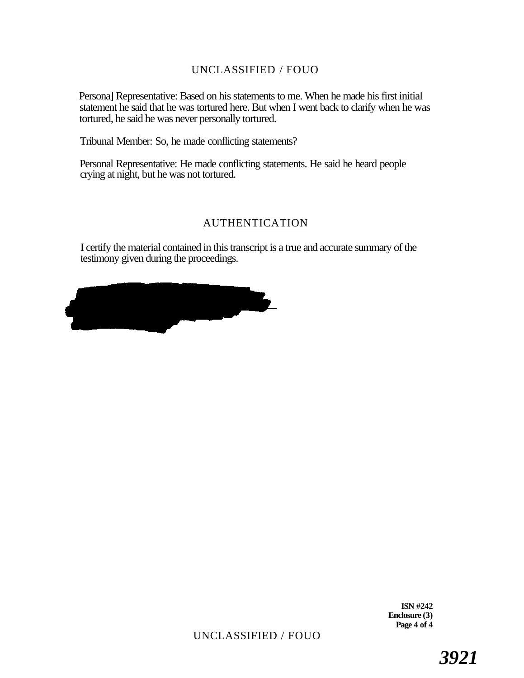Persona] Representative: Based on his statements to me. When he made his first initial statement he said that he was tortured here. But when I went back to clarify when he was tortured, he said he was never personally tortured.

Tribunal Member: So, he made conflicting statements?

Personal Representative: He made conflicting statements. He said he heard people crying at night, but he was not tortured.

# **AUTHENTICATION**

I certify the material contained in this transcript is a true and accurate summary of the testimony given during the proceedings.



**ISN #242 Enclosure (3) Page 4 of 4**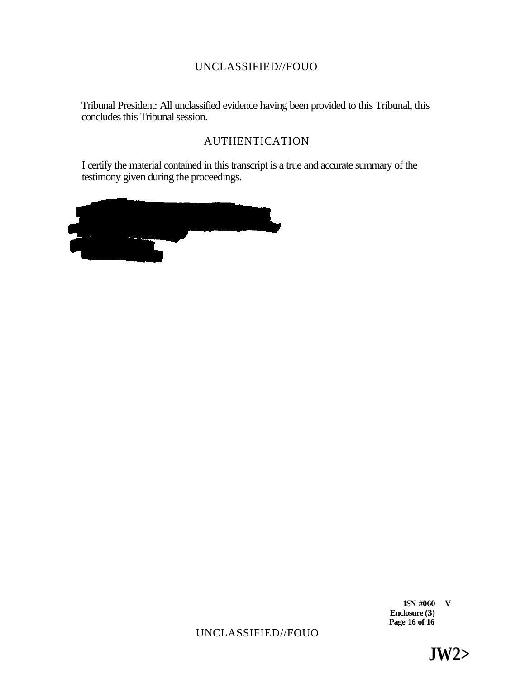Tribunal President: All unclassified evidence having been provided to this Tribunal, this concludes this Tribunal session.

# AUTHENTICATION

I certify the material contained in this transcript is a true and accurate summary of the testimony given during the proceedings.



**1SN #060 V Enclosure (3) Page 16 of 16** 

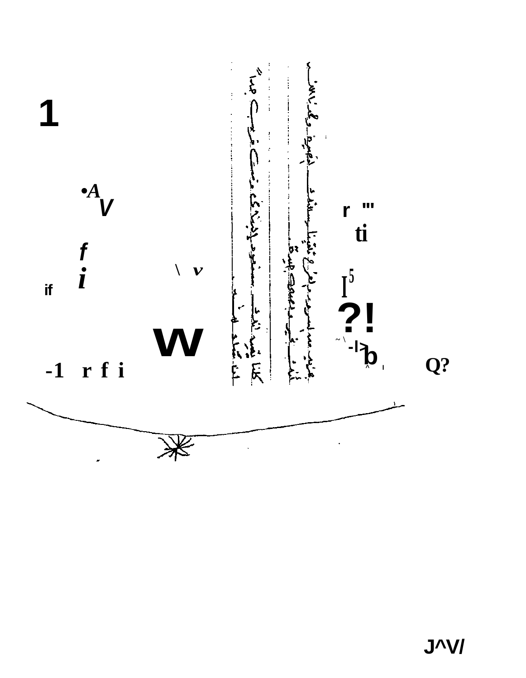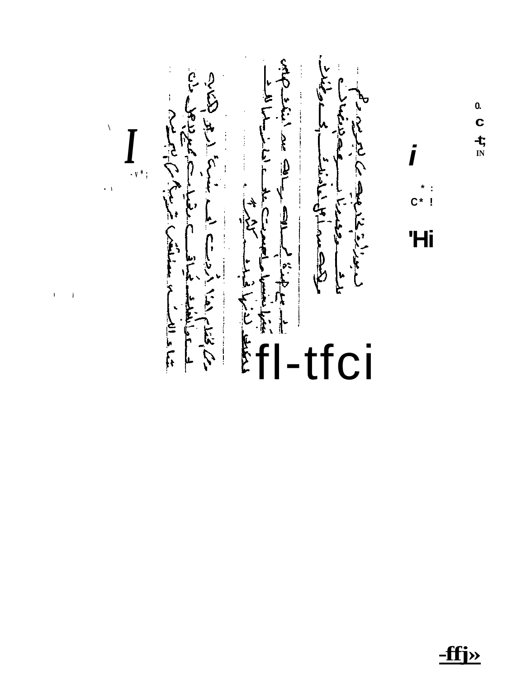|<br>د<br>نه ن<br>مہم र्देद्रा*रे* Server of the Server سلاك سوسالك سهد ابنكف **0.**  ای رفتار سازمان ارائه ۶<br>مارشیاست میگیرهای سأبانيك **c**   $\frac{1}{2}$ **\ -t;**  *I*  **i IN**  Tre my Him **-v\* ; • \ \* :**  راري څارپه  $\frac{1}{2}$ ووعديناء **C \* !**  سنلتش **'Hi**   $\frac{1}{2}$ نو<br>م  $E = \frac{1}{2} \sum_{i=1}^{n} \sum_{i=1}^{n} \sum_{j=1}^{n} \sum_{j=1}^{n} \sum_{i=1}^{n} \sum_{j=1}^{n}$ ا<br>په  $\vec{r}$ **I j**   $\sum_{i=1}^{n}$  $\frac{1}{2}$  ,  $\frac{1}{2}$  $\overline{\mathbf{r}}$ 

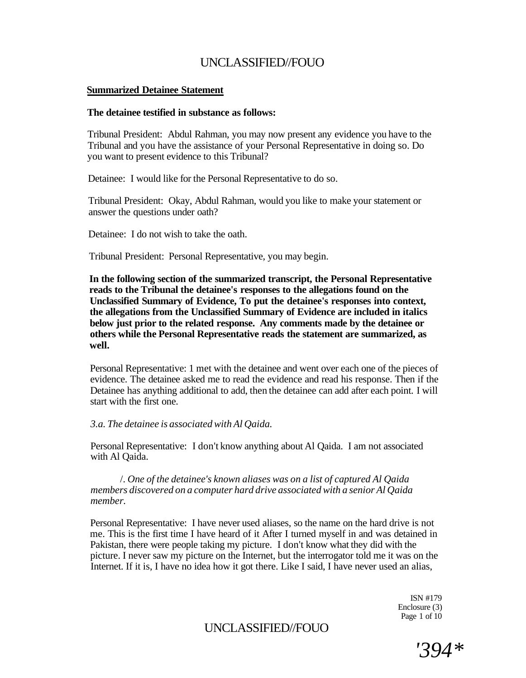#### **Summarized Detainee Statement**

#### **The detainee testified in substance as follows:**

Tribunal President: Abdul Rahman, you may now present any evidence you have to the Tribunal and you have the assistance of your Personal Representative in doing so. Do you want to present evidence to this Tribunal?

Detainee: I would like for the Personal Representative to do so.

Tribunal President: Okay, Abdul Rahman, would you like to make your statement or answer the questions under oath?

Detainee: I do not wish to take the oath.

Tribunal President: Personal Representative, you may begin.

**In the following section of the summarized transcript, the Personal Representative reads to the Tribunal the detainee's responses to the allegations found on the Unclassified Summary of Evidence, To put the detainee's responses into context, the allegations from the Unclassified Summary of Evidence are included in italics below just prior to the related response. Any comments made by the detainee or others while the Personal Representative reads the statement are summarized, as well.** 

Personal Representative: 1 met with the detainee and went over each one of the pieces of evidence. The detainee asked me to read the evidence and read his response. Then if the Detainee has anything additional to add, then the detainee can add after each point. I will start with the first one.

#### *3.a. The detainee is associated with Al Qaida.*

Personal Representative: I don't know anything about Al Qaida. I am not associated with Al Qaida.

/. *One of the detainee's known aliases was on a list of captured Al Qaida members discovered on a computer hard drive associated with a senior Al Qaida member.* 

Personal Representative: I have never used aliases, so the name on the hard drive is not me. This is the first time I have heard of it After I turned myself in and was detained in Pakistan, there were people taking my picture. I don't know what they did with the picture. I never saw my picture on the Internet, but the interrogator told me it was on the Internet. If it is, I have no idea how it got there. Like I said, I have never used an alias,

> ISN #179 Enclosure (3) Page 1 of 10

## UNCLASSIFIED//FOUO

*'394\**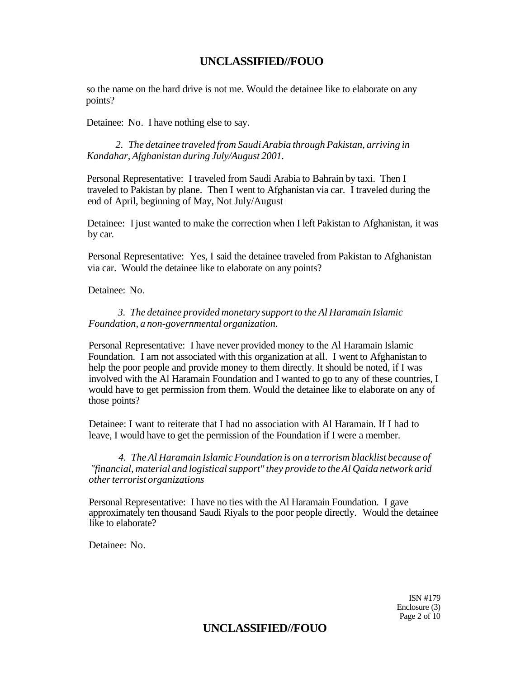so the name on the hard drive is not me. Would the detainee like to elaborate on any points?

Detainee: No. I have nothing else to say.

*2. The detainee traveled from Saudi Arabia through Pakistan, arriving in Kandahar, Afghanistan during July/August 2001.* 

Personal Representative: I traveled from Saudi Arabia to Bahrain by taxi. Then I traveled to Pakistan by plane. Then I went to Afghanistan via car. I traveled during the end of April, beginning of May, Not July/August

Detainee: I just wanted to make the correction when I left Pakistan to Afghanistan, it was by car.

Personal Representative: Yes, I said the detainee traveled from Pakistan to Afghanistan via car. Would the detainee like to elaborate on any points?

Detainee: No.

*3. The detainee provided monetary support to the Al Haramain Islamic Foundation, a non-governmental organization.* 

Personal Representative: I have never provided money to the Al Haramain Islamic Foundation. I am not associated with this organization at all. I went to Afghanistan to help the poor people and provide money to them directly. It should be noted, if I was involved with the Al Haramain Foundation and I wanted to go to any of these countries, I would have to get permission from them. Would the detainee like to elaborate on any of those points?

Detainee: I want to reiterate that I had no association with Al Haramain. If I had to leave, I would have to get the permission of the Foundation if I were a member.

*4. The Al Haramain Islamic Foundation is on a terrorism blacklist because of "financial, material and logistical support" they provide to the Al Qaida network arid other terrorist organizations* 

Personal Representative: I have no ties with the Al Haramain Foundation. I gave approximately ten thousand Saudi Riyals to the poor people directly. Would the detainee like to elaborate?

Detainee: No.

ISN #179 Enclosure (3) Page 2 of 10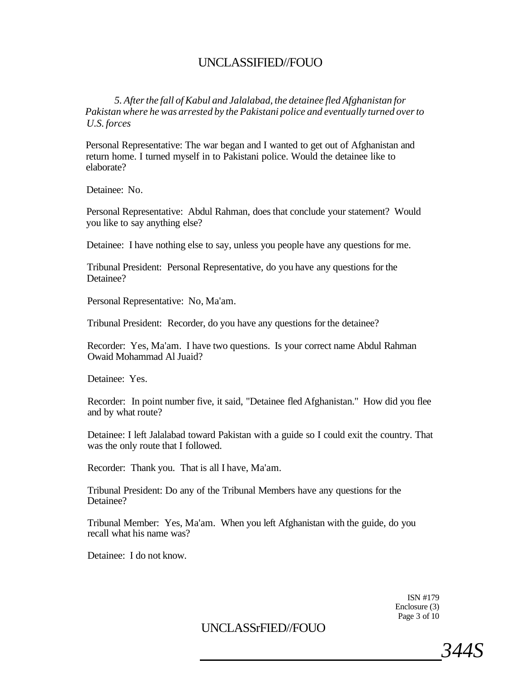*5. After the fall of Kabul and Jalalabad, the detainee fled Afghanistan for Pakistan where he was arrested by the Pakistani police and eventually turned over to U.S. forces* 

Personal Representative: The war began and I wanted to get out of Afghanistan and return home. I turned myself in to Pakistani police. Would the detainee like to elaborate?

Detainee: No.

Personal Representative: Abdul Rahman, does that conclude your statement? Would you like to say anything else?

Detainee: I have nothing else to say, unless you people have any questions for me.

Tribunal President: Personal Representative, do you have any questions for the Detainee?

Personal Representative: No, Ma'am.

Tribunal President: Recorder, do you have any questions for the detainee?

Recorder: Yes, Ma'am. I have two questions. Is your correct name Abdul Rahman Owaid Mohammad Al Juaid?

Detainee: Yes.

Recorder: In point number five, it said, "Detainee fled Afghanistan." How did you flee and by what route?

Detainee: I left Jalalabad toward Pakistan with a guide so I could exit the country. That was the only route that I followed.

Recorder: Thank you. That is all I have, Ma'am.

Tribunal President: Do any of the Tribunal Members have any questions for the Detainee?

Tribunal Member: Yes, Ma'am. When you left Afghanistan with the guide, do you recall what his name was?

Detainee: I do not know.

ISN #179 Enclosure (3) Page 3 of 10

UNCLASSrFIED//FOUO

*344S*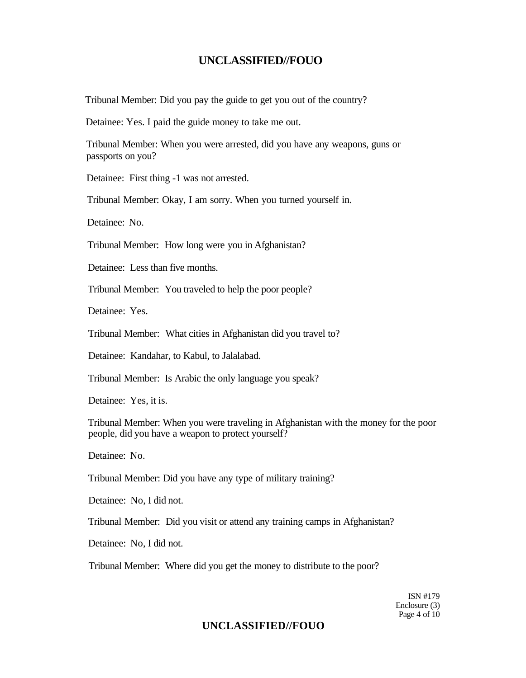Tribunal Member: Did you pay the guide to get you out of the country?

Detainee: Yes. I paid the guide money to take me out.

Tribunal Member: When you were arrested, did you have any weapons, guns or passports on you?

Detainee: First thing -1 was not arrested.

Tribunal Member: Okay, I am sorry. When you turned yourself in.

Detainee: No.

Tribunal Member: How long were you in Afghanistan?

Detainee: Less than five months.

Tribunal Member: You traveled to help the poor people?

Detainee: Yes.

Tribunal Member: What cities in Afghanistan did you travel to?

Detainee: Kandahar, to Kabul, to Jalalabad.

Tribunal Member: Is Arabic the only language you speak?

Detainee: Yes, it is.

Tribunal Member: When you were traveling in Afghanistan with the money for the poor people, did you have a weapon to protect yourself?

Detainee: No.

Tribunal Member: Did you have any type of military training?

Detainee: No, I did not.

Tribunal Member: Did you visit or attend any training camps in Afghanistan?

Detainee: No, I did not.

Tribunal Member: Where did you get the money to distribute to the poor?

ISN #179 Enclosure (3) Page 4 of 10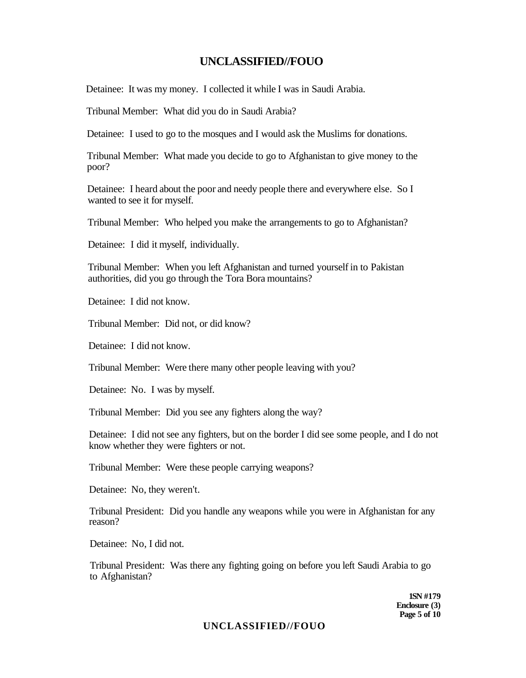Detainee: It was my money. I collected it while I was in Saudi Arabia.

Tribunal Member: What did you do in Saudi Arabia?

Detainee: I used to go to the mosques and I would ask the Muslims for donations.

Tribunal Member: What made you decide to go to Afghanistan to give money to the poor?

Detainee: I heard about the poor and needy people there and everywhere else. So I wanted to see it for myself.

Tribunal Member: Who helped you make the arrangements to go to Afghanistan?

Detainee: I did it myself, individually.

Tribunal Member: When you left Afghanistan and turned yourself in to Pakistan authorities, did you go through the Tora Bora mountains?

Detainee: I did not know.

Tribunal Member: Did not, or did know?

Detainee: I did not know.

Tribunal Member: Were there many other people leaving with you?

Detainee: No. I was by myself.

Tribunal Member: Did you see any fighters along the way?

Detainee: I did not see any fighters, but on the border I did see some people, and I do not know whether they were fighters or not.

Tribunal Member: Were these people carrying weapons?

Detainee: No, they weren't.

Tribunal President: Did you handle any weapons while you were in Afghanistan for any reason?

Detainee: No, I did not.

Tribunal President: Was there any fighting going on before you left Saudi Arabia to go to Afghanistan?

> **1SN #179 Enclosure (3) Page 5 of 10**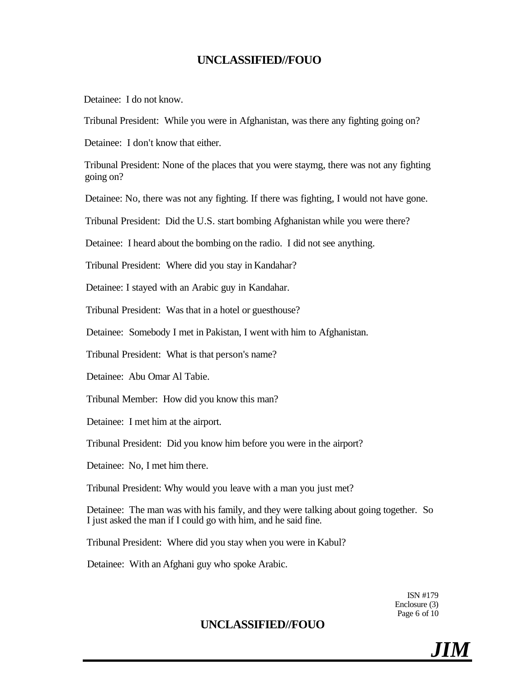Detainee: I do not know.

Tribunal President: While you were in Afghanistan, was there any fighting going on?

Detainee: I don't know that either.

Tribunal President: None of the places that you were staymg, there was not any fighting going on?

Detainee: No, there was not any fighting. If there was fighting, I would not have gone.

Tribunal President: Did the U.S. start bombing Afghanistan while you were there?

Detainee: I heard about the bombing on the radio. I did not see anything.

Tribunal President: Where did you stay in Kandahar?

Detainee: I stayed with an Arabic guy in Kandahar.

Tribunal President: Was that in a hotel or guesthouse?

Detainee: Somebody I met in Pakistan, I went with him to Afghanistan.

Tribunal President: What is that person's name?

Detainee: Abu Omar Al Tabie.

Tribunal Member: How did you know this man?

Detainee: I met him at the airport.

Tribunal President: Did you know him before you were in the airport?

Detainee: No, I met him there.

Tribunal President: Why would you leave with a man you just met?

Detainee: The man was with his family, and they were talking about going together. So I just asked the man if I could go with him, and he said fine.

Tribunal President: Where did you stay when you were in Kabul?

Detainee: With an Afghani guy who spoke Arabic.

ISN #179 Enclosure (3) Page 6 of 10

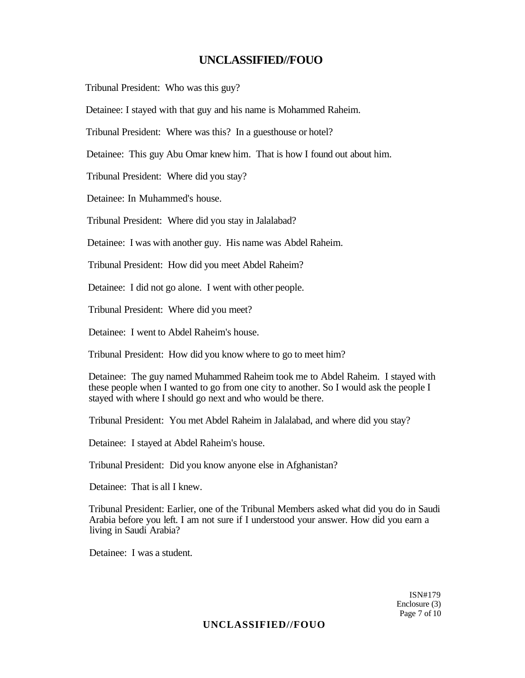Tribunal President: Who was this guy?

Detainee: I stayed with that guy and his name is Mohammed Raheim.

Tribunal President: Where was this? In a guesthouse or hotel?

Detainee: This guy Abu Omar knew him. That is how I found out about him.

Tribunal President: Where did you stay?

Detainee: In Muhammed's house.

Tribunal President: Where did you stay in Jalalabad?

Detainee: I was with another guy. His name was Abdel Raheim.

Tribunal President: How did you meet Abdel Raheim?

Detainee: I did not go alone. I went with other people.

Tribunal President: Where did you meet?

Detainee: I went to Abdel Raheim's house.

Tribunal President: How did you know where to go to meet him?

Detainee: The guy named Muhammed Raheim took me to Abdel Raheim. I stayed with these people when I wanted to go from one city to another. So I would ask the people I stayed with where I should go next and who would be there.

Tribunal President: You met Abdel Raheim in Jalalabad, and where did you stay?

Detainee: I stayed at Abdel Raheim's house.

Tribunal President: Did you know anyone else in Afghanistan?

Detainee: That is all I knew.

Tribunal President: Earlier, one of the Tribunal Members asked what did you do in Saudi Arabia before you left. I am not sure if I understood your answer. How did you earn a living in Saudi Arabia?

Detainee: I was a student.

ISN#179 Enclosure (3) Page 7 of 10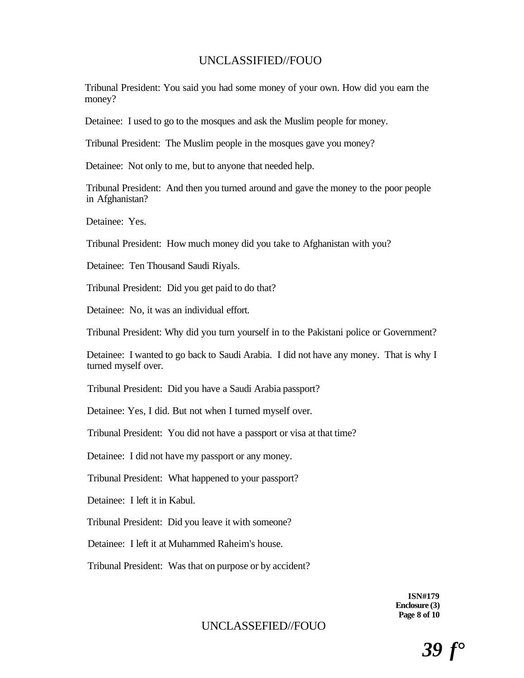Tribunal President: You said you had some money of your own. How did you earn the money?

Detainee: I used to go to the mosques and ask the Muslim people for money.

Tribunal President: The Muslim people in the mosques gave you money?

Detainee: Not only to me, but to anyone that needed help.

Tribunal President: And then you turned around and gave the money to the poor people in Afghanistan?

Detainee: Yes.

Tribunal President: How much money did you take to Afghanistan with you?

Detainee: Ten Thousand Saudi Riyals.

Tribunal President: Did you get paid to do that?

Detainee: No, it was an individual effort.

Tribunal President: Why did you turn yourself in to the Pakistani police or Government?

Detainee: I wanted to go back to Saudi Arabia. I did not have any money. That is why I turned myself over.

Tribunal President: Did you have a Saudi Arabia passport?

Detainee: Yes, I did. But not when I turned myself over.

Tribunal President: You did not have a passport or visa at that time?

Detainee: I did not have my passport or any money.

Tribunal President: What happened to your passport?

Detainee: I left it in Kabul.

Tribunal President: Did you leave it with someone?

Detainee: I left it at Muhammed Raheim's house.

Tribunal President: Was that on purpose or by accident?

**ISN#179 Enclosure (3) Page 8 of 10** 

#### UNCLASSEFIED//FOUO

*39 f°*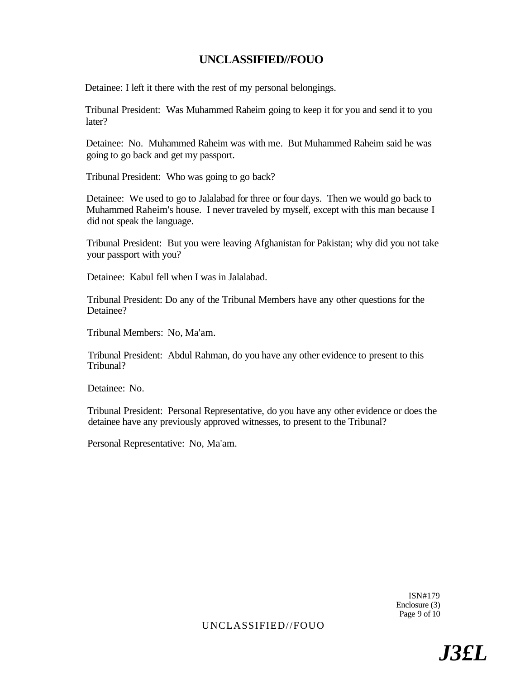Detainee: I left it there with the rest of my personal belongings.

Tribunal President: Was Muhammed Raheim going to keep it for you and send it to you later?

Detainee: No. Muhammed Raheim was with me. But Muhammed Raheim said he was going to go back and get my passport.

Tribunal President: Who was going to go back?

Detainee: We used to go to Jalalabad for three or four days. Then we would go back to Muhammed Raheim's house. I never traveled by myself, except with this man because I did not speak the language.

Tribunal President: But you were leaving Afghanistan for Pakistan; why did you not take your passport with you?

Detainee: Kabul fell when I was in Jalalabad.

Tribunal President: Do any of the Tribunal Members have any other questions for the Detainee?

Tribunal Members: No, Ma'am.

Tribunal President: Abdul Rahman, do you have any other evidence to present to this Tribunal?

Detainee: No.

Tribunal President: Personal Representative, do you have any other evidence or does the detainee have any previously approved witnesses, to present to the Tribunal?

Personal Representative: No, Ma'am.

ISN#179 Enclosure (3) Page 9 of 10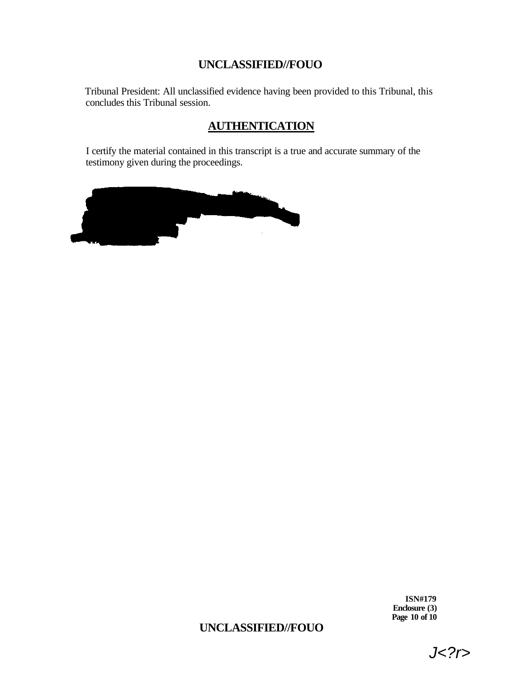Tribunal President: All unclassified evidence having been provided to this Tribunal, this concludes this Tribunal session.

# **AUTHENTICATION**

I certify the material contained in this transcript is a true and accurate summary of the testimony given during the proceedings.



**ISN#179 Enclosure (3) Page 10 of 10** 

# **UNCLASSIFIED//FOUO**

 $Jr$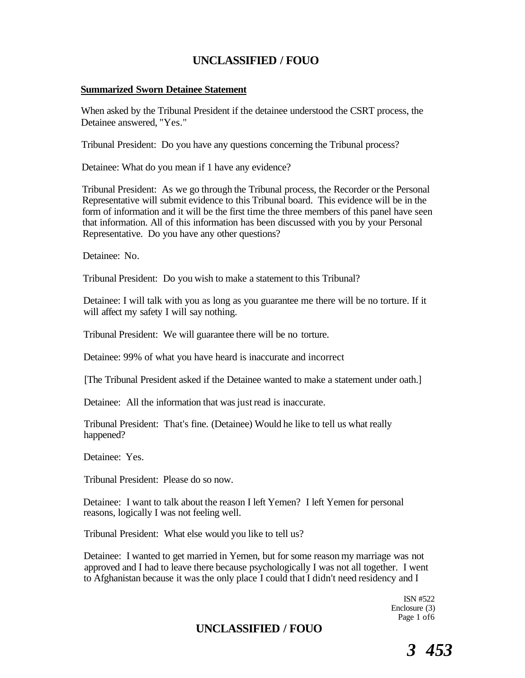#### **Summarized Sworn Detainee Statement**

When asked by the Tribunal President if the detainee understood the CSRT process, the Detainee answered, "Yes."

Tribunal President: Do you have any questions concerning the Tribunal process?

Detainee: What do you mean if 1 have any evidence?

Tribunal President: As we go through the Tribunal process, the Recorder or the Personal Representative will submit evidence to this Tribunal board. This evidence will be in the form of information and it will be the first time the three members of this panel have seen that information. All of this information has been discussed with you by your Personal Representative. Do you have any other questions?

Detainee: No.

Tribunal President: Do you wish to make a statement to this Tribunal?

Detainee: I will talk with you as long as you guarantee me there will be no torture. If it will affect my safety I will say nothing.

Tribunal President: We will guarantee there will be no torture.

Detainee: 99% of what you have heard is inaccurate and incorrect

[The Tribunal President asked if the Detainee wanted to make a statement under oath.]

Detainee: All the information that was just read is inaccurate.

Tribunal President: That's fine. (Detainee) Would he like to tell us what really happened?

Detainee: Yes.

Tribunal President: Please do so now.

Detainee: I want to talk about the reason I left Yemen? I left Yemen for personal reasons, logically I was not feeling well.

Tribunal President: What else would you like to tell us?

Detainee: I wanted to get married in Yemen, but for some reason my marriage was not approved and I had to leave there because psychologically I was not all together. I went to Afghanistan because it was the only place I could that I didn't need residency and I

> ISN #522 Enclosure (3) Page 1 of6

## **UNCLASSIFIED / FOUO**

*3 453*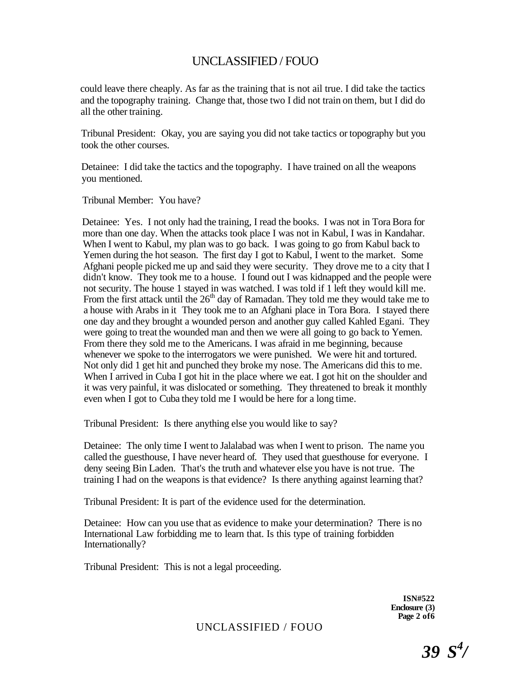could leave there cheaply. As far as the training that is not ail true. I did take the tactics and the topography training. Change that, those two I did not train on them, but I did do all the other training.

Tribunal President: Okay, you are saying you did not take tactics or topography but you took the other courses.

Detainee: I did take the tactics and the topography. I have trained on all the weapons you mentioned.

Tribunal Member: You have?

Detainee: Yes. I not only had the training, I read the books. I was not in Tora Bora for more than one day. When the attacks took place I was not in Kabul, I was in Kandahar. When I went to Kabul, my plan was to go back. I was going to go from Kabul back to Yemen during the hot season. The first day I got to Kabul, I went to the market. Some Afghani people picked me up and said they were security. They drove me to a city that I didn't know. They took me to a house. I found out I was kidnapped and the people were not security. The house 1 stayed in was watched. I was told if 1 left they would kill me. From the first attack until the  $26<sup>th</sup>$  day of Ramadan. They told me they would take me to a house with Arabs in it They took me to an Afghani place in Tora Bora. I stayed there one day and they brought a wounded person and another guy called Kahled Egani. They were going to treat the wounded man and then we were all going to go back to Yemen. From there they sold me to the Americans. I was afraid in me beginning, because whenever we spoke to the interrogators we were punished. We were hit and tortured. Not only did 1 get hit and punched they broke my nose. The Americans did this to me. When I arrived in Cuba I got hit in the place where we eat. I got hit on the shoulder and it was very painful, it was dislocated or something. They threatened to break it monthly even when I got to Cuba they told me I would be here for a long time.

Tribunal President: Is there anything else you would like to say?

Detainee: The only time I went to Jalalabad was when I went to prison. The name you called the guesthouse, I have never heard of. They used that guesthouse for everyone. I deny seeing Bin Laden. That's the truth and whatever else you have is not true. The training I had on the weapons is that evidence? Is there anything against learning that?

Tribunal President: It is part of the evidence used for the determination.

Detainee: How can you use that as evidence to make your determination? There is no International Law forbidding me to learn that. Is this type of training forbidden Internationally?

Tribunal President: This is not a legal proceeding.

**ISN#522 Enclosure (3) Page 2 of6** 

UNCLASSIFIED / FOUO

*39 S<sup>4</sup> /*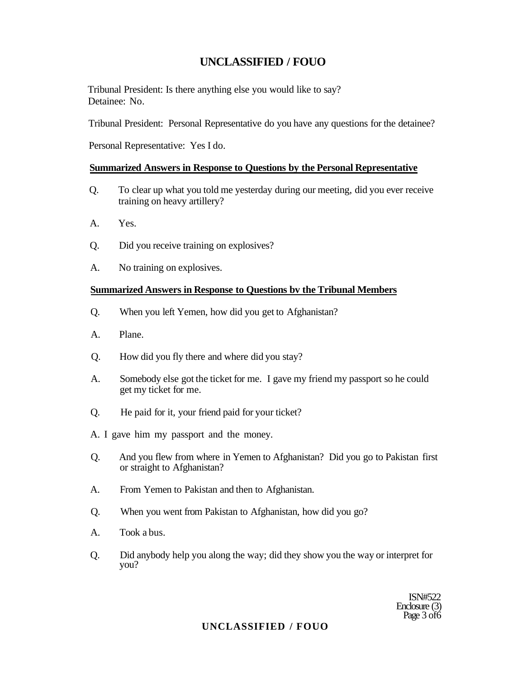Tribunal President: Is there anything else you would like to say? Detainee: No.

Tribunal President: Personal Representative do you have any questions for the detainee?

Personal Representative: Yes I do.

#### **Summarized Answers in Response to Questions by the Personal Representative**

- Q. To clear up what you told me yesterday during our meeting, did you ever receive training on heavy artillery?
- A. Yes.
- Q. Did you receive training on explosives?
- A. No training on explosives.

#### **Summarized Answers in Response to Questions bv the Tribunal Members**

- Q. When you left Yemen, how did you get to Afghanistan?
- A. Plane.
- Q. How did you fly there and where did you stay?
- A. Somebody else got the ticket for me. I gave my friend my passport so he could get my ticket for me.
- Q. He paid for it, your friend paid for your ticket?
- A. I gave him my passport and the money.
- Q. And you flew from where in Yemen to Afghanistan? Did you go to Pakistan first or straight to Afghanistan?
- A. From Yemen to Pakistan and then to Afghanistan.
- Q. When you went from Pakistan to Afghanistan, how did you go?
- A. Took a bus.
- Q. Did anybody help you along the way; did they show you the way or interpret for you?

ISN#522 Enclosure (3) Page 3 of 6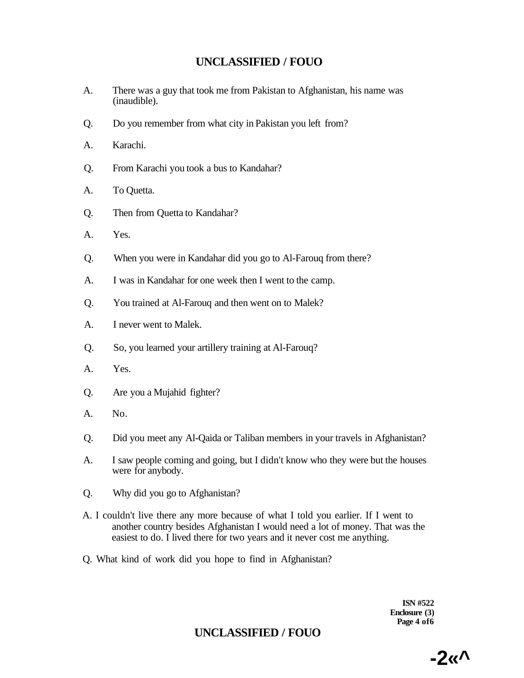- A. There was a guy that took me from Pakistan to Afghanistan, his name was (inaudible).
- Q. Do you remember from what city in Pakistan you left from?
- A. Karachi.
- Q. From Karachi you took a bus to Kandahar?
- A. To Quetta.
- Q. Then from Quetta to Kandahar?
- A. Yes.
- Q. When you were in Kandahar did you go to Al-Farouq from there?
- A. I was in Kandahar for one week then I went to the camp.
- Q. You trained at Al-Farouq and then went on to Malek?
- A. I never went to Malek.
- Q. So, you learned your artillery training at Al-Farouq?
- A. Yes.
- Q. Are you a Mujahid fighter?
- A. No.
- Q. Did you meet any Al-Qaida or Taliban members in your travels in Afghanistan?
- A. I saw people coming and going, but I didn't know who they were but the houses were for anybody.
- Q. Why did you go to Afghanistan?
- A. I couldn't live there any more because of what I told you earlier. If I went to another country besides Afghanistan I would need a lot of money. That was the easiest to do. I lived there for two years and it never cost me anything.
- Q. What kind of work did you hope to find in Afghanistan?

**ISN #522 Enclosure (3) Page 4 of6**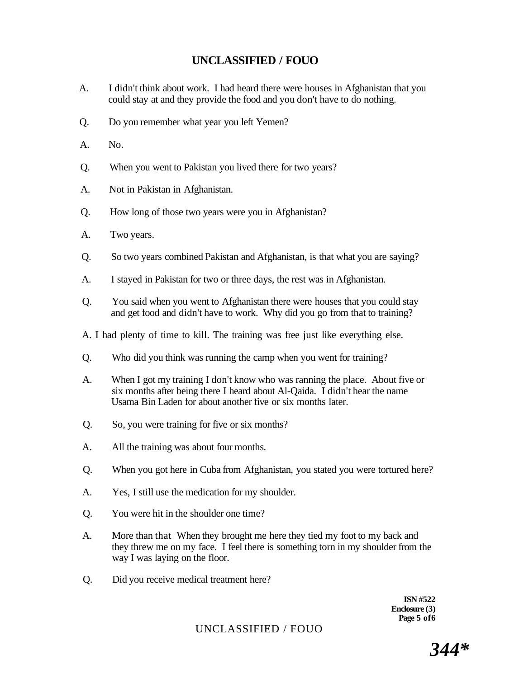- A. I didn't think about work. I had heard there were houses in Afghanistan that you could stay at and they provide the food and you don't have to do nothing.
- Q. Do you remember what year you left Yemen?
- A. No.
- Q. When you went to Pakistan you lived there for two years?
- A. Not in Pakistan in Afghanistan.
- Q. How long of those two years were you in Afghanistan?
- A. Two years.
- Q. So two years combined Pakistan and Afghanistan, is that what you are saying?
- A. I stayed in Pakistan for two or three days, the rest was in Afghanistan.
- Q. You said when you went to Afghanistan there were houses that you could stay and get food and didn't have to work. Why did you go from that to training?
- A. I had plenty of time to kill. The training was free just like everything else.
- Q. Who did you think was running the camp when you went for training?
- A. When I got my training I don't know who was ranning the place. About five or six months after being there I heard about Al-Qaida. I didn't hear the name Usama Bin Laden for about another five or six months later.
- Q. So, you were training for five or six months?
- A. All the training was about four months.
- Q. When you got here in Cuba from Afghanistan, you stated you were tortured here?
- A. Yes, I still use the medication for my shoulder.
- Q. You were hit in the shoulder one time?
- A. More than that When they brought me here they tied my foot to my back and they threw me on my face. I feel there is something torn in my shoulder from the way I was laying on the floor.
- Q. Did you receive medical treatment here?

**ISN #522 Enclosure (3) Page 5 of6**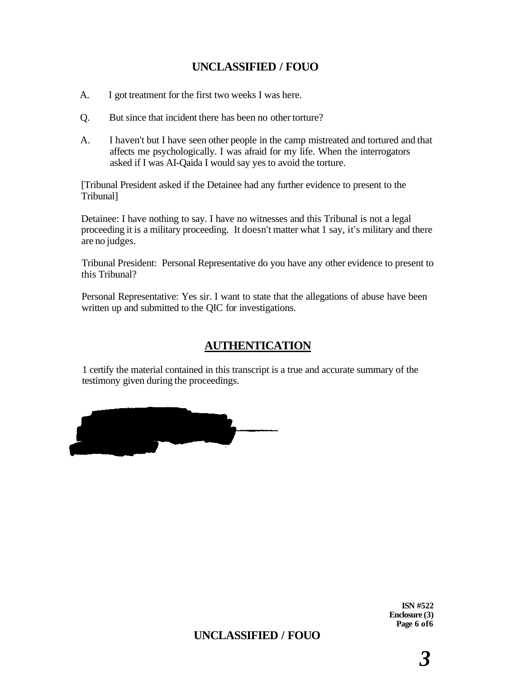- A. I got treatment for the first two weeks I was here.
- Q. But since that incident there has been no other torture?
- A. I haven't but I have seen other people in the camp mistreated and tortured and that affects me psychologically. I was afraid for my life. When the interrogators asked if I was AI-Qaida I would say yes to avoid the torture.

[Tribunal President asked if the Detainee had any further evidence to present to the Tribunal]

Detainee: I have nothing to say. I have no witnesses and this Tribunal is not a legal proceeding it is a military proceeding. It doesn't matter what 1 say, it's military and there are no judges.

Tribunal President: Personal Representative do you have any other evidence to present to this Tribunal?

Personal Representative: Yes sir. I want to state that the allegations of abuse have been written up and submitted to the QIC for investigations.

# **AUTHENTICATION**

1 certify the material contained in this transcript is a true and accurate summary of the testimony given during the proceedings.



**ISN #522 Enclosure (3) Page 6 of6**